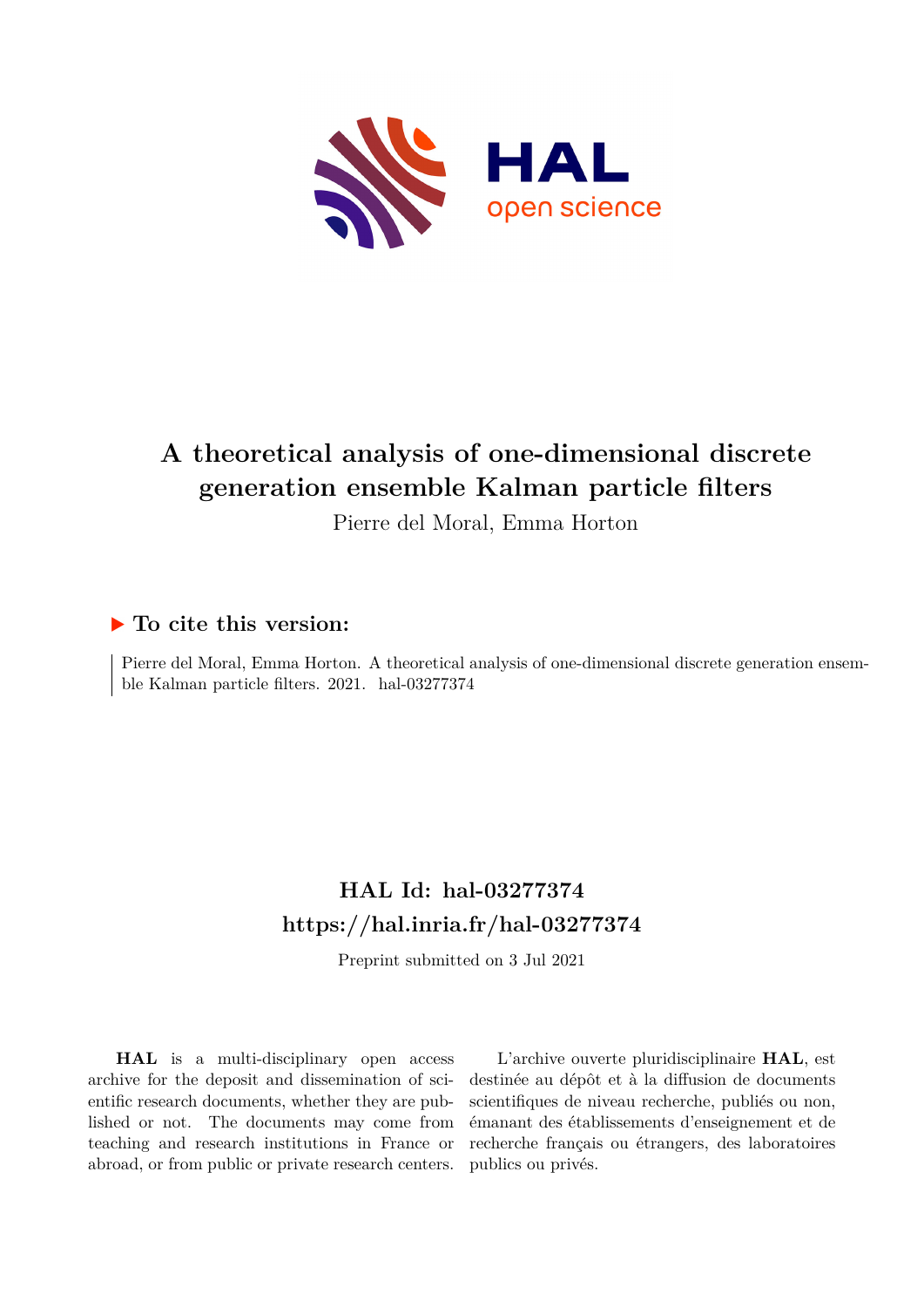

# **A theoretical analysis of one-dimensional discrete generation ensemble Kalman particle filters**

Pierre del Moral, Emma Horton

# **To cite this version:**

Pierre del Moral, Emma Horton. A theoretical analysis of one-dimensional discrete generation ensemble Kalman particle filters. 2021. hal-03277374

# **HAL Id: hal-03277374 <https://hal.inria.fr/hal-03277374>**

Preprint submitted on 3 Jul 2021

**HAL** is a multi-disciplinary open access archive for the deposit and dissemination of scientific research documents, whether they are published or not. The documents may come from teaching and research institutions in France or abroad, or from public or private research centers.

L'archive ouverte pluridisciplinaire **HAL**, est destinée au dépôt et à la diffusion de documents scientifiques de niveau recherche, publiés ou non, émanant des établissements d'enseignement et de recherche français ou étrangers, des laboratoires publics ou privés.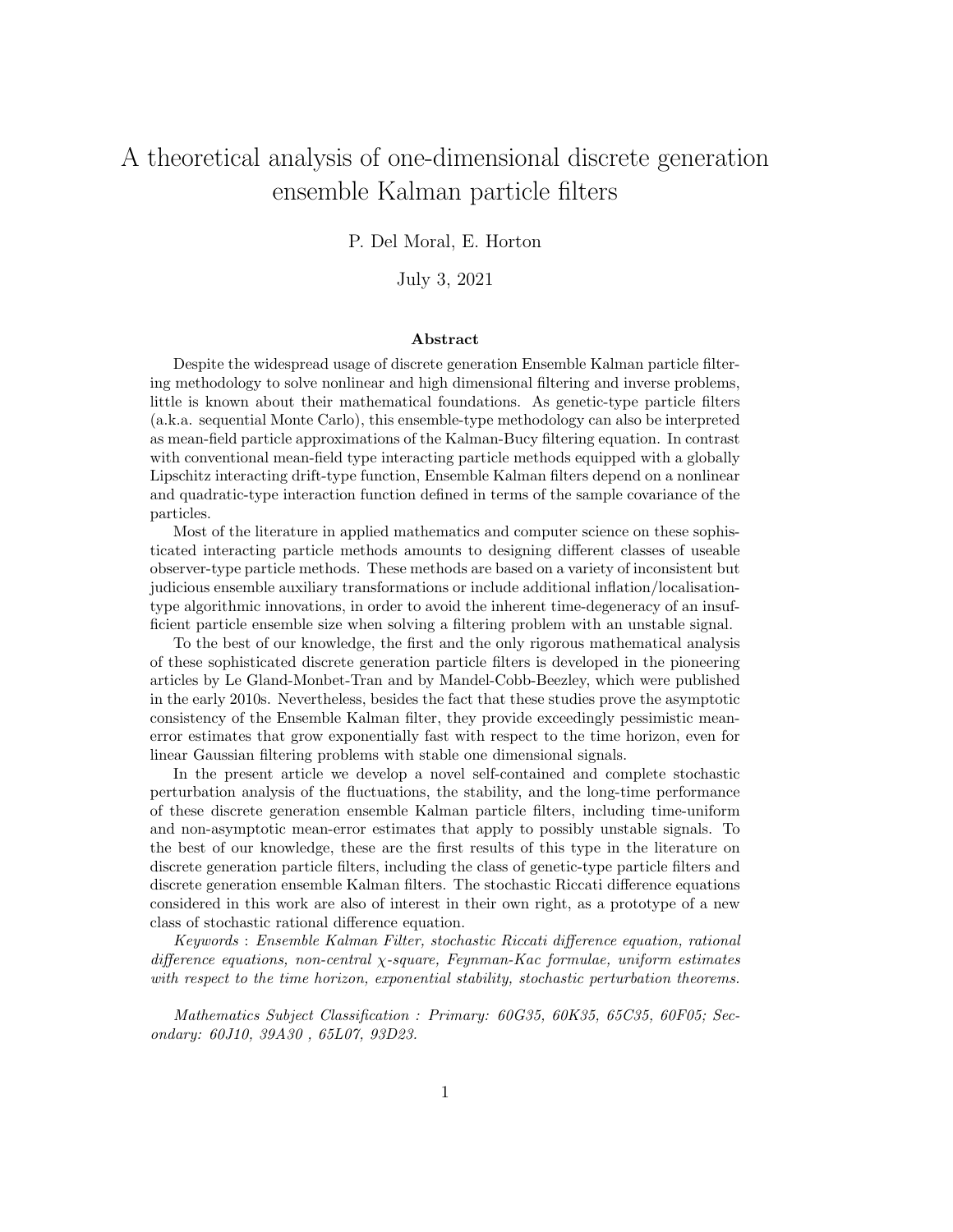# A theoretical analysis of one-dimensional discrete generation ensemble Kalman particle filters

## P. Del Moral, E. Horton

## July 3, 2021

#### Abstract

Despite the widespread usage of discrete generation Ensemble Kalman particle filtering methodology to solve nonlinear and high dimensional filtering and inverse problems, little is known about their mathematical foundations. As genetic-type particle filters (a.k.a. sequential Monte Carlo), this ensemble-type methodology can also be interpreted as mean-field particle approximations of the Kalman-Bucy filtering equation. In contrast with conventional mean-field type interacting particle methods equipped with a globally Lipschitz interacting drift-type function, Ensemble Kalman filters depend on a nonlinear and quadratic-type interaction function defined in terms of the sample covariance of the particles.

Most of the literature in applied mathematics and computer science on these sophisticated interacting particle methods amounts to designing different classes of useable observer-type particle methods. These methods are based on a variety of inconsistent but judicious ensemble auxiliary transformations or include additional inflation/localisationtype algorithmic innovations, in order to avoid the inherent time-degeneracy of an insufficient particle ensemble size when solving a filtering problem with an unstable signal.

To the best of our knowledge, the first and the only rigorous mathematical analysis of these sophisticated discrete generation particle filters is developed in the pioneering articles by Le Gland-Monbet-Tran and by Mandel-Cobb-Beezley, which were published in the early 2010s. Nevertheless, besides the fact that these studies prove the asymptotic consistency of the Ensemble Kalman filter, they provide exceedingly pessimistic meanerror estimates that grow exponentially fast with respect to the time horizon, even for linear Gaussian filtering problems with stable one dimensional signals.

In the present article we develop a novel self-contained and complete stochastic perturbation analysis of the fluctuations, the stability, and the long-time performance of these discrete generation ensemble Kalman particle filters, including time-uniform and non-asymptotic mean-error estimates that apply to possibly unstable signals. To the best of our knowledge, these are the first results of this type in the literature on discrete generation particle filters, including the class of genetic-type particle filters and discrete generation ensemble Kalman filters. The stochastic Riccati difference equations considered in this work are also of interest in their own right, as a prototype of a new class of stochastic rational difference equation.

Keywords : Ensemble Kalman Filter, stochastic Riccati difference equation, rational difference equations, non-central  $\chi$ -square, Feynman-Kac formulae, uniform estimates with respect to the time horizon, exponential stability, stochastic perturbation theorems.

Mathematics Subject Classification : Primary: 60G35, 60K35, 65C35, 60F05; Secondary: 60J10, 39A30 , 65L07, 93D23.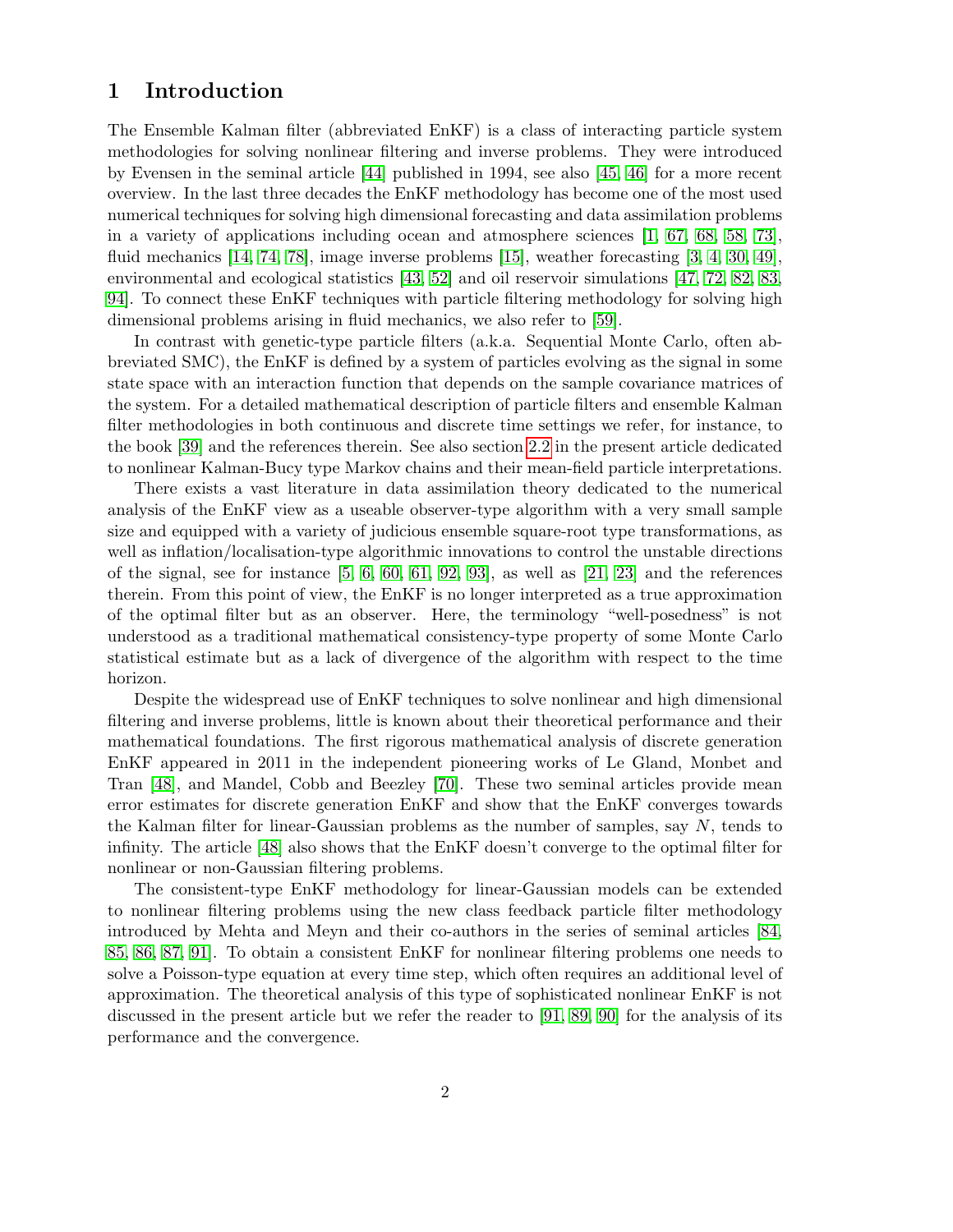# 1 Introduction

The Ensemble Kalman filter (abbreviated EnKF) is a class of interacting particle system methodologies for solving nonlinear filtering and inverse problems. They were introduced by Evensen in the seminal article [44] published in 1994, see also [45, 46] for a more recent overview. In the last three decades the EnKF methodology has become one of the most used numerical techniques for solving high dimensional forecasting and data assimilation problems in a variety of applications including ocean and atmosphere sciences [1, 67, 68, 58, 73], fluid mechanics [14, 74, 78], image inverse problems [15], weather forecasting [3, 4, 30, 49], environmental and ecological statistics [43, 52] and oil reservoir simulations [47, 72, 82, 83, 94]. To connect these EnKF techniques with particle filtering methodology for solving high dimensional problems arising in fluid mechanics, we also refer to [59].

In contrast with genetic-type particle filters (a.k.a. Sequential Monte Carlo, often abbreviated SMC), the EnKF is defined by a system of particles evolving as the signal in some state space with an interaction function that depends on the sample covariance matrices of the system. For a detailed mathematical description of particle filters and ensemble Kalman filter methodologies in both continuous and discrete time settings we refer, for instance, to the book [39] and the references therein. See also section 2.2 in the present article dedicated to nonlinear Kalman-Bucy type Markov chains and their mean-field particle interpretations.

There exists a vast literature in data assimilation theory dedicated to the numerical analysis of the EnKF view as a useable observer-type algorithm with a very small sample size and equipped with a variety of judicious ensemble square-root type transformations, as well as inflation/localisation-type algorithmic innovations to control the unstable directions of the signal, see for instance  $[5, 6, 60, 61, 92, 93]$ , as well as  $[21, 23]$  and the references therein. From this point of view, the EnKF is no longer interpreted as a true approximation of the optimal filter but as an observer. Here, the terminology "well-posedness" is not understood as a traditional mathematical consistency-type property of some Monte Carlo statistical estimate but as a lack of divergence of the algorithm with respect to the time horizon.

Despite the widespread use of EnKF techniques to solve nonlinear and high dimensional filtering and inverse problems, little is known about their theoretical performance and their mathematical foundations. The first rigorous mathematical analysis of discrete generation EnKF appeared in 2011 in the independent pioneering works of Le Gland, Monbet and Tran [48], and Mandel, Cobb and Beezley [70]. These two seminal articles provide mean error estimates for discrete generation EnKF and show that the EnKF converges towards the Kalman filter for linear-Gaussian problems as the number of samples, say  $N$ , tends to infinity. The article [48] also shows that the EnKF doesn't converge to the optimal filter for nonlinear or non-Gaussian filtering problems.

The consistent-type EnKF methodology for linear-Gaussian models can be extended to nonlinear filtering problems using the new class feedback particle filter methodology introduced by Mehta and Meyn and their co-authors in the series of seminal articles [84, 85, 86, 87, 91]. To obtain a consistent EnKF for nonlinear filtering problems one needs to solve a Poisson-type equation at every time step, which often requires an additional level of approximation. The theoretical analysis of this type of sophisticated nonlinear EnKF is not discussed in the present article but we refer the reader to [91, 89, 90] for the analysis of its performance and the convergence.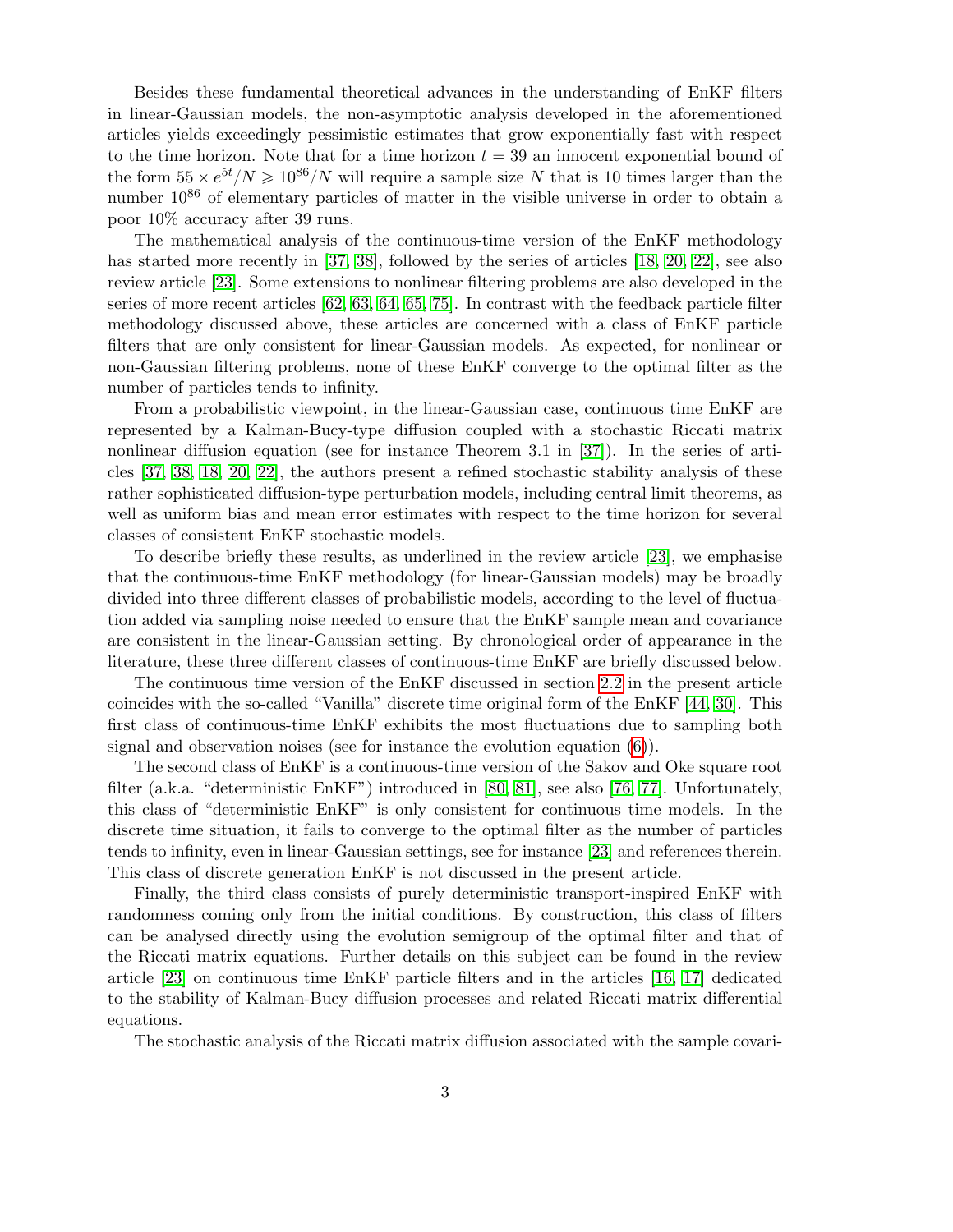Besides these fundamental theoretical advances in the understanding of EnKF filters in linear-Gaussian models, the non-asymptotic analysis developed in the aforementioned articles yields exceedingly pessimistic estimates that grow exponentially fast with respect to the time horizon. Note that for a time horizon  $t = 39$  an innocent exponential bound of the form  $55 \times e^{5t}/N \ge 10^{86}/N$  will require a sample size N that is 10 times larger than the number  $10^{86}$  of elementary particles of matter in the visible universe in order to obtain a poor 10% accuracy after 39 runs.

The mathematical analysis of the continuous-time version of the EnKF methodology has started more recently in [37, 38], followed by the series of articles [18, 20, 22], see also review article [23]. Some extensions to nonlinear filtering problems are also developed in the series of more recent articles [62, 63, 64, 65, 75]. In contrast with the feedback particle filter methodology discussed above, these articles are concerned with a class of EnKF particle filters that are only consistent for linear-Gaussian models. As expected, for nonlinear or non-Gaussian filtering problems, none of these EnKF converge to the optimal filter as the number of particles tends to infinity.

From a probabilistic viewpoint, in the linear-Gaussian case, continuous time EnKF are represented by a Kalman-Bucy-type diffusion coupled with a stochastic Riccati matrix nonlinear diffusion equation (see for instance Theorem 3.1 in [37]). In the series of articles [37, 38, 18, 20, 22], the authors present a refined stochastic stability analysis of these rather sophisticated diffusion-type perturbation models, including central limit theorems, as well as uniform bias and mean error estimates with respect to the time horizon for several classes of consistent EnKF stochastic models.

To describe briefly these results, as underlined in the review article [23], we emphasise that the continuous-time EnKF methodology (for linear-Gaussian models) may be broadly divided into three different classes of probabilistic models, according to the level of fluctuation added via sampling noise needed to ensure that the EnKF sample mean and covariance are consistent in the linear-Gaussian setting. By chronological order of appearance in the literature, these three different classes of continuous-time EnKF are briefly discussed below.

The continuous time version of the EnKF discussed in section 2.2 in the present article coincides with the so-called "Vanilla" discrete time original form of the EnKF [44, 30]. This first class of continuous-time EnKF exhibits the most fluctuations due to sampling both signal and observation noises (see for instance the evolution equation  $(6)$ ).

The second class of EnKF is a continuous-time version of the Sakov and Oke square root filter (a.k.a. "deterministic EnKF") introduced in [80, 81], see also [76, 77]. Unfortunately, this class of "deterministic EnKF" is only consistent for continuous time models. In the discrete time situation, it fails to converge to the optimal filter as the number of particles tends to infinity, even in linear-Gaussian settings, see for instance [23] and references therein. This class of discrete generation EnKF is not discussed in the present article.

Finally, the third class consists of purely deterministic transport-inspired EnKF with randomness coming only from the initial conditions. By construction, this class of filters can be analysed directly using the evolution semigroup of the optimal filter and that of the Riccati matrix equations. Further details on this subject can be found in the review article [23] on continuous time EnKF particle filters and in the articles [16, 17] dedicated to the stability of Kalman-Bucy diffusion processes and related Riccati matrix differential equations.

The stochastic analysis of the Riccati matrix diffusion associated with the sample covari-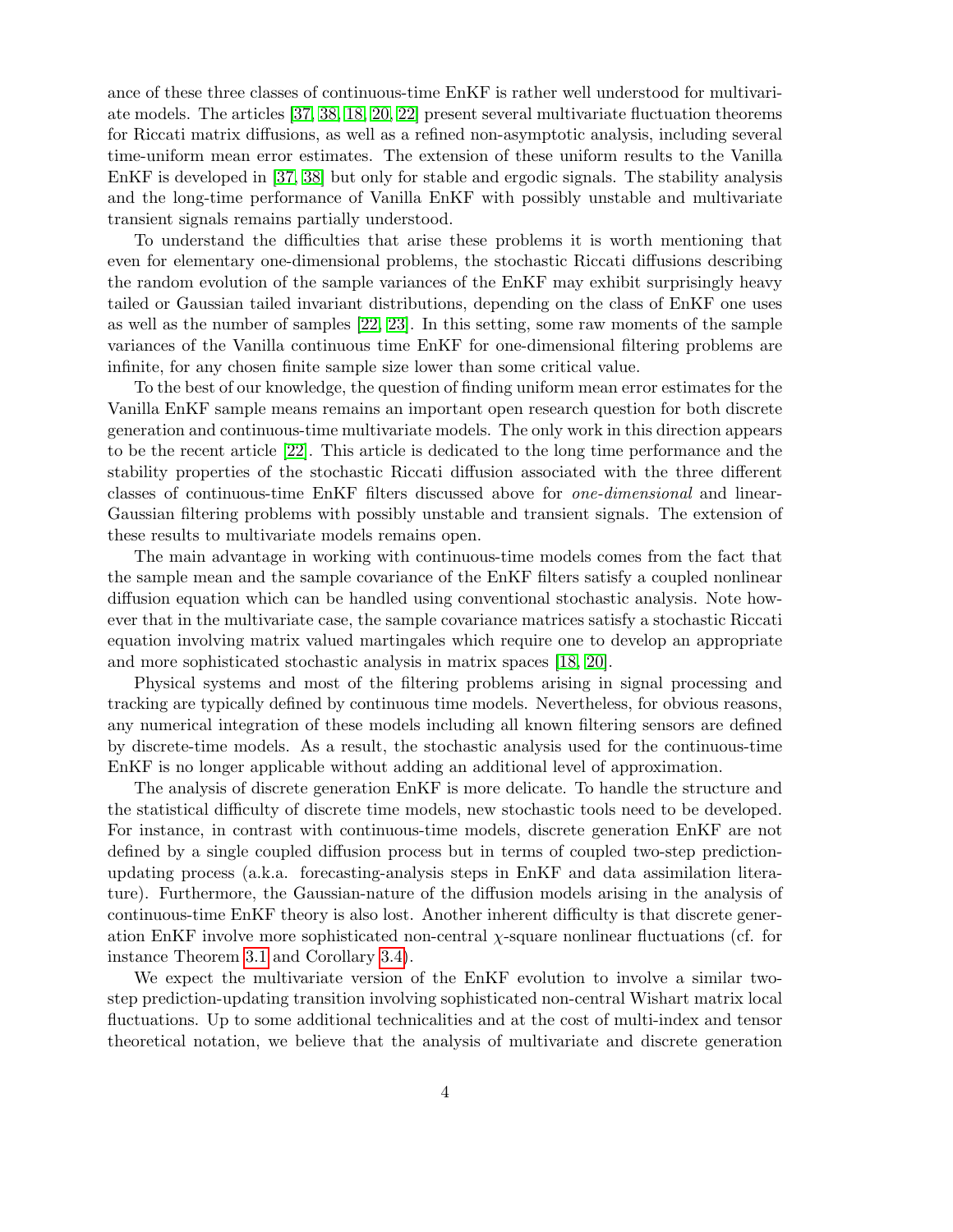ance of these three classes of continuous-time EnKF is rather well understood for multivariate models. The articles [37, 38, 18, 20, 22] present several multivariate fluctuation theorems for Riccati matrix diffusions, as well as a refined non-asymptotic analysis, including several time-uniform mean error estimates. The extension of these uniform results to the Vanilla EnKF is developed in [37, 38] but only for stable and ergodic signals. The stability analysis and the long-time performance of Vanilla EnKF with possibly unstable and multivariate transient signals remains partially understood.

To understand the difficulties that arise these problems it is worth mentioning that even for elementary one-dimensional problems, the stochastic Riccati diffusions describing the random evolution of the sample variances of the EnKF may exhibit surprisingly heavy tailed or Gaussian tailed invariant distributions, depending on the class of EnKF one uses as well as the number of samples [22, 23]. In this setting, some raw moments of the sample variances of the Vanilla continuous time EnKF for one-dimensional filtering problems are infinite, for any chosen finite sample size lower than some critical value.

To the best of our knowledge, the question of finding uniform mean error estimates for the Vanilla EnKF sample means remains an important open research question for both discrete generation and continuous-time multivariate models. The only work in this direction appears to be the recent article [22]. This article is dedicated to the long time performance and the stability properties of the stochastic Riccati diffusion associated with the three different classes of continuous-time EnKF filters discussed above for one-dimensional and linear-Gaussian filtering problems with possibly unstable and transient signals. The extension of these results to multivariate models remains open.

The main advantage in working with continuous-time models comes from the fact that the sample mean and the sample covariance of the EnKF filters satisfy a coupled nonlinear diffusion equation which can be handled using conventional stochastic analysis. Note however that in the multivariate case, the sample covariance matrices satisfy a stochastic Riccati equation involving matrix valued martingales which require one to develop an appropriate and more sophisticated stochastic analysis in matrix spaces [18, 20].

Physical systems and most of the filtering problems arising in signal processing and tracking are typically defined by continuous time models. Nevertheless, for obvious reasons, any numerical integration of these models including all known filtering sensors are defined by discrete-time models. As a result, the stochastic analysis used for the continuous-time EnKF is no longer applicable without adding an additional level of approximation.

The analysis of discrete generation EnKF is more delicate. To handle the structure and the statistical difficulty of discrete time models, new stochastic tools need to be developed. For instance, in contrast with continuous-time models, discrete generation EnKF are not defined by a single coupled diffusion process but in terms of coupled two-step predictionupdating process (a.k.a. forecasting-analysis steps in EnKF and data assimilation literature). Furthermore, the Gaussian-nature of the diffusion models arising in the analysis of continuous-time EnKF theory is also lost. Another inherent difficulty is that discrete generation EnKF involve more sophisticated non-central  $\chi$ -square nonlinear fluctuations (cf. for instance Theorem 3.1 and Corollary 3.4).

We expect the multivariate version of the EnKF evolution to involve a similar twostep prediction-updating transition involving sophisticated non-central Wishart matrix local fluctuations. Up to some additional technicalities and at the cost of multi-index and tensor theoretical notation, we believe that the analysis of multivariate and discrete generation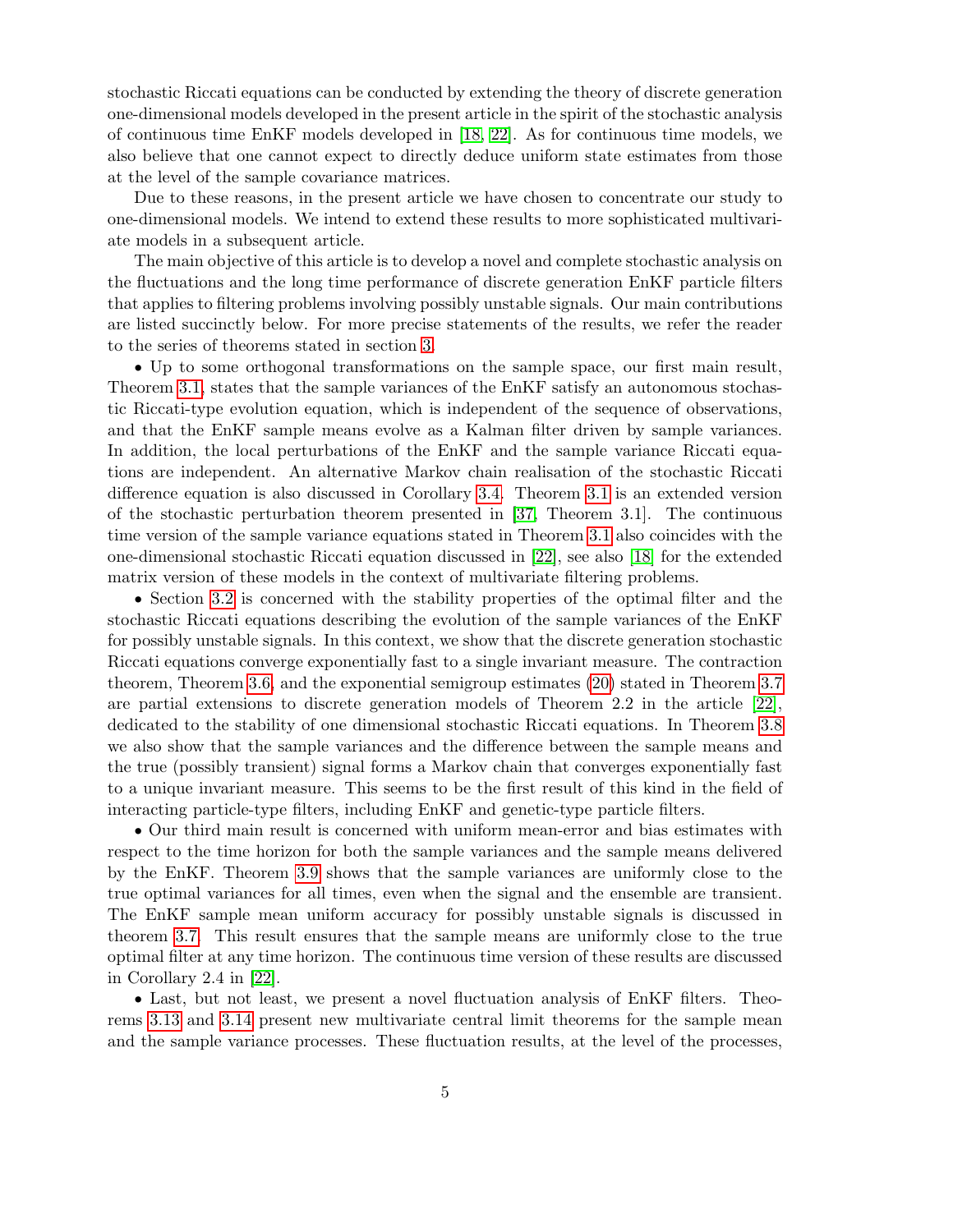stochastic Riccati equations can be conducted by extending the theory of discrete generation one-dimensional models developed in the present article in the spirit of the stochastic analysis of continuous time EnKF models developed in [18, 22]. As for continuous time models, we also believe that one cannot expect to directly deduce uniform state estimates from those at the level of the sample covariance matrices.

Due to these reasons, in the present article we have chosen to concentrate our study to one-dimensional models. We intend to extend these results to more sophisticated multivariate models in a subsequent article.

The main objective of this article is to develop a novel and complete stochastic analysis on the fluctuations and the long time performance of discrete generation EnKF particle filters that applies to filtering problems involving possibly unstable signals. Our main contributions are listed succinctly below. For more precise statements of the results, we refer the reader to the series of theorems stated in section 3.

' Up to some orthogonal transformations on the sample space, our first main result, Theorem 3.1, states that the sample variances of the EnKF satisfy an autonomous stochastic Riccati-type evolution equation, which is independent of the sequence of observations, and that the EnKF sample means evolve as a Kalman filter driven by sample variances. In addition, the local perturbations of the EnKF and the sample variance Riccati equations are independent. An alternative Markov chain realisation of the stochastic Riccati difference equation is also discussed in Corollary 3.4. Theorem 3.1 is an extended version of the stochastic perturbation theorem presented in [37, Theorem 3.1]. The continuous time version of the sample variance equations stated in Theorem 3.1 also coincides with the one-dimensional stochastic Riccati equation discussed in [22], see also [18] for the extended matrix version of these models in the context of multivariate filtering problems.

' Section 3.2 is concerned with the stability properties of the optimal filter and the stochastic Riccati equations describing the evolution of the sample variances of the EnKF for possibly unstable signals. In this context, we show that the discrete generation stochastic Riccati equations converge exponentially fast to a single invariant measure. The contraction theorem, Theorem 3.6, and the exponential semigroup estimates (20) stated in Theorem 3.7 are partial extensions to discrete generation models of Theorem 2.2 in the article [22], dedicated to the stability of one dimensional stochastic Riccati equations. In Theorem 3.8 we also show that the sample variances and the difference between the sample means and the true (possibly transient) signal forms a Markov chain that converges exponentially fast to a unique invariant measure. This seems to be the first result of this kind in the field of interacting particle-type filters, including EnKF and genetic-type particle filters.

' Our third main result is concerned with uniform mean-error and bias estimates with respect to the time horizon for both the sample variances and the sample means delivered by the EnKF. Theorem 3.9 shows that the sample variances are uniformly close to the true optimal variances for all times, even when the signal and the ensemble are transient. The EnKF sample mean uniform accuracy for possibly unstable signals is discussed in theorem 3.7. This result ensures that the sample means are uniformly close to the true optimal filter at any time horizon. The continuous time version of these results are discussed in Corollary 2.4 in [22].

' Last, but not least, we present a novel fluctuation analysis of EnKF filters. Theorems 3.13 and 3.14 present new multivariate central limit theorems for the sample mean and the sample variance processes. These fluctuation results, at the level of the processes,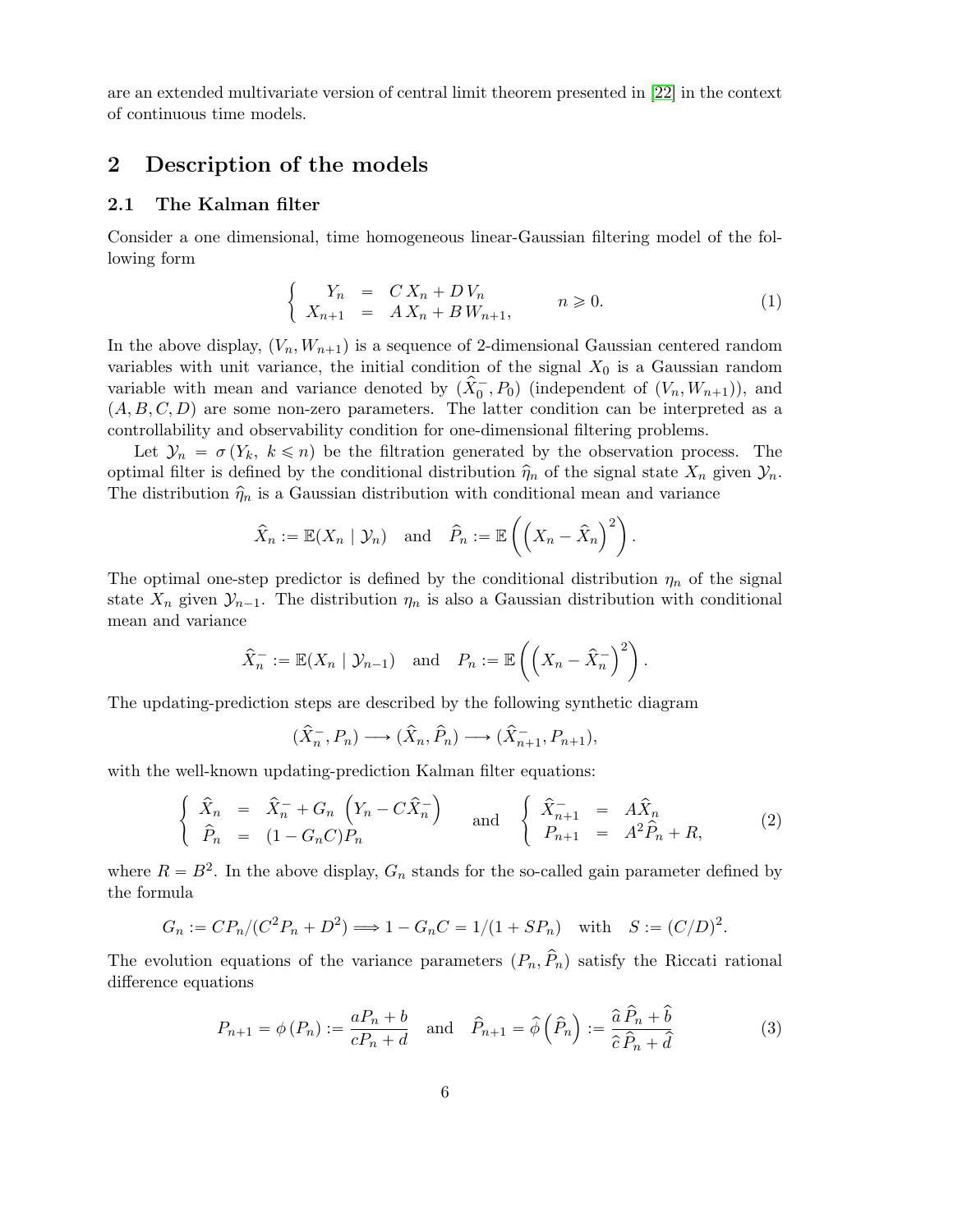are an extended multivariate version of central limit theorem presented in [22] in the context of continuous time models.

# 2 Description of the models

## 2.1 The Kalman filter

Consider a one dimensional, time homogeneous linear-Gaussian filtering model of the following form "

$$
\begin{cases}\nY_n = C X_n + D V_n \\
X_{n+1} = A X_n + B W_{n+1},\n\end{cases}
$$
\n $n \ge 0.$ \n
$$
(1)
$$

In the above display,  $(V_n, W_{n+1})$  is a sequence of 2-dimensional Gaussian centered random variables with unit variance, the initial condition of the signal  $X_0$  is a Gaussian random variable with mean and variance denoted by  $(\hat{X}_0^-$ ,  $P_0)$  (independent of  $(V_n, W_{n+1})$ ), and  $(A, B, C, D)$  are some non-zero parameters. The latter condition can be interpreted as a controllability and observability condition for one-dimensional filtering problems.

Let  $\mathcal{Y}_n = \sigma(Y_k, k \leq n)$  be the filtration generated by the observation process. The optimal filter is defined by the conditional distribution  $\hat{\eta}_n$  of the signal state  $X_n$  given  $\mathcal{Y}_n$ . The distribution  $\hat{\eta}_n$  is a Gaussian distribution with conditional mean and variance

$$
\hat{X}_n := \mathbb{E}(X_n | \mathcal{Y}_n)
$$
 and  $\hat{P}_n := \mathbb{E}\left(\left(X_n - \hat{X}_n\right)^2\right).$ 

The optimal one-step predictor is defined by the conditional distribution  $\eta_n$  of the signal state  $X_n$  given  $\mathcal{Y}_{n-1}$ . The distribution  $\eta_n$  is also a Gaussian distribution with conditional mean and variance

$$
\hat{X}_n^- := \mathbb{E}(X_n \mid \mathcal{Y}_{n-1})
$$
 and  $P_n := \mathbb{E}\left(\left(X_n - \hat{X}_n^-\right)^2\right).$ 

The updating-prediction steps are described by the following synthetic diagram

$$
(\widehat{X}_n^-, P_n) \longrightarrow (\widehat{X}_n, \widehat{P}_n) \longrightarrow (\widehat{X}_{n+1}^-, P_{n+1}),
$$

with the well-known updating-prediction Kalman filter equations: #

$$
\begin{cases}\n\hat{X}_n = \hat{X}_n^- + G_n \left( Y_n - C \hat{X}_n^- \right) \\
\hat{P}_n = (1 - G_n C) P_n\n\end{cases}\n\text{ and }\n\begin{cases}\n\hat{X}_{n+1}^- = A \hat{X}_n \\
P_{n+1} = A^2 \hat{P}_n + R,\n\end{cases}\n\tag{2}
$$

where  $R = B^2$ . In the above display,  $G_n$  stands for the so-called gain parameter defined by the formula

$$
G_n := CP_n/(C^2 P_n + D^2) \Longrightarrow 1 - G_n C = 1/(1 + SP_n)
$$
 with  $S := (C/D)^2$ .

The evolution equations of the variance parameters  $(P_n, \hat{P}_n)$  satisfy the Riccati rational difference equations

$$
P_{n+1} = \phi(P_n) := \frac{aP_n + b}{cP_n + d} \quad \text{and} \quad \hat{P}_{n+1} = \hat{\phi}\left(\hat{P}_n\right) := \frac{\hat{a}\,\hat{P}_n + \hat{b}}{\hat{c}\,\hat{P}_n + \hat{d}} \tag{3}
$$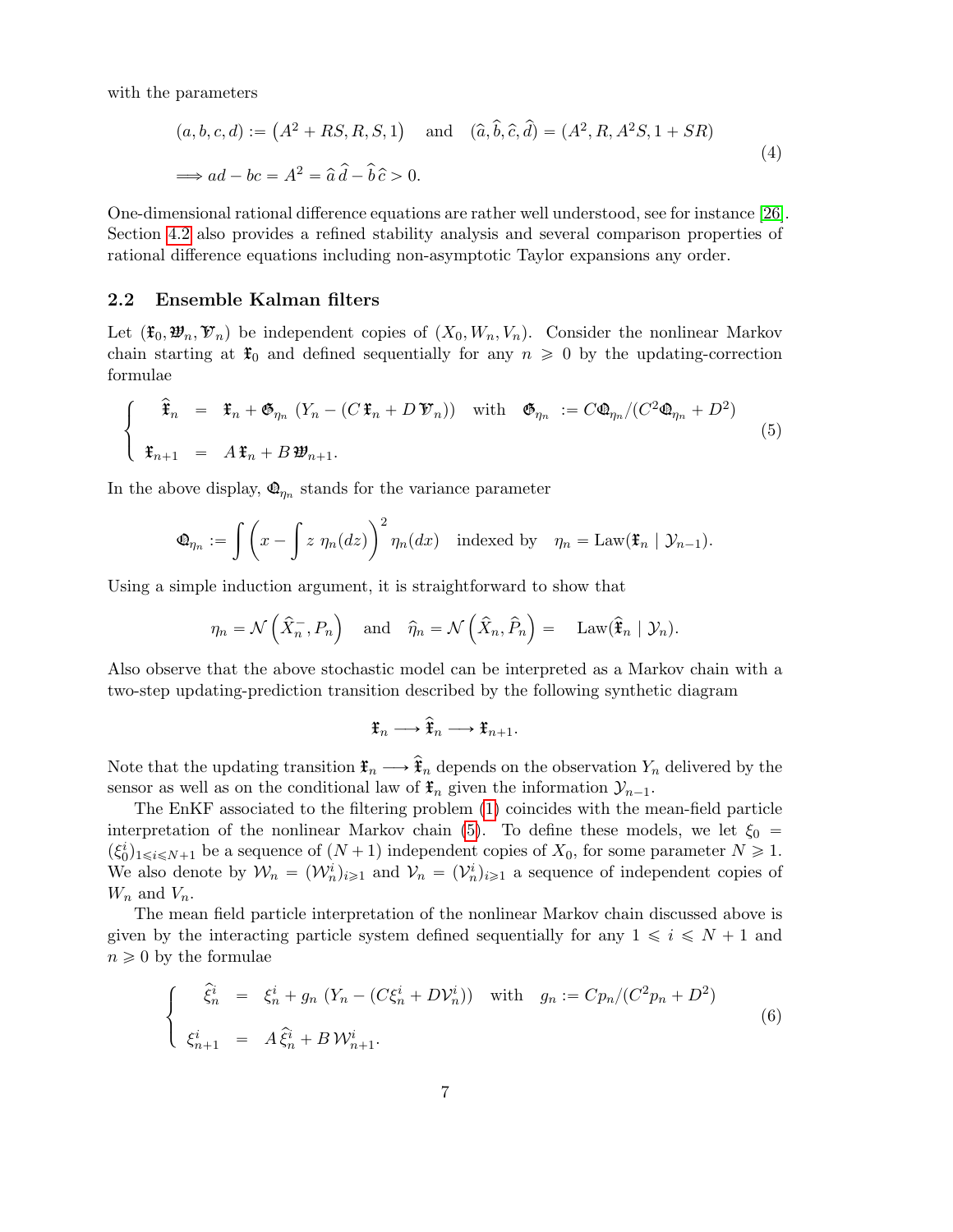with the parameters

$$
(a, b, c, d) := (A^2 + RS, R, S, 1) \text{ and } (\hat{a}, \hat{b}, \hat{c}, \hat{d}) = (A^2, R, A^2S, 1 + SR)
$$
  

$$
\implies ad - bc = A^2 = \hat{a}\hat{d} - \hat{b}\hat{c} > 0.
$$
 (4)

One-dimensional rational difference equations are rather well understood, see for instance [26]. Section 4.2 also provides a refined stability analysis and several comparison properties of rational difference equations including non-asymptotic Taylor expansions any order.

### 2.2 Ensemble Kalman filters

Let  $(\mathfrak{X}_0, \mathfrak{Y}_n, \mathfrak{Y}_n)$  be independent copies of  $(X_0, W_n, V_n)$ . Consider the nonlinear Markov chain starting at  $\mathfrak{X}_0$  and defined sequentially for any  $n \geq 0$  by the updating-correction formulae

$$
\begin{cases}\n\hat{\mathbf{f}}_n = \mathbf{f}_n + \mathbf{\mathfrak{G}}_{\eta_n} (Y_n - (C \mathbf{f}_n + D \mathbf{\mathfrak{V}}_n)) \quad \text{with} \quad \mathbf{\mathfrak{G}}_{\eta_n} := C \mathbf{\mathfrak{Q}}_{\eta_n} / (C^2 \mathbf{\mathfrak{Q}}_{\eta_n} + D^2) \\
\mathbf{f}_{n+1} = A \mathbf{f}_n + B \mathbf{\mathfrak{W}}_{n+1}.\n\end{cases}
$$
\n(5)

In the above display,  $\mathbf{\Phi}_{\eta_n}$  stands for the variance parameter

$$
\mathbf{\Phi}_{\eta_n} := \int \left( x - \int z \, \eta_n(dz) \right)^2 \eta_n(dx) \quad \text{indexed by} \quad \eta_n = \text{Law}(\mathbf{\ddot{f}}_n \mid \mathcal{Y}_{n-1}).
$$

Using a simple induction argument, it is straightforward to show that

$$
\eta_n = \mathcal{N}\left(\hat{X}_n, P_n\right)
$$
 and  $\hat{\eta}_n = \mathcal{N}\left(\hat{X}_n, \hat{P}_n\right) = \text{Law}(\hat{\mathbf{F}}_n | \mathcal{Y}_n).$ 

Also observe that the above stochastic model can be interpreted as a Markov chain with a two-step updating-prediction transition described by the following synthetic diagram

$$
\mathfrak{X}_n \longrightarrow \widehat{\mathfrak{X}}_n \longrightarrow \mathfrak{X}_{n+1}.
$$

Note that the updating transition  $\mathfrak{F}_n \longrightarrow \hat{\mathfrak{F}}_n$  depends on the observation  $Y_n$  delivered by the sensor as well as on the conditional law of  $\mathfrak{F}_n$  given the information  $\mathcal{Y}_{n-1}$ .

The EnKF associated to the filtering problem (1) coincides with the mean-field particle interpretation of the nonlinear Markov chain (5). To define these models, we let  $\xi_0$  =  $(\xi_0^i)_{1\leq i\leq N+1}$  be a sequence of  $(N+1)$  independent copies of  $X_0$ , for some parameter  $N\geq 1$ . We also denote by  $\mathcal{W}_n = (\mathcal{W}_n^i)_{i \geq 1}$  and  $\mathcal{V}_n = (\mathcal{V}_n^i)_{i \geq 1}$  a sequence of independent copies of  $W_n$  and  $V_n$ .

The mean field particle interpretation of the nonlinear Markov chain discussed above is given by the interacting particle system defined sequentially for any  $1 \leq i \leq N + 1$  and  $n \geqslant 0$  by the formulae

$$
\begin{cases}\n\hat{\xi}_n^i = \xi_n^i + g_n (Y_n - (C\xi_n^i + D\mathcal{V}_n^i)) \quad \text{with} \quad g_n := C p_n / (C^2 p_n + D^2) \\
\xi_{n+1}^i = A \hat{\xi}_n^i + B \mathcal{W}_{n+1}^i.\n\end{cases} \tag{6}
$$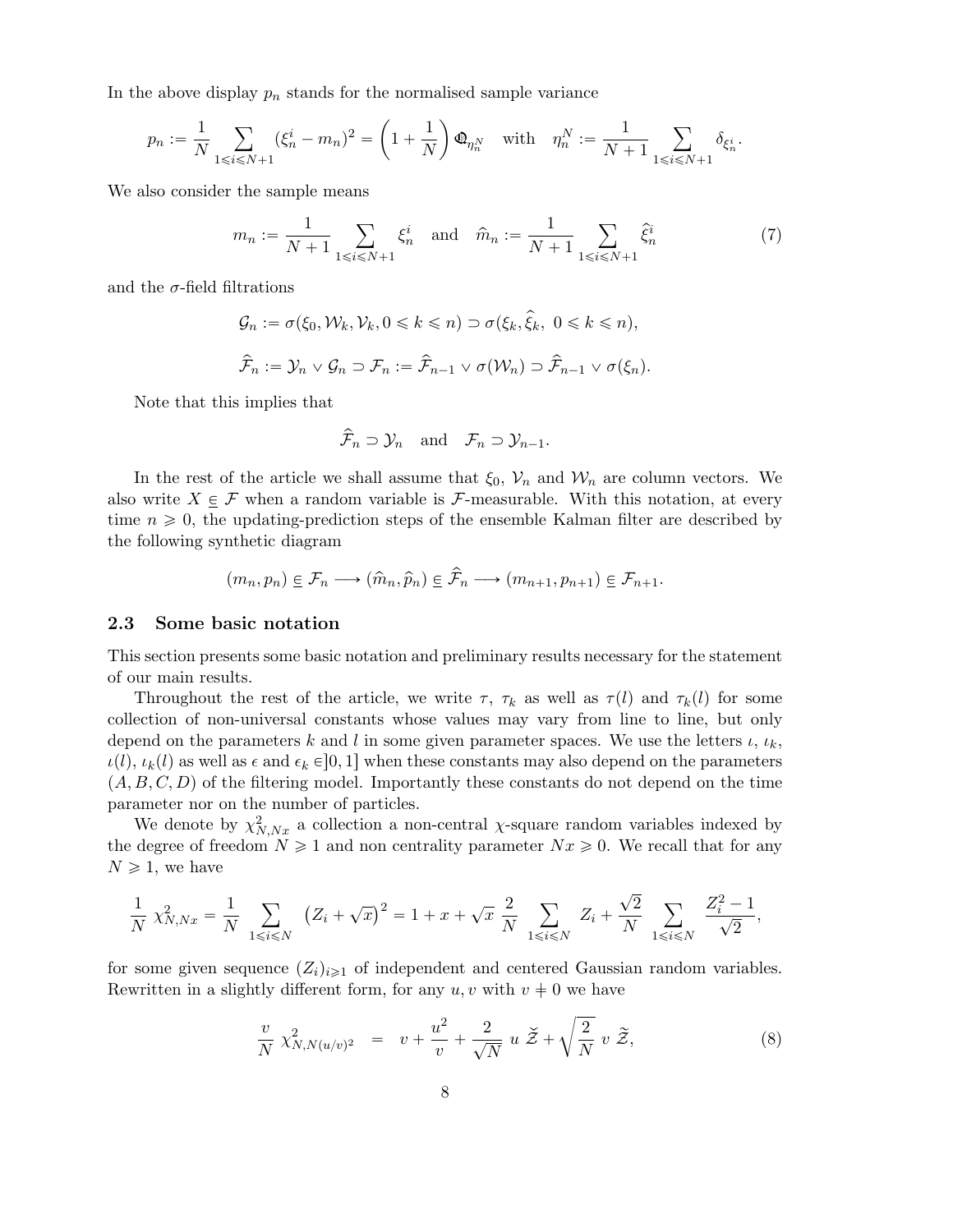In the above display  $p_n$  stands for the normalised sample variance

$$
p_n := \frac{1}{N} \sum_{1 \le i \le N+1} (\xi_n^i - m_n)^2 = \left(1 + \frac{1}{N}\right) \Phi_{\eta_n^N} \quad \text{with} \quad \eta_n^N := \frac{1}{N+1} \sum_{1 \le i \le N+1} \delta_{\xi_n^i}.
$$

We also consider the sample means

$$
m_n := \frac{1}{N+1} \sum_{1 \le i \le N+1} \xi_n^i \quad \text{and} \quad \hat{m}_n := \frac{1}{N+1} \sum_{1 \le i \le N+1} \hat{\xi}_n^i \tag{7}
$$

and the  $\sigma$ -field filtrations

$$
\mathcal{G}_n := \sigma(\xi_0, \mathcal{W}_k, \mathcal{V}_k, 0 \le k \le n) \supset \sigma(\xi_k, \hat{\xi}_k, 0 \le k \le n),
$$
  

$$
\hat{\mathcal{F}}_n := \mathcal{Y}_n \vee \mathcal{G}_n \supset \mathcal{F}_n := \hat{\mathcal{F}}_{n-1} \vee \sigma(\mathcal{W}_n) \supset \hat{\mathcal{F}}_{n-1} \vee \sigma(\xi_n).
$$

Note that this implies that

$$
\widehat{\mathcal{F}}_n \supset \mathcal{Y}_n
$$
 and  $\mathcal{F}_n \supset \mathcal{Y}_{n-1}$ .

In the rest of the article we shall assume that  $\xi_0$ ,  $V_n$  and  $W_n$  are column vectors. We also write  $X \in \mathcal{F}$  when a random variable is F-measurable. With this notation, at every time  $n \geq 0$ , the updating-prediction steps of the ensemble Kalman filter are described by the following synthetic diagram

$$
(m_n, p_n) \in \mathcal{F}_n \longrightarrow (\hat{m}_n, \hat{p}_n) \in \hat{\mathcal{F}}_n \longrightarrow (m_{n+1}, p_{n+1}) \in \mathcal{F}_{n+1}.
$$

#### 2.3 Some basic notation

This section presents some basic notation and preliminary results necessary for the statement of our main results.

Throughout the rest of the article, we write  $\tau$ ,  $\tau_k$  as well as  $\tau(l)$  and  $\tau_k(l)$  for some collection of non-universal constants whose values may vary from line to line, but only depend on the parameters k and l in some given parameter spaces. We use the letters  $\iota, \iota_k$ ,  $\iota(l), \iota_k(l)$  as well as  $\epsilon$  and  $\epsilon_k \in ]0, 1]$  when these constants may also depend on the parameters  $(A, B, C, D)$  of the filtering model. Importantly these constants do not depend on the time parameter nor on the number of particles.

We denote by  $\chi^2_{N,Nx}$  a collection a non-central  $\chi$ -square random variables indexed by the degree of freedom  $N \ge 1$  and non centrality parameter  $Nx \ge 0$ . We recall that for any  $N \geq 1$ , we have

$$
\frac{1}{N} \chi^2_{N,Nx} = \frac{1}{N} \sum_{1 \le i \le N} (Z_i + \sqrt{x})^2 = 1 + x + \sqrt{x} \frac{2}{N} \sum_{1 \le i \le N} Z_i + \frac{\sqrt{2}}{N} \sum_{1 \le i \le N} \frac{Z_i^2 - 1}{\sqrt{2}},
$$

for some given sequence  $(Z_i)_{i\geq 1}$  of independent and centered Gaussian random variables. Rewritten in a slightly different form, for any  $u, v$  with  $v \neq 0$  we have

$$
\frac{v}{N} \chi^2_{N,N(u/v)^2} = v + \frac{u^2}{v} + \frac{2}{\sqrt{N}} u \, \check{\mathcal{Z}} + \sqrt{\frac{2}{N}} v \, \tilde{\mathcal{Z}},\tag{8}
$$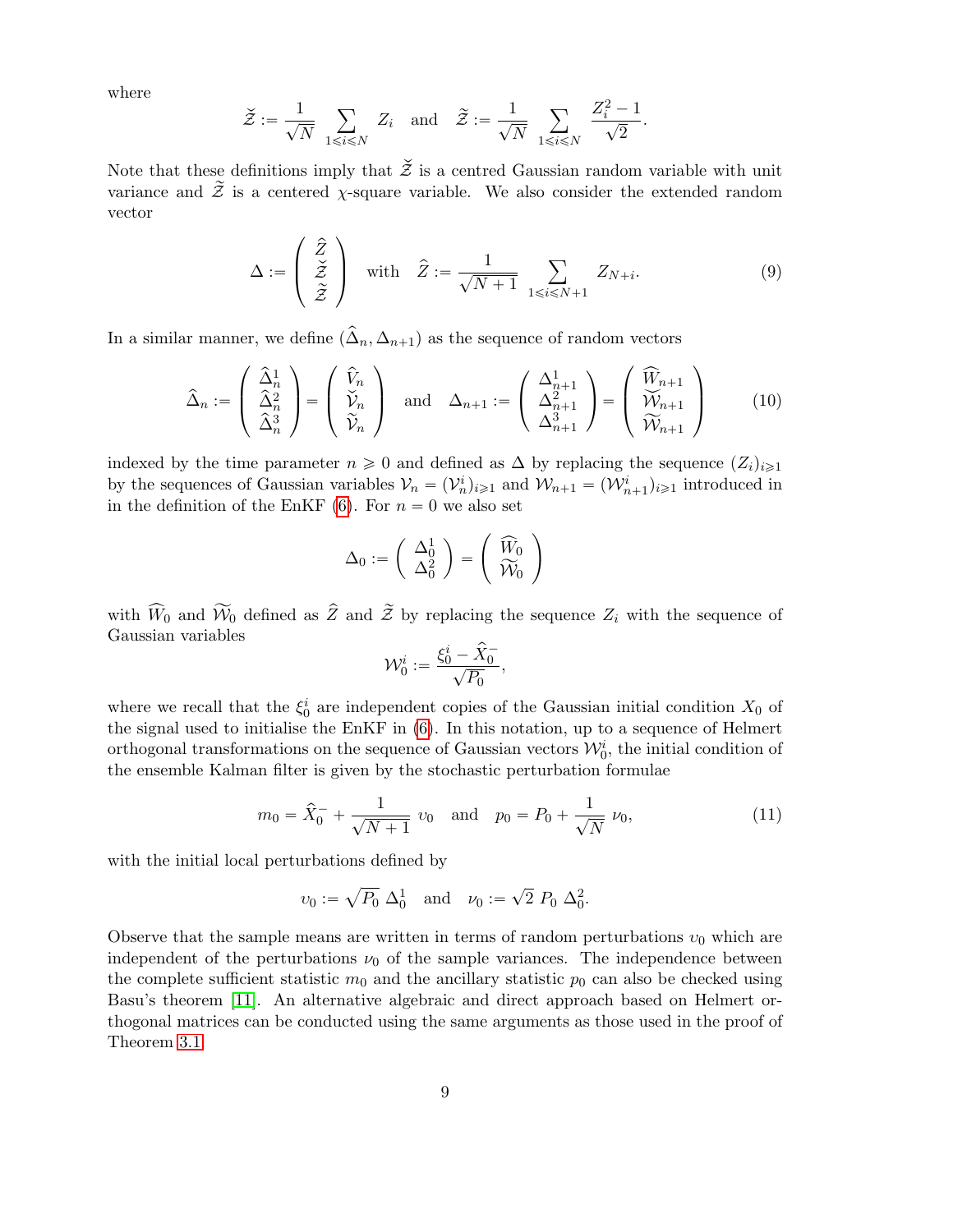where

$$
\check{\mathcal{Z}} := \frac{1}{\sqrt{N}} \sum_{1 \leq i \leq N} Z_i \quad \text{and} \quad \widetilde{\mathcal{Z}} := \frac{1}{\sqrt{N}} \sum_{1 \leq i \leq N} \frac{Z_i^2 - 1}{\sqrt{2}}.
$$

Note that these definitions imply that  $\check{\mathcal{Z}}$  is a centred Gaussian random variable with unit variance and  $\widetilde{\mathcal{Z}}$  is a centered  $\chi$ -square variable. We also consider the extended random vector

$$
\Delta := \begin{pmatrix} \hat{Z} \\ \check{Z} \\ \tilde{Z} \end{pmatrix} \quad \text{with} \quad \hat{Z} := \frac{1}{\sqrt{N+1}} \sum_{1 \le i \le N+1} Z_{N+i}.
$$
 (9)

In a similar manner, we define  $(\hat{\Delta}_n, \Delta_{n+1})$  as the sequence of random vectors

$$
\widehat{\Delta}_n := \begin{pmatrix} \widehat{\Delta}_n^1 \\ \widehat{\Delta}_n^2 \\ \widehat{\Delta}_n^3 \end{pmatrix} = \begin{pmatrix} \widehat{V}_n \\ \widehat{V}_n \\ \widehat{V}_n \end{pmatrix} \text{ and } \Delta_{n+1} := \begin{pmatrix} \Delta_{n+1}^1 \\ \Delta_{n+1}^2 \\ \Delta_{n+1}^3 \end{pmatrix} = \begin{pmatrix} \widehat{W}_{n+1} \\ \widehat{W}_{n+1} \\ \widehat{W}_{n+1} \end{pmatrix}
$$
(10)

indexed by the time parameter  $n \geq 0$  and defined as  $\Delta$  by replacing the sequence  $(Z_i)_{i\geq 1}$ by the sequences of Gaussian variables  $V_n = (V_n^i)_{i \geq 1}$  and  $W_{n+1} = (W_{n+1}^i)_{i \geq 1}$  introduced in in the definition of the EnKF (6). For  $n = 0$  we also set

$$
\Delta_0 := \left(\begin{array}{c} \Delta_0^1 \\ \Delta_0^2 \end{array}\right) = \left(\begin{array}{c} \widehat W_0 \\ \widetilde {\mathcal W}_0 \end{array}\right)
$$

with  $\widehat{W}_0$  and  $\widetilde{W}_0$  defined as  $\widehat{Z}$  and  $\widetilde{Z}$  by replacing the sequence  $Z_i$  with the sequence of Gaussian variables

$$
\mathcal{W}_0^i:=\frac{\xi_0^i-\hat{X}_0^-}{\sqrt{P_0}},
$$

where we recall that the  $\xi_0^i$  are independent copies of the Gaussian initial condition  $X_0$  of the signal used to initialise the EnKF in (6). In this notation, up to a sequence of Helmert orthogonal transformations on the sequence of Gaussian vectors  $\mathcal{W}_0^i$ , the initial condition of the ensemble Kalman filter is given by the stochastic perturbation formulae

$$
m_0 = \hat{X}_0^- + \frac{1}{\sqrt{N+1}} v_0 \quad \text{and} \quad p_0 = P_0 + \frac{1}{\sqrt{N}} v_0,
$$
\n(11)

with the initial local perturbations defined by

$$
v_0 := \sqrt{P_0} \; \Delta_0^1
$$
 and  $v_0 := \sqrt{2} \; P_0 \; \Delta_0^2$ .

Observe that the sample means are written in terms of random perturbations  $v_0$  which are independent of the perturbations  $\nu_0$  of the sample variances. The independence between the complete sufficient statistic  $m_0$  and the ancillary statistic  $p_0$  can also be checked using Basu's theorem [11]. An alternative algebraic and direct approach based on Helmert orthogonal matrices can be conducted using the same arguments as those used in the proof of Theorem 3.1.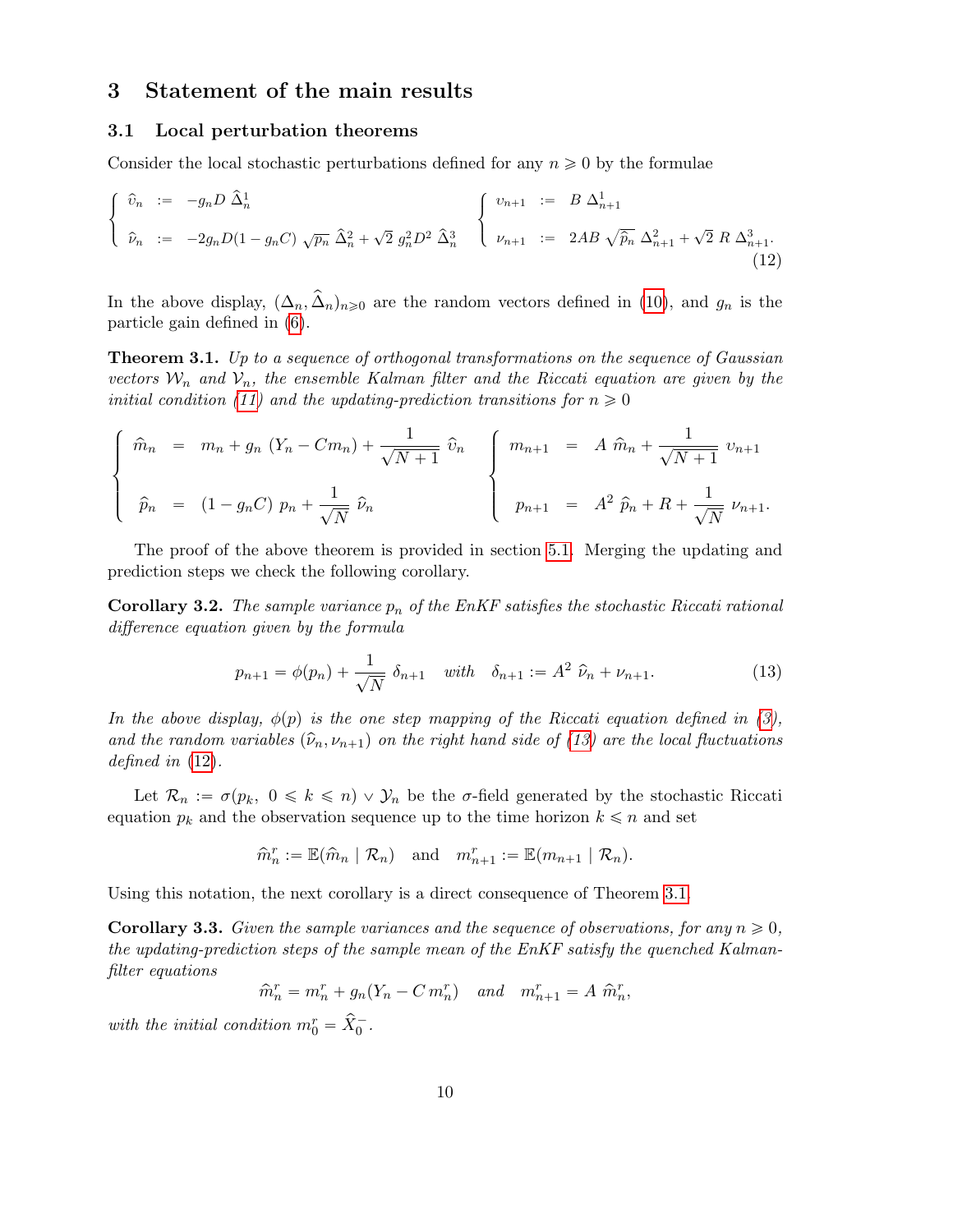# 3 Statement of the main results

#### 3.1 Local perturbation theorems

Consider the local stochastic perturbations defined for any  $n \geq 0$  by the formulae

$$
\begin{cases}\n\hat{v}_n := -g_n D \,\hat{\Delta}_n^1 \\
\hat{v}_n := -2g_n D (1 - g_n C) \sqrt{p_n} \,\hat{\Delta}_n^2 + \sqrt{2} \, g_n^2 D^2 \,\hat{\Delta}_n^3\n\end{cases}\n\begin{cases}\nv_{n+1} := B \,\Delta_{n+1}^1 \\
v_{n+1} := 2AB \,\sqrt{\hat{p}_n} \,\Delta_{n+1}^2 + \sqrt{2} \, R \,\Delta_{n+1}^3.\n\end{cases}
$$
\n(12)

In the above display,  $(\Delta_n, \hat{\Delta}_n)_{n\geq 0}$  are the random vectors defined in (10), and  $g_n$  is the particle gain defined in (6).

Theorem 3.1. Up to a sequence of orthogonal transformations on the sequence of Gaussian vectors  $W_n$  and  $V_n$ , the ensemble Kalman filter and the Riccati equation are given by the initial condition (11) and the updating-prediction transitions for  $n \geq 0$ 

$$
\begin{cases}\n\hat{m}_n = m_n + g_n (Y_n - Cm_n) + \frac{1}{\sqrt{N+1}} \hat{v}_n \\
\hat{p}_n = (1 - g_n C) p_n + \frac{1}{\sqrt{N}} \hat{v}_n\n\end{cases}\n\begin{cases}\nm_{n+1} = A \hat{m}_n + \frac{1}{\sqrt{N+1}} v_{n+1} \\
p_{n+1} = A^2 \hat{p}_n + R + \frac{1}{\sqrt{N}} v_{n+1}.\n\end{cases}
$$

The proof of the above theorem is provided in section 5.1. Merging the updating and prediction steps we check the following corollary.

**Corollary 3.2.** The sample variance  $p_n$  of the EnKF satisfies the stochastic Riccati rational difference equation given by the formula

$$
p_{n+1} = \phi(p_n) + \frac{1}{\sqrt{N}} \delta_{n+1} \quad \text{with} \quad \delta_{n+1} := A^2 \ \hat{\nu}_n + \nu_{n+1}.
$$
 (13)

In the above display,  $\phi(p)$  is the one step mapping of the Riccati equation defined in (3), and the random variables  $(\hat{\nu}_n, \nu_{n+1})$  on the right hand side of (13) are the local fluctuations defined in (12).

Let  $\mathcal{R}_n := \sigma(p_k, 0 \leq k \leq n) \vee \mathcal{Y}_n$  be the  $\sigma$ -field generated by the stochastic Riccati equation  $p_k$  and the observation sequence up to the time horizon  $k \leq n$  and set

$$
\widehat{m}_n^r := \mathbb{E}(\widehat{m}_n \mid \mathcal{R}_n) \quad \text{and} \quad m_{n+1}^r := \mathbb{E}(m_{n+1} \mid \mathcal{R}_n).
$$

Using this notation, the next corollary is a direct consequence of Theorem 3.1.

**Corollary 3.3.** Given the sample variances and the sequence of observations, for any  $n \geq 0$ . the updating-prediction steps of the sample mean of the  $EnKF$  satisfy the quenched Kalmanfilter equations

$$
\widehat{m}_n^r = m_n^r + g_n(Y_n - C m_n^r) \quad and \quad m_{n+1}^r = A \widehat{m}_n^r,
$$

with the initial condition  $m_0^r = \hat{X}_0^-$ .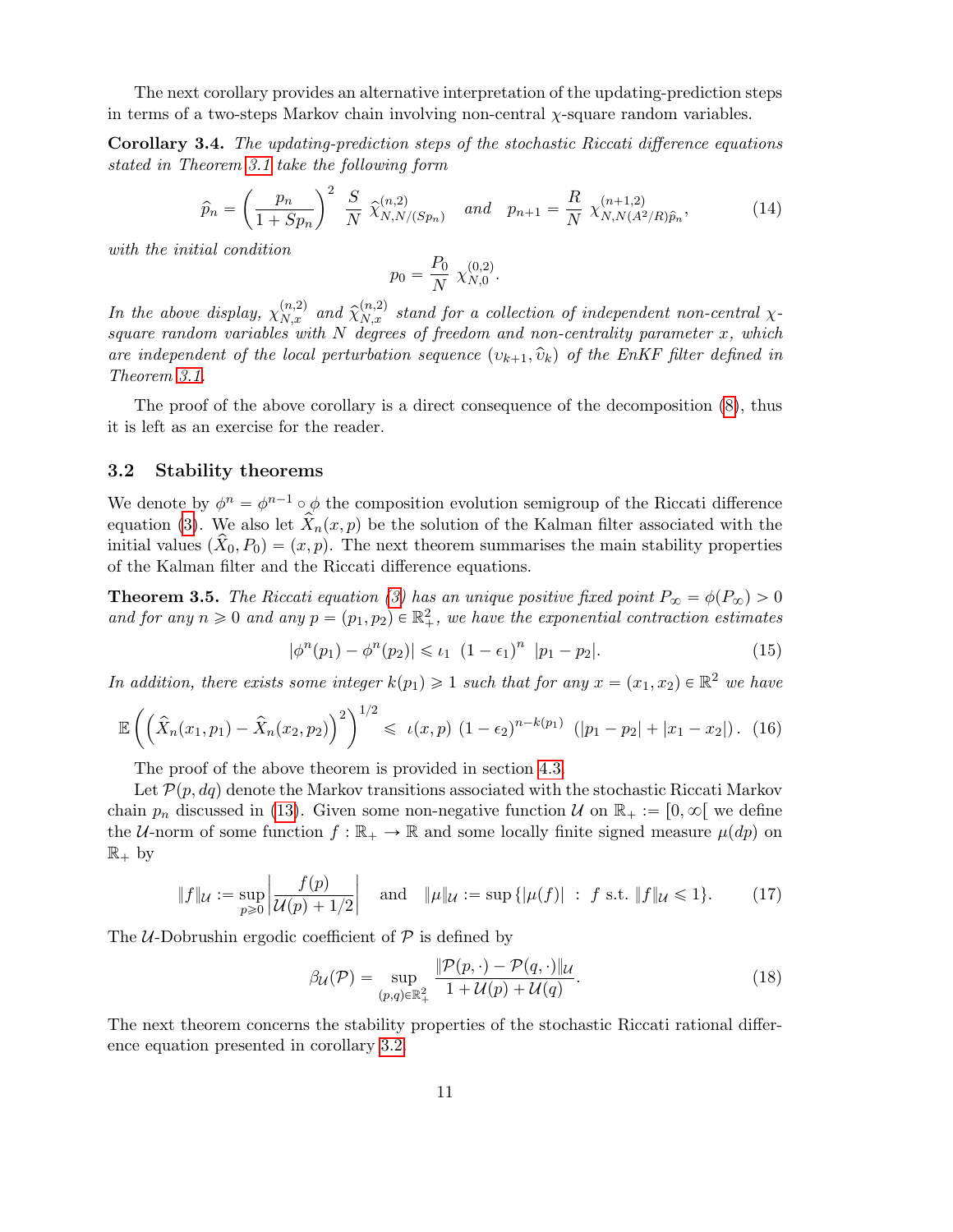The next corollary provides an alternative interpretation of the updating-prediction steps in terms of a two-steps Markov chain involving non-central  $\chi$ -square random variables.

Corollary 3.4. The updating-prediction steps of the stochastic Riccati difference equations stated in Theorem 3.1 take the following form

$$
\widehat{p}_n = \left(\frac{p_n}{1+Sp_n}\right)^2 \frac{S}{N} \widehat{\chi}_{N,N/(Sp_n)}^{(n,2)} \quad and \quad p_{n+1} = \frac{R}{N} \chi_{N,N(A^2/R)\widehat{p}_n}^{(n+1,2)},
$$
\n(14)

with the initial condition

$$
p_0 = \frac{P_0}{N} \chi_{N,0}^{(0,2)}.
$$

In the above display,  $\chi_{N,x}^{(n,2)}$  and  $\hat{\chi}_{N,x}^{(n,2)}$  stand for a collection of independent non-central  $\chi$ square random variables with  $N$  degrees of freedom and non-centrality parameter  $x$ , which are independent of the local perturbation sequence  $(v_{k+1}, \hat{v}_k)$  of the EnKF filter defined in Theorem 3.1.

The proof of the above corollary is a direct consequence of the decomposition (8), thus it is left as an exercise for the reader.

### 3.2 Stability theorems

We denote by  $\phi^n = \phi^{n-1} \circ \phi$  the composition evolution semigroup of the Riccati difference equation (3). We also let  $\hat{X}_n(x, p)$  be the solution of the Kalman filter associated with the initial values  $(X_0, P_0) = (x, p)$ . The next theorem summarises the main stability properties of the Kalman filter and the Riccati difference equations.

**Theorem 3.5.** The Riccati equation (3) has an unique positive fixed point  $P_{\infty} = \phi(P_{\infty}) > 0$ and for any  $n \geq 0$  and any  $p = (p_1, p_2) \in \mathbb{R}^2_+$ , we have the exponential contraction estimates

$$
|\phi^{n}(p_1) - \phi^{n}(p_2)| \leq \iota_1 (1 - \epsilon_1)^{n} |p_1 - p_2|.
$$
 (15)

In addition, there exists some integer  $k(p_1) \geq 1$  such that for any  $x = (x_1, x_2) \in \mathbb{R}^2$  we have

$$
\mathbb{E}\left(\left(\hat{X}_n(x_1,p_1) - \hat{X}_n(x_2,p_2)\right)^2\right)^{1/2} \leq \iota(x,p) \left(1 - \epsilon_2\right)^{n-k(p_1)} \left(|p_1 - p_2| + |x_1 - x_2|\right). \tag{16}
$$

The proof of the above theorem is provided in section 4.3.

Let  $\mathcal{P}(p, dq)$  denote the Markov transitions associated with the stochastic Riccati Markov chain  $p_n$  discussed in (13). Given some non-negative function U on  $\mathbb{R}_+ := [0, \infty[$  we define the U-norm of some function  $f : \mathbb{R}_+ \to \mathbb{R}$  and some locally finite signed measure  $\mu(dp)$  on  $\mathbb{R}_+$  by

$$
\|f\|_{\mathcal{U}} := \sup_{p \geq 0} \left| \frac{f(p)}{\mathcal{U}(p) + 1/2} \right| \quad \text{and} \quad \|\mu\|_{\mathcal{U}} := \sup \{ |\mu(f)| \ : \ f \text{ s.t. } \|f\|_{\mathcal{U}} \leq 1 \}. \tag{17}
$$

The *U*-Dobrushin ergodic coefficient of  $P$  is defined by

$$
\beta_{\mathcal{U}}(\mathcal{P}) = \sup_{(p,q)\in\mathbb{R}^2_+} \frac{\|\mathcal{P}(p,\cdot)-\mathcal{P}(q,\cdot)\|_{\mathcal{U}}}{1+\mathcal{U}(p)+\mathcal{U}(q)}.
$$
\n(18)

The next theorem concerns the stability properties of the stochastic Riccati rational difference equation presented in corollary 3.2.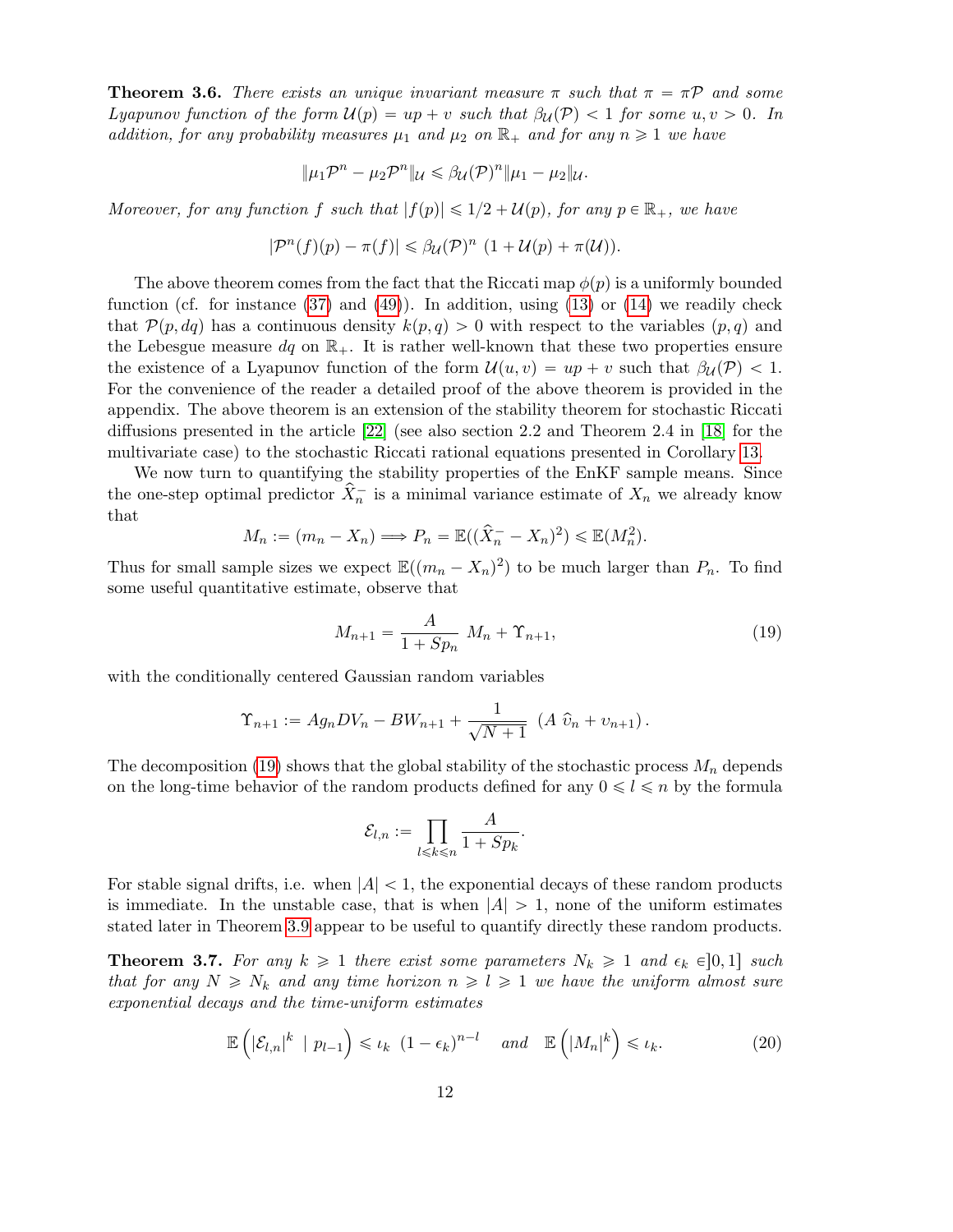**Theorem 3.6.** There exists an unique invariant measure  $\pi$  such that  $\pi = \pi \mathcal{P}$  and some Lyapunov function of the form  $\mathcal{U}(p) = up + v$  such that  $\beta_{\mathcal{U}}(\mathcal{P}) < 1$  for some  $u, v > 0$ . In addition, for any probability measures  $\mu_1$  and  $\mu_2$  on  $\mathbb{R}_+$  and for any  $n \geq 1$  we have

$$
\|\mu_1\mathcal{P}^n-\mu_2\mathcal{P}^n\|_{\mathcal{U}}\leq \beta_{\mathcal{U}}(\mathcal{P})^n\|\mu_1-\mu_2\|_{\mathcal{U}}.
$$

Moreover, for any function f such that  $|f(p)| \leq 1/2 + \mathcal{U}(p)$ , for any  $p \in \mathbb{R}_+$ , we have

$$
|\mathcal{P}^n(f)(p) - \pi(f)| \leq \beta_{\mathcal{U}}(\mathcal{P})^n (1 + \mathcal{U}(p) + \pi(\mathcal{U})).
$$

The above theorem comes from the fact that the Riccati map  $\phi(p)$  is a uniformly bounded function (cf. for instance  $(37)$  and  $(49)$ ). In addition, using  $(13)$  or  $(14)$  we readily check that  $\mathcal{P}(p, dq)$  has a continuous density  $k(p, q) > 0$  with respect to the variables  $(p, q)$  and the Lebesgue measure  $dq$  on  $\mathbb{R}_+$ . It is rather well-known that these two properties ensure the existence of a Lyapunov function of the form  $\mathcal{U}(u, v) = up + v$  such that  $\beta_{\mathcal{U}}(\mathcal{P}) < 1$ . For the convenience of the reader a detailed proof of the above theorem is provided in the appendix. The above theorem is an extension of the stability theorem for stochastic Riccati diffusions presented in the article [22] (see also section 2.2 and Theorem 2.4 in [18] for the multivariate case) to the stochastic Riccati rational equations presented in Corollary 13.

We now turn to quantifying the stability properties of the EnKF sample means. Since the one-step optimal predictor  $\hat{X}_n^-$  is a minimal variance estimate of  $X_n$  we already know that

$$
M_n := (m_n - X_n) \Longrightarrow P_n = \mathbb{E}((\hat{X}_n - X_n)^2) \le \mathbb{E}(M_n^2).
$$

Thus for small sample sizes we expect  $\mathbb{E}((m_n - X_n)^2)$  to be much larger than  $P_n$ . To find some useful quantitative estimate, observe that

$$
M_{n+1} = \frac{A}{1 + Sp_n} M_n + \Upsilon_{n+1},
$$
\n(19)

with the conditionally centered Gaussian random variables

$$
\Upsilon_{n+1} := Ag_n DV_n - BW_{n+1} + \frac{1}{\sqrt{N+1}} (A \hat{v}_n + v_{n+1}).
$$

The decomposition (19) shows that the global stability of the stochastic process  $M_n$  depends on the long-time behavior of the random products defined for any  $0 \le l \le n$  by the formula

$$
\mathcal{E}_{l,n} := \prod_{l \leq k \leq n} \frac{A}{1 + Sp_k}.
$$

For stable signal drifts, i.e. when  $|A| < 1$ , the exponential decays of these random products is immediate. In the unstable case, that is when  $|A| > 1$ , none of the uniform estimates stated later in Theorem 3.9 appear to be useful to quantify directly these random products.

**Theorem 3.7.** For any  $k \geq 1$  there exist some parameters  $N_k \geq 1$  and  $\epsilon_k \in ]0,1]$  such that for any  $N \ge N_k$  and any time horizon  $n \ge l \ge 1$  we have the uniform almost sure exponential decays and the time-uniform estimates

$$
\mathbb{E}\left(\left|\mathcal{E}_{l,n}\right|^{k} \mid p_{l-1}\right) \leqslant \iota_{k} \left(1-\epsilon_{k}\right)^{n-l} \quad \text{and} \quad \mathbb{E}\left(\left|M_{n}\right|^{k}\right) \leqslant \iota_{k}.\tag{20}
$$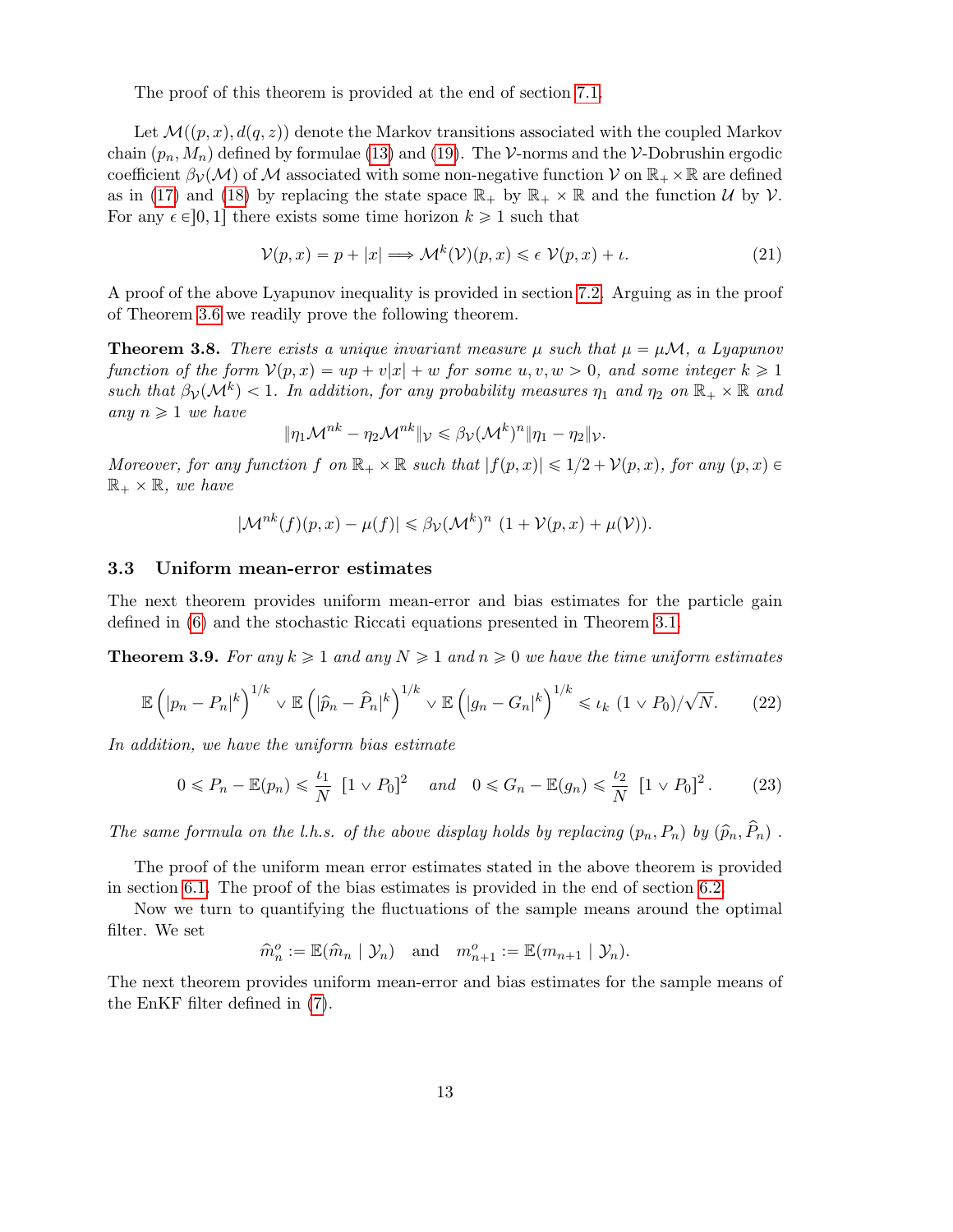The proof of this theorem is provided at the end of section 7.1.

Let  $\mathcal{M}((p, x), d(q, z))$  denote the Markov transitions associated with the coupled Markov chain  $(p_n, M_n)$  defined by formulae (13) and (19). The V-norms and the V-Dobrushin ergodic coefficient  $\beta_{\mathcal{V}}(\mathcal{M})$  of M associated with some non-negative function V on  $\mathbb{R}_+ \times \mathbb{R}$  are defined as in (17) and (18) by replacing the state space  $\mathbb{R}_+$  by  $\mathbb{R}_+ \times \mathbb{R}$  and the function U by V. For any  $\epsilon \in ]0, 1]$  there exists some time horizon  $k \geq 1$  such that

$$
\mathcal{V}(p,x) = p + |x| \Longrightarrow \mathcal{M}^k(\mathcal{V})(p,x) \leq \epsilon \ \mathcal{V}(p,x) + \iota. \tag{21}
$$

A proof of the above Lyapunov inequality is provided in section 7.2. Arguing as in the proof of Theorem 3.6 we readily prove the following theorem.

**Theorem 3.8.** There exists a unique invariant measure  $\mu$  such that  $\mu = \mu \mathcal{M}$ , a Lyapunov function of the form  $\mathcal{V}(p, x) = up + v|x| + w$  for some u,  $v, w > 0$ , and some integer  $k \geq 1$ such that  $\beta_{\mathcal{V}}(\mathcal{M}^k) < 1$ . In addition, for any probability measures  $\eta_1$  and  $\eta_2$  on  $\mathbb{R}_+ \times \mathbb{R}$  and any  $n \geqslant 1$  we have

$$
\|\eta_1\mathcal{M}^{nk}-\eta_2\mathcal{M}^{nk}\|_{\mathcal{V}}\leq \beta_{\mathcal{V}}(\mathcal{M}^k)^n\|\eta_1-\eta_2\|_{\mathcal{V}}.
$$

Moreover, for any function f on  $\mathbb{R}_+ \times \mathbb{R}$  such that  $|f(p, x)| \leq 1/2 + \mathcal{V}(p, x)$ , for any  $(p, x) \in$  $\mathbb{R}_+ \times \mathbb{R}$ , we have

$$
|\mathcal{M}^{nk}(f)(p,x) - \mu(f)| \leq \beta_{\mathcal{V}}(\mathcal{M}^{k})^{n} (1 + \mathcal{V}(p,x) + \mu(\mathcal{V})).
$$

### 3.3 Uniform mean-error estimates

The next theorem provides uniform mean-error and bias estimates for the particle gain defined in (6) and the stochastic Riccati equations presented in Theorem 3.1.

**Theorem 3.9.** For any  $k \geq 1$  and any  $N \geq 1$  and  $n \geq 0$  we have the time uniform estimates

$$
\mathbb{E}\left(|p_n - P_n|^k\right)^{1/k} \vee \mathbb{E}\left(|\widehat{p}_n - \widehat{P}_n|^k\right)^{1/k} \vee \mathbb{E}\left(|g_n - G_n|^k\right)^{1/k} \leq \iota_k \ (1 \vee P_0)/\sqrt{N}.\tag{22}
$$

In addition, we have the uniform bias estimate

$$
0 \le P_n - \mathbb{E}(p_n) \le \frac{\iota_1}{N} \left[ 1 \vee P_0 \right]^2 \quad \text{and} \quad 0 \le G_n - \mathbb{E}(g_n) \le \frac{\iota_2}{N} \left[ 1 \vee P_0 \right]^2. \tag{23}
$$

The same formula on the l.h.s. of the above display holds by replacing  $(p_n, P_n)$  by  $(\widehat{p}_n, \widehat{P}_n)$ .

The proof of the uniform mean error estimates stated in the above theorem is provided in section 6.1. The proof of the bias estimates is provided in the end of section 6.2.

Now we turn to quantifying the fluctuations of the sample means around the optimal filter. We set

$$
\widehat{m}_n^o := \mathbb{E}(\widehat{m}_n \mid \mathcal{Y}_n) \quad \text{and} \quad m_{n+1}^o := \mathbb{E}(m_{n+1} \mid \mathcal{Y}_n).
$$

The next theorem provides uniform mean-error and bias estimates for the sample means of the EnKF filter defined in (7).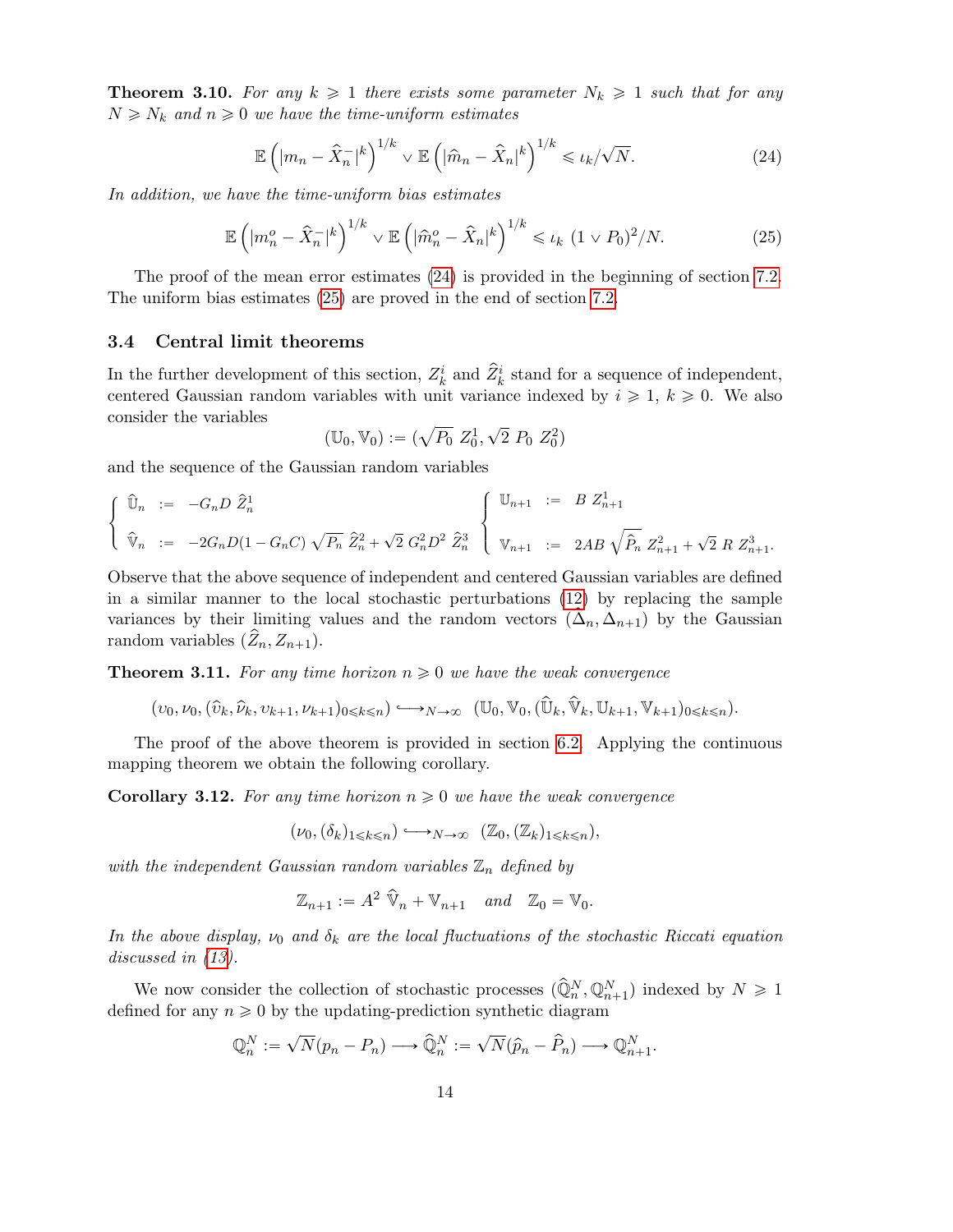**Theorem 3.10.** For any  $k \ge 1$  there exists some parameter  $N_k \ge 1$  such that for any  $N \geq N_k$  and  $n \geq 0$  we have the time-uniform estimates

$$
\mathbb{E}\left(|m_n - \hat{X}_n^-|^k\right)^{1/k} \vee \mathbb{E}\left(|\hat{m}_n - \hat{X}_n|^k\right)^{1/k} \leq \iota_k/\sqrt{N}.\tag{24}
$$

In addition, we have the time-uniform bias estimates

$$
\mathbb{E}\left(\left|m_n^o - \hat{X}_n^-\right|^k\right)^{1/k} \vee \mathbb{E}\left(\left|\hat{m}_n^o - \hat{X}_n\right|^k\right)^{1/k} \leq \iota_k \ (1 \vee P_0)^2/N. \tag{25}
$$

The proof of the mean error estimates (24) is provided in the beginning of section 7.2. The uniform bias estimates (25) are proved in the end of section 7.2.

## 3.4 Central limit theorems

In the further development of this section,  $Z_k^i$  and  $\hat{Z}_k^i$  stand for a sequence of independent, centered Gaussian random variables with unit variance indexed by  $i \geq 1, k \geq 0$ . We also consider the variables  $\overline{\phantom{a}}$ 

$$
(\mathbb{U}_0, \mathbb{V}_0) := (\sqrt{P_0} \ Z_0^1, \sqrt{2} \ P_0 \ Z_0^2)
$$

and the sequence of the Gaussian random variables

$$
\begin{cases} \begin{array}{rcl} \widehat{\mathbb{U}}_n & := & -G_n D \ \widehat{Z}_n^1 \end{array} & \\ \widehat{\mathbb{V}}_n & := & -2G_n D (1-G_n C) \ \sqrt{P_n} \ \widehat{Z}_n^2 + \sqrt{2} \ G_n^2 D^2 \ \widehat{Z}_n^3 \end{array} \end{cases} \begin{cases} \begin{array}{rcl} \mathbb{U}_{n+1} & := & B Z_{n+1}^1 \\ \mathbb{V}_{n+1} & := & 2AB \ \sqrt{\widehat{P}_n} \ Z_{n+1}^2 + \sqrt{2} \ R \ Z_{n+1}^3 \end{array} \end{cases}
$$

Observe that the above sequence of independent and centered Gaussian variables are defined in a similar manner to the local stochastic perturbations (12) by replacing the sample variances by their limiting values and the random vectors  $(\Delta_n, \Delta_{n+1})$  by the Gaussian random variables  $(\tilde{Z}_n, Z_{n+1}).$ 

**Theorem 3.11.** For any time horizon  $n \geq 0$  we have the weak convergence

$$
(v_0,\nu_0, (\widehat{v}_k,\widehat{\nu}_k,v_{k+1},\nu_{k+1})_{0\leqslant k\leqslant n})\longleftrightarrow_{N\to\infty} (\mathbb{U}_0,\mathbb{V}_0,(\widehat{\mathbb{U}}_k,\widehat{\mathbb{V}}_k,\mathbb{U}_{k+1},\mathbb{V}_{k+1})_{0\leqslant k\leqslant n}).
$$

The proof of the above theorem is provided in section 6.2. Applying the continuous mapping theorem we obtain the following corollary.

**Corollary 3.12.** For any time horizon  $n \geq 0$  we have the weak convergence

$$
(\nu_0, (\delta_k)_{1 \leq k \leq n}) \hookrightarrow_{N \to \infty} (\mathbb{Z}_0, (\mathbb{Z}_k)_{1 \leq k \leq n}),
$$

with the independent Gaussian random variables  $\mathbb{Z}_n$  defined by

$$
\mathbb{Z}_{n+1} := A^2 \widehat{\mathbb{V}}_n + \mathbb{V}_{n+1} \quad and \quad \mathbb{Z}_0 = \mathbb{V}_0.
$$

In the above display,  $\nu_0$  and  $\delta_k$  are the local fluctuations of the stochastic Riccati equation discussed in  $(13)$ .

We now consider the collection of stochastic processes  $(\widehat{Q}_n^N, \mathbb{Q}_{n+1}^N)$  indexed by  $N \geq 1$ defined for any  $n \geq 0$  by the updating-prediction synthetic diagram

$$
\mathbb{Q}_n^N := \sqrt{N}(p_n - P_n) \longrightarrow \widehat{\mathbb{Q}}_n^N := \sqrt{N}(\widehat{p}_n - \widehat{P}_n) \longrightarrow \mathbb{Q}_{n+1}^N.
$$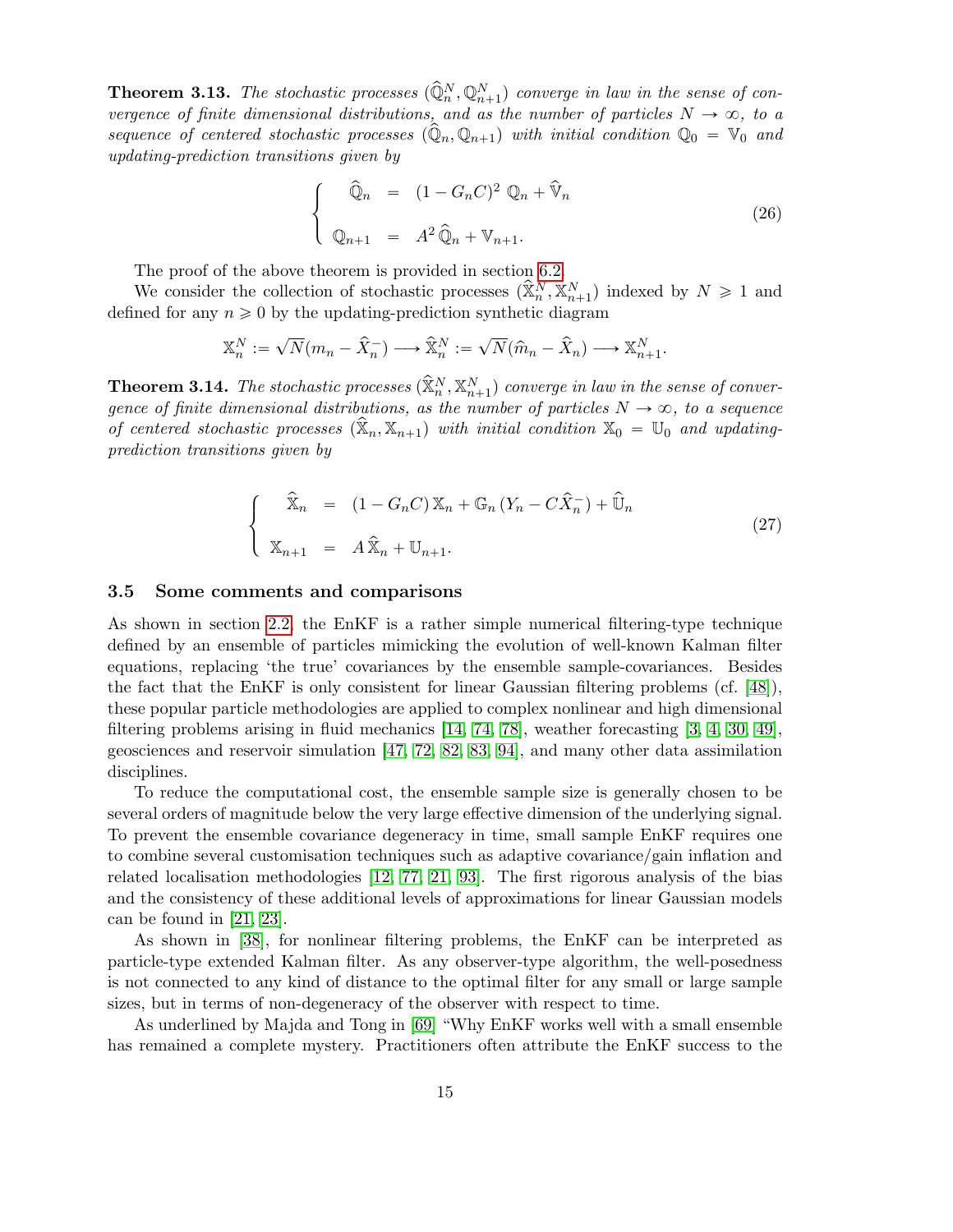**Theorem 3.13.** The stochastic processes  $(\widehat{Q}_n^N, Q_{n+1}^N)$  converge in law in the sense of convergence of finite dimensional distributions, and as the number of particles  $N \to \infty$ , to a sequence of centered stochastic processes  $(\widehat{Q}_n, Q_{n+1})$  with initial condition  $Q_0 = V_0$  and updating-prediction transitions given by

$$
\begin{cases}\n\widehat{\mathbb{Q}}_n = (1 - G_n C)^2 \mathbb{Q}_n + \widehat{\mathbb{V}}_n \\
\mathbb{Q}_{n+1} = A^2 \widehat{\mathbb{Q}}_n + \mathbb{V}_{n+1}.\n\end{cases}
$$
\n(26)

The proof of the above theorem is provided in section 6.2.

We consider the collection of stochastic processes  $(\widehat{\mathbb{X}}_n^N, \mathbb{X}_{n+1}^N)$  indexed by  $N \geq 1$  and defined for any  $n \geq 0$  by the updating-prediction synthetic diagram

$$
\mathbb{X}_n^N := \sqrt{N}(m_n - \hat{X}_n^-) \longrightarrow \hat{\mathbb{X}}_n^N := \sqrt{N}(\hat{m}_n - \hat{X}_n) \longrightarrow \mathbb{X}_{n+1}^N.
$$

**Theorem 3.14.** The stochastic processes  $(\widehat{\mathbb{X}}_n^N, \mathbb{X}_{n+1}^N)$  converge in law in the sense of convergence of finite dimensional distributions, as the number of particles  $N \to \infty$ , to a sequence of centered stochastic processes  $(\hat{X}_n, X_{n+1})$  with initial condition  $X_0 = U_0$  and updatingprediction transitions given by

$$
\begin{cases}\n\widehat{\mathbb{X}}_n = (1 - G_n C) \mathbb{X}_n + \mathbb{G}_n (Y_n - C \widehat{X}_n^-) + \widehat{\mathbb{U}}_n \\
\mathbb{X}_{n+1} = A \widehat{\mathbb{X}}_n + \mathbb{U}_{n+1}.\n\end{cases}
$$
\n(27)

#### 3.5 Some comments and comparisons

As shown in section 2.2, the EnKF is a rather simple numerical filtering-type technique defined by an ensemble of particles mimicking the evolution of well-known Kalman filter equations, replacing 'the true' covariances by the ensemble sample-covariances. Besides the fact that the EnKF is only consistent for linear Gaussian filtering problems (cf. [48]), these popular particle methodologies are applied to complex nonlinear and high dimensional filtering problems arising in fluid mechanics [14, 74, 78], weather forecasting [3, 4, 30, 49], geosciences and reservoir simulation [47, 72, 82, 83, 94], and many other data assimilation disciplines.

To reduce the computational cost, the ensemble sample size is generally chosen to be several orders of magnitude below the very large effective dimension of the underlying signal. To prevent the ensemble covariance degeneracy in time, small sample EnKF requires one to combine several customisation techniques such as adaptive covariance/gain inflation and related localisation methodologies [12, 77, 21, 93]. The first rigorous analysis of the bias and the consistency of these additional levels of approximations for linear Gaussian models can be found in [21, 23].

As shown in [38], for nonlinear filtering problems, the EnKF can be interpreted as particle-type extended Kalman filter. As any observer-type algorithm, the well-posedness is not connected to any kind of distance to the optimal filter for any small or large sample sizes, but in terms of non-degeneracy of the observer with respect to time.

As underlined by Majda and Tong in [69] "Why EnKF works well with a small ensemble has remained a complete mystery. Practitioners often attribute the EnKF success to the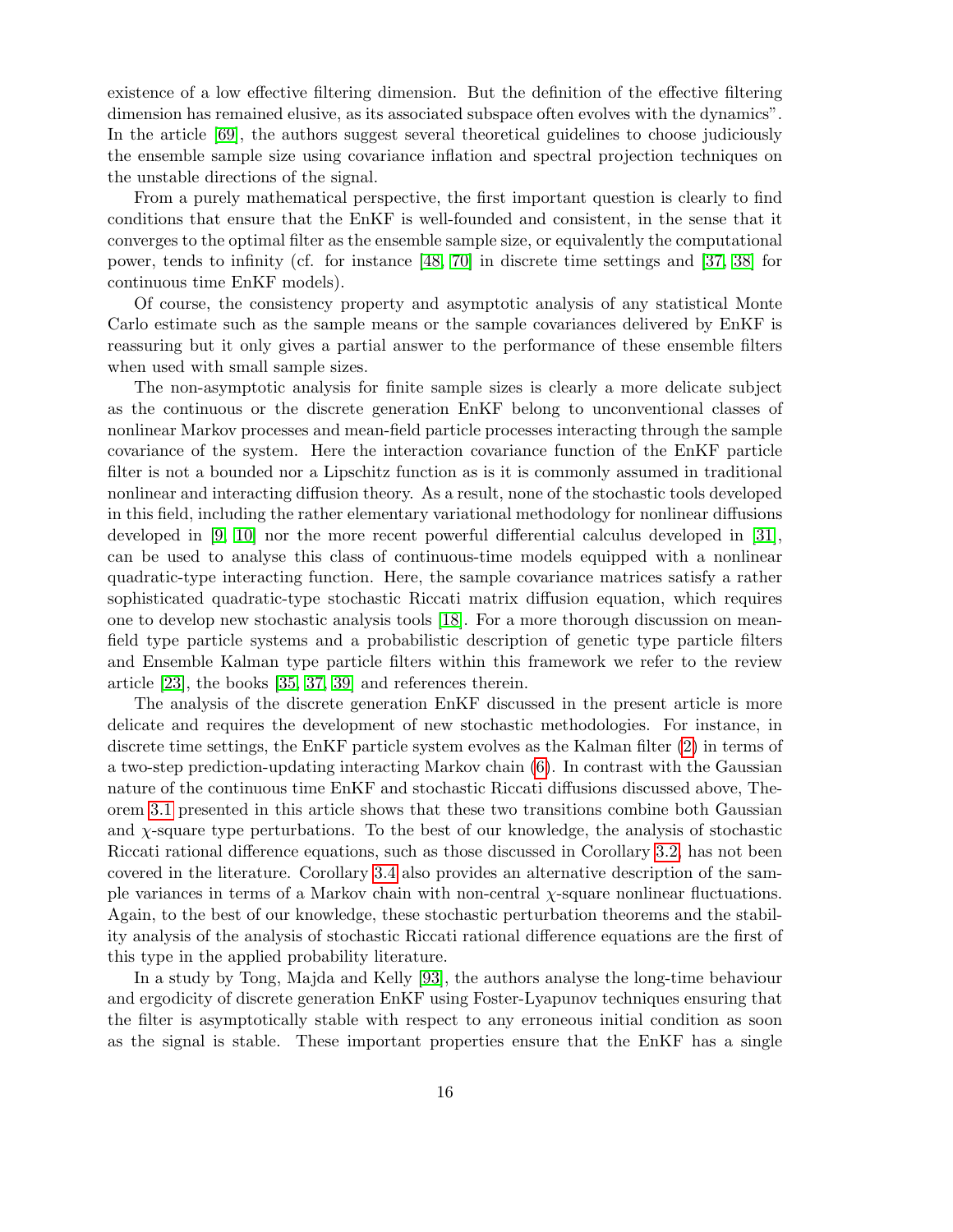existence of a low effective filtering dimension. But the definition of the effective filtering dimension has remained elusive, as its associated subspace often evolves with the dynamics". In the article [69], the authors suggest several theoretical guidelines to choose judiciously the ensemble sample size using covariance inflation and spectral projection techniques on the unstable directions of the signal.

From a purely mathematical perspective, the first important question is clearly to find conditions that ensure that the EnKF is well-founded and consistent, in the sense that it converges to the optimal filter as the ensemble sample size, or equivalently the computational power, tends to infinity (cf. for instance [48, 70] in discrete time settings and [37, 38] for continuous time EnKF models).

Of course, the consistency property and asymptotic analysis of any statistical Monte Carlo estimate such as the sample means or the sample covariances delivered by EnKF is reassuring but it only gives a partial answer to the performance of these ensemble filters when used with small sample sizes.

The non-asymptotic analysis for finite sample sizes is clearly a more delicate subject as the continuous or the discrete generation EnKF belong to unconventional classes of nonlinear Markov processes and mean-field particle processes interacting through the sample covariance of the system. Here the interaction covariance function of the EnKF particle filter is not a bounded nor a Lipschitz function as is it is commonly assumed in traditional nonlinear and interacting diffusion theory. As a result, none of the stochastic tools developed in this field, including the rather elementary variational methodology for nonlinear diffusions developed in [9, 10] nor the more recent powerful differential calculus developed in [31], can be used to analyse this class of continuous-time models equipped with a nonlinear quadratic-type interacting function. Here, the sample covariance matrices satisfy a rather sophisticated quadratic-type stochastic Riccati matrix diffusion equation, which requires one to develop new stochastic analysis tools [18]. For a more thorough discussion on meanfield type particle systems and a probabilistic description of genetic type particle filters and Ensemble Kalman type particle filters within this framework we refer to the review article [23], the books [35, 37, 39] and references therein.

The analysis of the discrete generation EnKF discussed in the present article is more delicate and requires the development of new stochastic methodologies. For instance, in discrete time settings, the EnKF particle system evolves as the Kalman filter (2) in terms of a two-step prediction-updating interacting Markov chain (6). In contrast with the Gaussian nature of the continuous time EnKF and stochastic Riccati diffusions discussed above, Theorem 3.1 presented in this article shows that these two transitions combine both Gaussian and  $\chi$ -square type perturbations. To the best of our knowledge, the analysis of stochastic Riccati rational difference equations, such as those discussed in Corollary 3.2, has not been covered in the literature. Corollary 3.4 also provides an alternative description of the sample variances in terms of a Markov chain with non-central  $\chi$ -square nonlinear fluctuations. Again, to the best of our knowledge, these stochastic perturbation theorems and the stability analysis of the analysis of stochastic Riccati rational difference equations are the first of this type in the applied probability literature.

In a study by Tong, Majda and Kelly [93], the authors analyse the long-time behaviour and ergodicity of discrete generation EnKF using Foster-Lyapunov techniques ensuring that the filter is asymptotically stable with respect to any erroneous initial condition as soon as the signal is stable. These important properties ensure that the EnKF has a single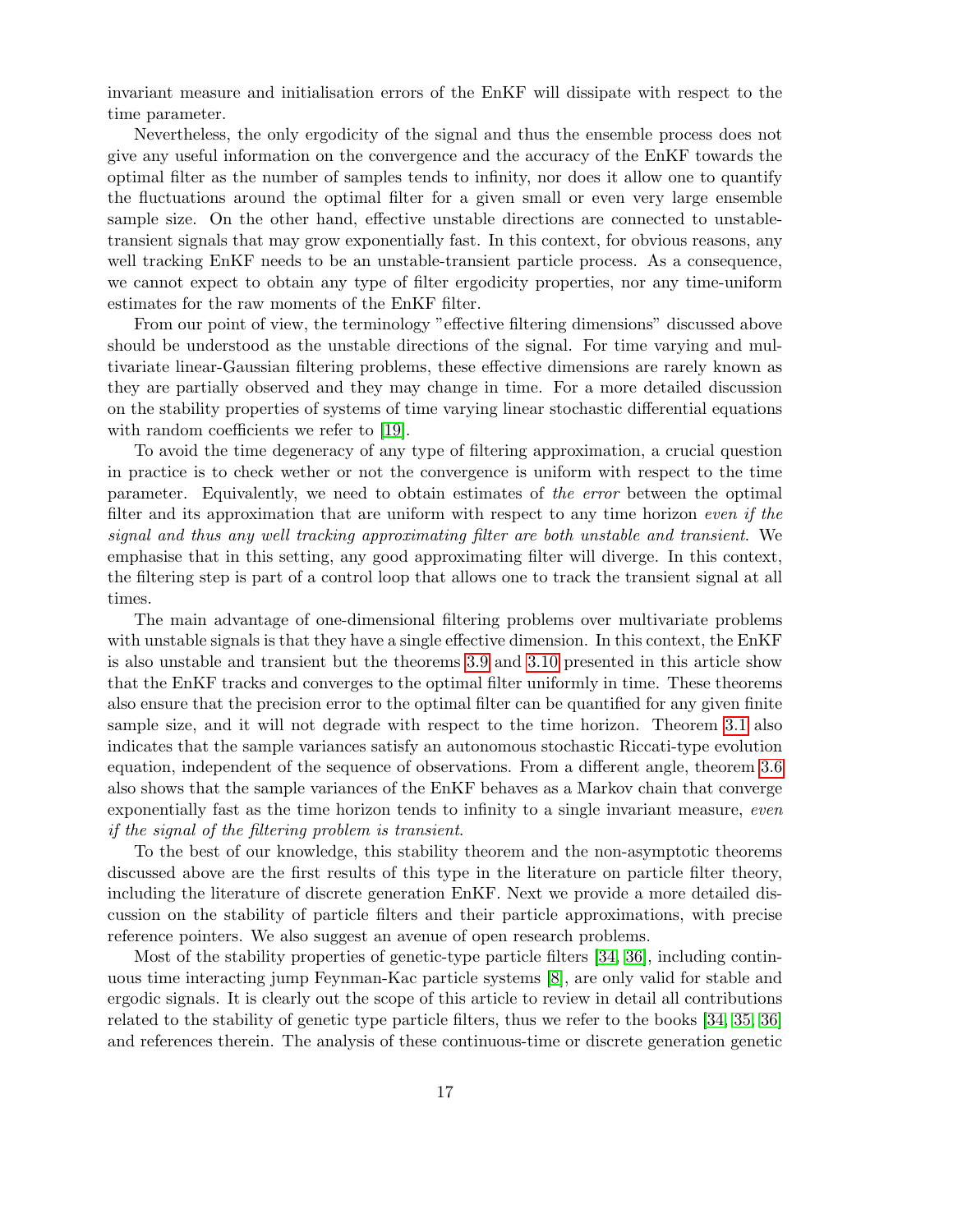invariant measure and initialisation errors of the EnKF will dissipate with respect to the time parameter.

Nevertheless, the only ergodicity of the signal and thus the ensemble process does not give any useful information on the convergence and the accuracy of the EnKF towards the optimal filter as the number of samples tends to infinity, nor does it allow one to quantify the fluctuations around the optimal filter for a given small or even very large ensemble sample size. On the other hand, effective unstable directions are connected to unstabletransient signals that may grow exponentially fast. In this context, for obvious reasons, any well tracking EnKF needs to be an unstable-transient particle process. As a consequence, we cannot expect to obtain any type of filter ergodicity properties, nor any time-uniform estimates for the raw moments of the EnKF filter.

From our point of view, the terminology "effective filtering dimensions" discussed above should be understood as the unstable directions of the signal. For time varying and multivariate linear-Gaussian filtering problems, these effective dimensions are rarely known as they are partially observed and they may change in time. For a more detailed discussion on the stability properties of systems of time varying linear stochastic differential equations with random coefficients we refer to [19].

To avoid the time degeneracy of any type of filtering approximation, a crucial question in practice is to check wether or not the convergence is uniform with respect to the time parameter. Equivalently, we need to obtain estimates of the error between the optimal filter and its approximation that are uniform with respect to any time horizon even if the signal and thus any well tracking approximating filter are both unstable and transient. We emphasise that in this setting, any good approximating filter will diverge. In this context, the filtering step is part of a control loop that allows one to track the transient signal at all times.

The main advantage of one-dimensional filtering problems over multivariate problems with unstable signals is that they have a single effective dimension. In this context, the EnKF is also unstable and transient but the theorems 3.9 and 3.10 presented in this article show that the EnKF tracks and converges to the optimal filter uniformly in time. These theorems also ensure that the precision error to the optimal filter can be quantified for any given finite sample size, and it will not degrade with respect to the time horizon. Theorem 3.1 also indicates that the sample variances satisfy an autonomous stochastic Riccati-type evolution equation, independent of the sequence of observations. From a different angle, theorem 3.6 also shows that the sample variances of the EnKF behaves as a Markov chain that converge exponentially fast as the time horizon tends to infinity to a single invariant measure, even if the signal of the filtering problem is transient.

To the best of our knowledge, this stability theorem and the non-asymptotic theorems discussed above are the first results of this type in the literature on particle filter theory, including the literature of discrete generation EnKF. Next we provide a more detailed discussion on the stability of particle filters and their particle approximations, with precise reference pointers. We also suggest an avenue of open research problems.

Most of the stability properties of genetic-type particle filters [34, 36], including continuous time interacting jump Feynman-Kac particle systems [8], are only valid for stable and ergodic signals. It is clearly out the scope of this article to review in detail all contributions related to the stability of genetic type particle filters, thus we refer to the books [34, 35, 36] and references therein. The analysis of these continuous-time or discrete generation genetic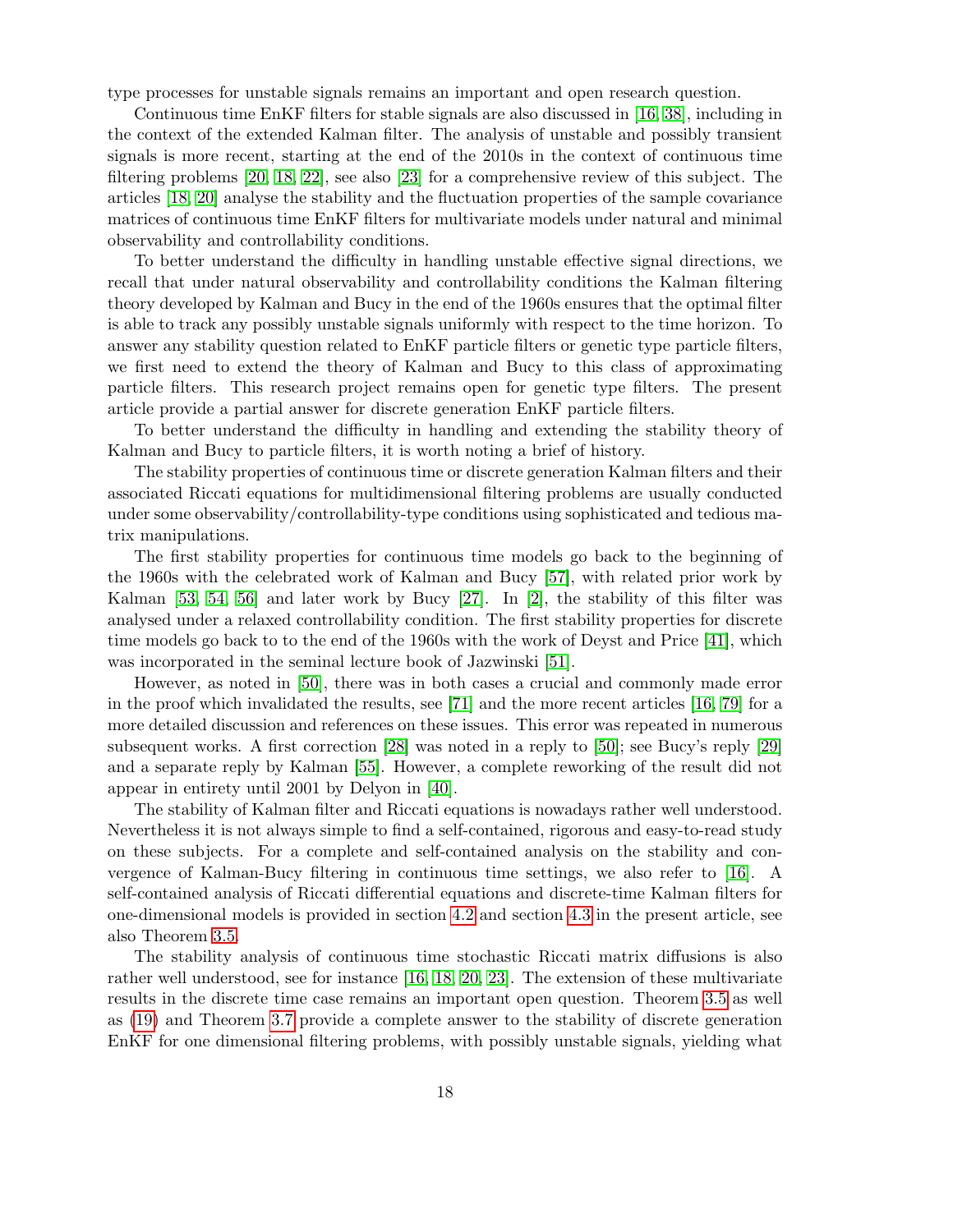type processes for unstable signals remains an important and open research question.

Continuous time EnKF filters for stable signals are also discussed in [16, 38], including in the context of the extended Kalman filter. The analysis of unstable and possibly transient signals is more recent, starting at the end of the 2010s in the context of continuous time filtering problems [20, 18, 22], see also [23] for a comprehensive review of this subject. The articles [18, 20] analyse the stability and the fluctuation properties of the sample covariance matrices of continuous time EnKF filters for multivariate models under natural and minimal observability and controllability conditions.

To better understand the difficulty in handling unstable effective signal directions, we recall that under natural observability and controllability conditions the Kalman filtering theory developed by Kalman and Bucy in the end of the 1960s ensures that the optimal filter is able to track any possibly unstable signals uniformly with respect to the time horizon. To answer any stability question related to EnKF particle filters or genetic type particle filters, we first need to extend the theory of Kalman and Bucy to this class of approximating particle filters. This research project remains open for genetic type filters. The present article provide a partial answer for discrete generation EnKF particle filters.

To better understand the difficulty in handling and extending the stability theory of Kalman and Bucy to particle filters, it is worth noting a brief of history.

The stability properties of continuous time or discrete generation Kalman filters and their associated Riccati equations for multidimensional filtering problems are usually conducted under some observability/controllability-type conditions using sophisticated and tedious matrix manipulations.

The first stability properties for continuous time models go back to the beginning of the 1960s with the celebrated work of Kalman and Bucy [57], with related prior work by Kalman [53, 54, 56] and later work by Bucy [27]. In [2], the stability of this filter was analysed under a relaxed controllability condition. The first stability properties for discrete time models go back to to the end of the 1960s with the work of Deyst and Price [41], which was incorporated in the seminal lecture book of Jazwinski [51].

However, as noted in [50], there was in both cases a crucial and commonly made error in the proof which invalidated the results, see [71] and the more recent articles [16, 79] for a more detailed discussion and references on these issues. This error was repeated in numerous subsequent works. A first correction [28] was noted in a reply to [50]; see Bucy's reply [29] and a separate reply by Kalman [55]. However, a complete reworking of the result did not appear in entirety until 2001 by Delyon in [40].

The stability of Kalman filter and Riccati equations is nowadays rather well understood. Nevertheless it is not always simple to find a self-contained, rigorous and easy-to-read study on these subjects. For a complete and self-contained analysis on the stability and convergence of Kalman-Bucy filtering in continuous time settings, we also refer to [16]. A self-contained analysis of Riccati differential equations and discrete-time Kalman filters for one-dimensional models is provided in section 4.2 and section 4.3 in the present article, see also Theorem 3.5.

The stability analysis of continuous time stochastic Riccati matrix diffusions is also rather well understood, see for instance [16, 18, 20, 23]. The extension of these multivariate results in the discrete time case remains an important open question. Theorem 3.5 as well as (19) and Theorem 3.7 provide a complete answer to the stability of discrete generation EnKF for one dimensional filtering problems, with possibly unstable signals, yielding what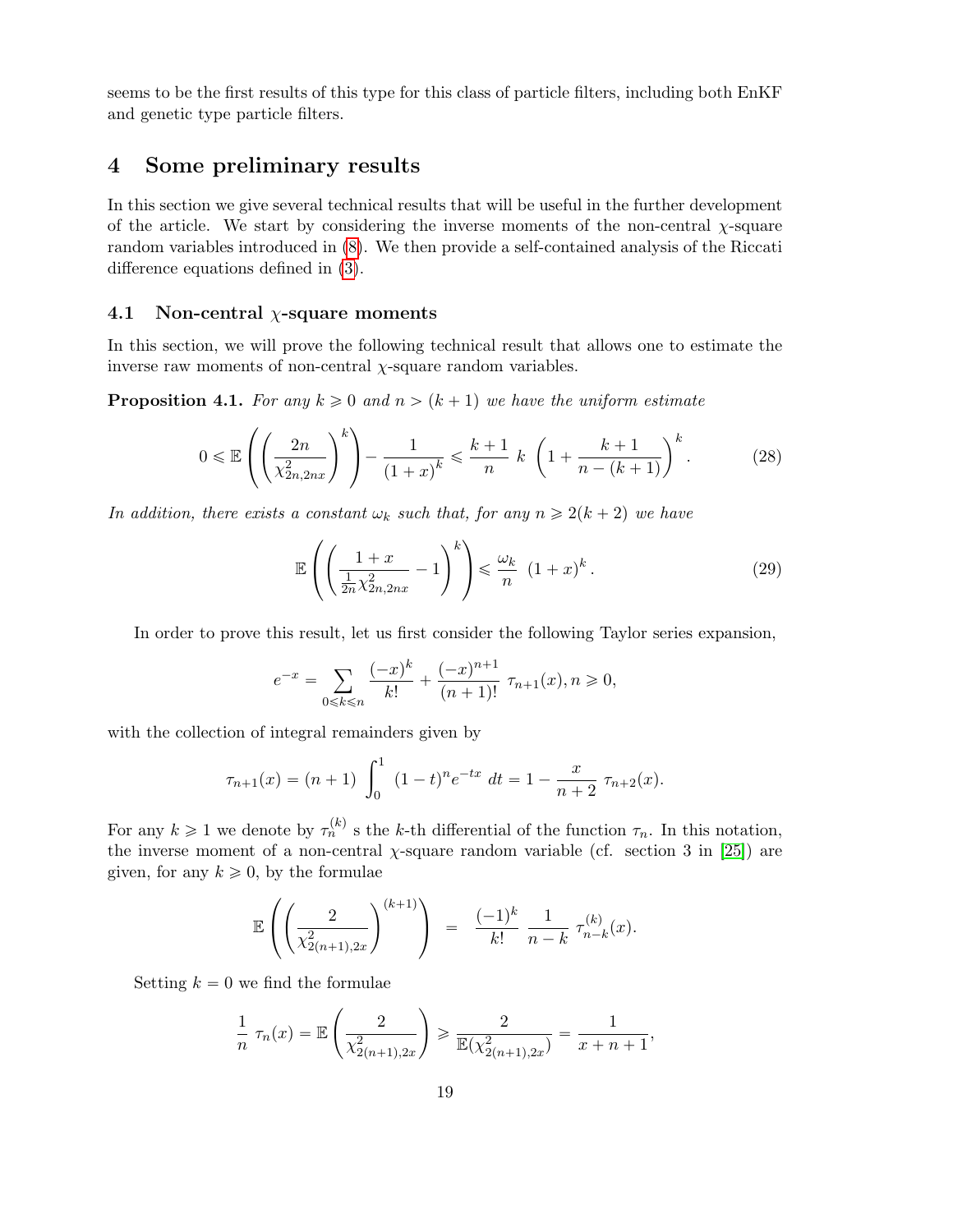seems to be the first results of this type for this class of particle filters, including both EnKF and genetic type particle filters.

# 4 Some preliminary results

In this section we give several technical results that will be useful in the further development of the article. We start by considering the inverse moments of the non-central  $\chi$ -square random variables introduced in (8). We then provide a self-contained analysis of the Riccati difference equations defined in (3).

## 4.1 Non-central  $\chi$ -square moments

¨

In this section, we will prove the following technical result that allows one to estimate the inverse raw moments of non-central  $\chi$ -square random variables.

**Proposition 4.1.** For any  $k \geq 0$  and  $n > (k + 1)$  we have the uniform estimate

$$
0 \le \mathbb{E}\left(\left(\frac{2n}{\chi_{2n,2nx}^2}\right)^k\right) - \frac{1}{(1+x)^k} \le \frac{k+1}{n} \, k \, \left(1 + \frac{k+1}{n-(k+1)}\right)^k. \tag{28}
$$

In addition, there exists a constant  $\omega_k$  such that, for any  $n \geq 2(k + 2)$  we have

$$
\mathbb{E}\left(\left(\frac{1+x}{\frac{1}{2n}\chi_{2n,2nx}^2}-1\right)^k\right) \leq \frac{\omega_k}{n} \left(1+x\right)^k. \tag{29}
$$

In order to prove this result, let us first consider the following Taylor series expansion,

$$
e^{-x} = \sum_{0 \le k \le n} \frac{(-x)^k}{k!} + \frac{(-x)^{n+1}}{(n+1)!} \tau_{n+1}(x), n \ge 0,
$$

with the collection of integral remainders given by

$$
\tau_{n+1}(x) = (n+1) \int_0^1 (1-t)^n e^{-tx} dt = 1 - \frac{x}{n+2} \tau_{n+2}(x).
$$

For any  $k \geq 1$  we denote by  $\tau_n^{(k)}$  s the k-th differential of the function  $\tau_n$ . In this notation, the inverse moment of a non-central  $\chi$ -square random variable (cf. section 3 in [25]) are given, for any  $k \geq 0$ , by the formulae

$$
\mathbb{E}\left(\left(\frac{2}{\chi_{2(n+1),2x}^2}\right)^{(k+1)}\right) = \frac{(-1)^k}{k!} \frac{1}{n-k} \tau_{n-k}^{(k)}(x).
$$

Setting  $k = 0$  we find the formulae

$$
\frac{1}{n} \tau_n(x) = \mathbb{E}\left(\frac{2}{\chi_{2(n+1),2x}^2}\right) \ge \frac{2}{\mathbb{E}(\chi_{2(n+1),2x}^2)} = \frac{1}{x+n+1},
$$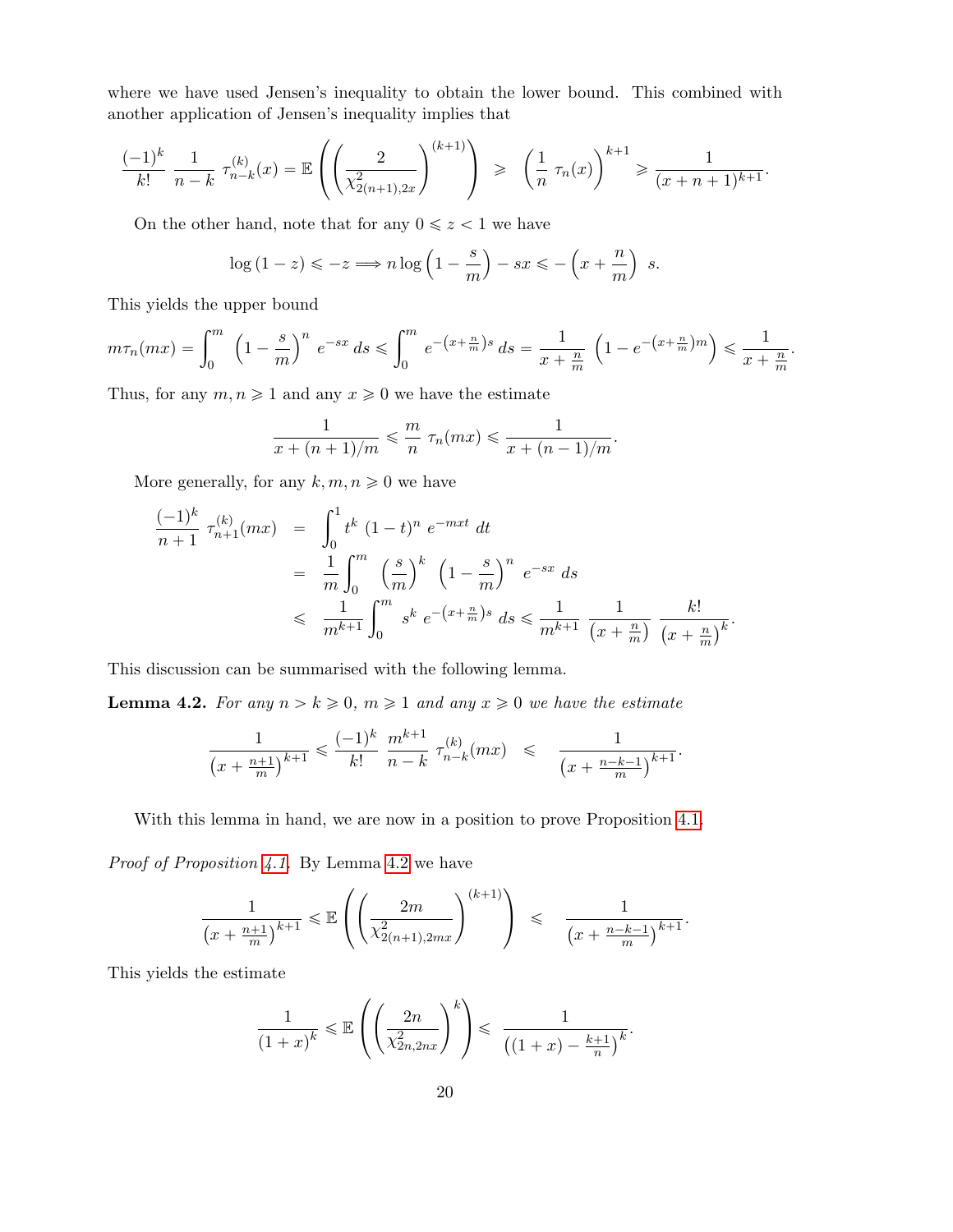where we have used Jensen's inequality to obtain the lower bound. This combined with another application of Jensen's inequality implies that

$$
\frac{(-1)^k}{k!} \frac{1}{n-k} \tau_{n-k}^{(k)}(x) = \mathbb{E}\left(\left(\frac{2}{\chi_{2(n+1),2x}^2}\right)^{(k+1)}\right) \geqslant \left(\frac{1}{n} \tau_n(x)\right)^{k+1} \geqslant \frac{1}{(x+n+1)^{k+1}}.
$$

On the other hand, note that for any  $0 \leq z < 1$  we have

¨

$$
\log\left(1-z\right) \leqslant -z \Longrightarrow n \log\left(1-\frac{s}{m}\right)-sx \leqslant -\left(x+\frac{n}{m}\right)\ s.
$$

This yields the upper bound

$$
m\tau_n(mx) = \int_0^m \left(1 - \frac{s}{m}\right)^n e^{-sx} ds \le \int_0^m e^{-(x + \frac{n}{m})s} ds = \frac{1}{x + \frac{n}{m}} \left(1 - e^{-(x + \frac{n}{m})m}\right) \le \frac{1}{x + \frac{n}{m}}.
$$

Thus, for any  $m, n \geq 1$  and any  $x \geq 0$  we have the estimate

$$
\frac{1}{x+(n+1)/m} \leqslant \frac{m}{n} \ \tau_n(mx) \leqslant \frac{1}{x+(n-1)/m}.
$$

More generally, for any  $k, m, n \geq 0$  we have

$$
\frac{(-1)^k}{n+1} \tau_{n+1}^{(k)}(mx) = \int_0^1 t^k (1-t)^n e^{-mxt} dt
$$
  
=  $\frac{1}{m} \int_0^m \left(\frac{s}{m}\right)^k \left(1 - \frac{s}{m}\right)^n e^{-sx} ds$   
 $\leq \frac{1}{m^{k+1}} \int_0^m s^k e^{-(x+\frac{n}{m})s} ds \leq \frac{1}{m^{k+1}} \frac{1}{(x+\frac{n}{m})} \frac{k!}{(x+\frac{n}{m})^k}.$ 

This discussion can be summarised with the following lemma.

**Lemma 4.2.** For any  $n > k \geq 0$ ,  $m \geq 1$  and any  $x \geq 0$  we have the estimate

¨

$$
\frac{1}{\left(x + \frac{n+1}{m}\right)^{k+1}} \leqslant \frac{(-1)^k}{k!} \frac{m^{k+1}}{n-k} \tau_{n-k}^{(k)}(mx) \leqslant \frac{1}{\left(x + \frac{n-k-1}{m}\right)^{k+1}}.
$$

With this lemma in hand, we are now in a position to prove Proposition 4.1.

Proof of Proposition 4.1. By Lemma 4.2 we have

$$
\frac{1}{(x+\frac{n+1}{m})^{k+1}} \leq \mathbb{E}\left(\left(\frac{2m}{\chi^2_{2(n+1),2mx}}\right)^{(k+1)}\right) \leq \frac{1}{(x+\frac{n-k-1}{m})^{k+1}}.
$$

This yields the estimate

$$
\frac{1}{(1+x)^k} \leqslant \mathbb{E}\left(\left(\frac{2n}{\chi^2_{2n,2nx}}\right)^k\right) \leqslant \frac{1}{\left((1+x)-\frac{k+1}{n}\right)^k}.
$$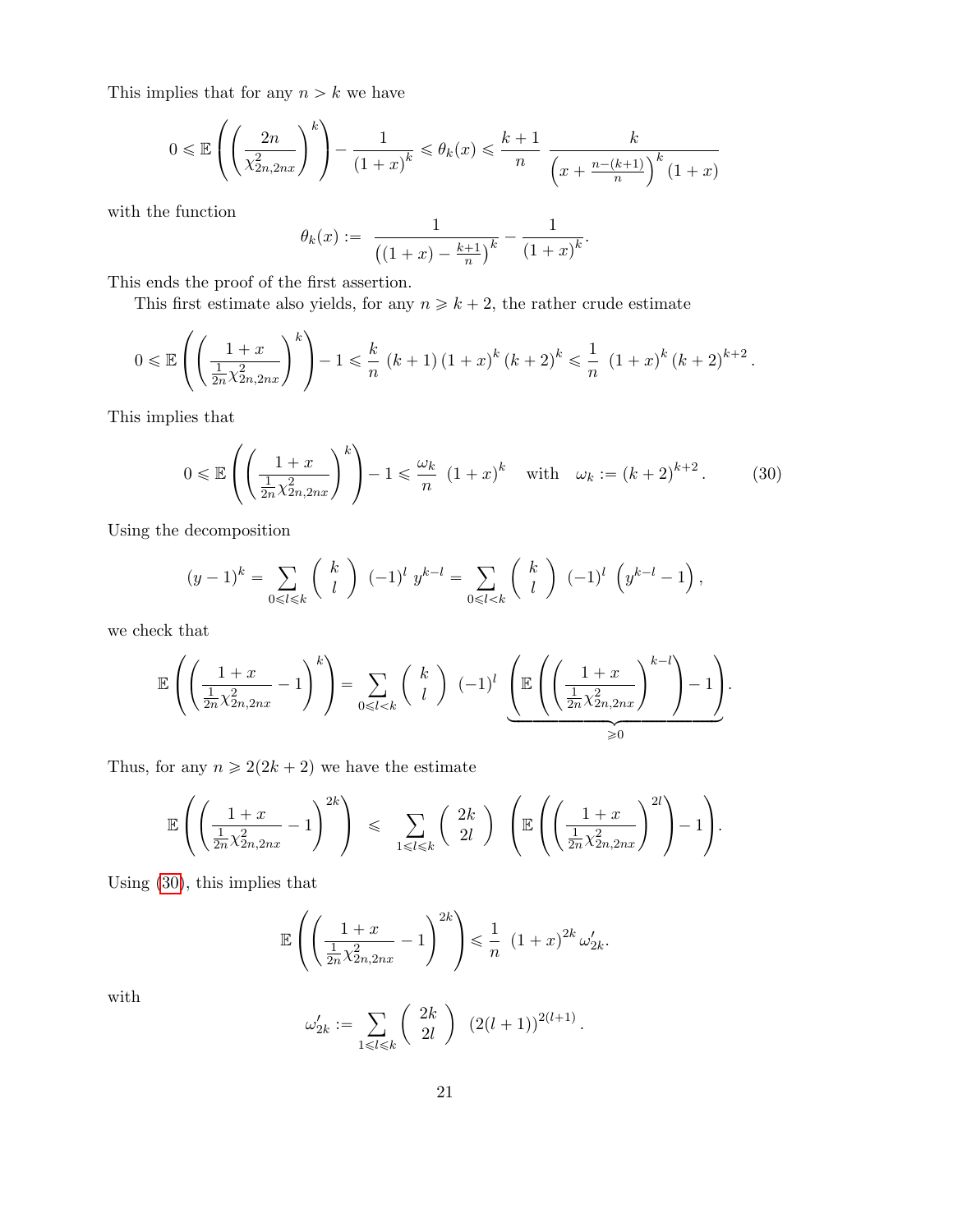This implies that for any  $n > k$  we have

$$
0 \leqslant \mathbb{E}\left(\left(\frac{2n}{\chi^2_{2n,2nx}}\right)^{k}\right) - \frac{1}{\left(1+x\right)^{k}} \leqslant \theta_{k}(x) \leqslant \frac{k+1}{n} \cdot \frac{k}{\left(x + \frac{n-(k+1)}{n}\right)^{k}\left(1+x\right)}
$$

with the function

$$
\theta_k(x) := \frac{1}{\left( (1+x) - \frac{k+1}{n} \right)^k} - \frac{1}{(1+x)^k}.
$$

This ends the proof of the first assertion.

This first estimate also yields, for any  $n \ge k + 2$ , the rather crude estimate

$$
0 \leq \mathbb{E}\left(\left(\frac{1+x}{\frac{1}{2n}\chi_{2n,2nx}^2}\right)^k\right) - 1 \leq \frac{k}{n} \left(k+1\right) \left(1+x\right)^k (k+2)^k \leq \frac{1}{n} \left(1+x\right)^k (k+2)^{k+2}.
$$

This implies that

$$
0 \leqslant \mathbb{E}\left(\left(\frac{1+x}{\frac{1}{2n}\chi_{2n,2nx}^2}\right)^k\right) - 1 \leqslant \frac{\omega_k}{n} \left(1+x\right)^k \quad \text{with} \quad \omega_k := \left(k+2\right)^{k+2}.\tag{30}
$$

Using the decomposition

$$
(y-1)^k = \sum_{0 \le l \le k} \binom{k}{l} (-1)^l y^{k-l} = \sum_{0 \le l < k} \binom{k}{l} (-1)^l (y^{k-l} - 1),
$$

we check that

$$
\mathbb{E}\left(\left(\frac{1+x}{\frac{1}{2n}\chi_{2n,2nx}^2}-1\right)^k\right)=\sum_{0\leq l
$$

Thus, for any  $n \geq 2(2k + 2)$  we have the estimate

$$
\mathbb{E}\left(\left(\frac{1+x}{\frac{1}{2n}\chi_{2n,2nx}^2}-1\right)^{2k}\right) \leqslant \sum_{1\leqslant l\leqslant k}\left(\begin{array}{c}2k\\2l\end{array}\right)\left(\mathbb{E}\left(\left(\frac{1+x}{\frac{1}{2n}\chi_{2n,2nx}^2}\right)^{2l}\right)-1\right).
$$

Using (30), this implies that

$$
\mathbb{E}\left(\left(\frac{1+x}{\frac{1}{2n}\chi_{2n,2nx}^2}-1\right)^{2k}\right) \leq \frac{1}{n} (1+x)^{2k} \omega'_{2k}.
$$

with

$$
\omega'_{2k} := \sum_{1 \leq l \leq k} \binom{2k}{2l} (2(l+1))^{2(l+1)}.
$$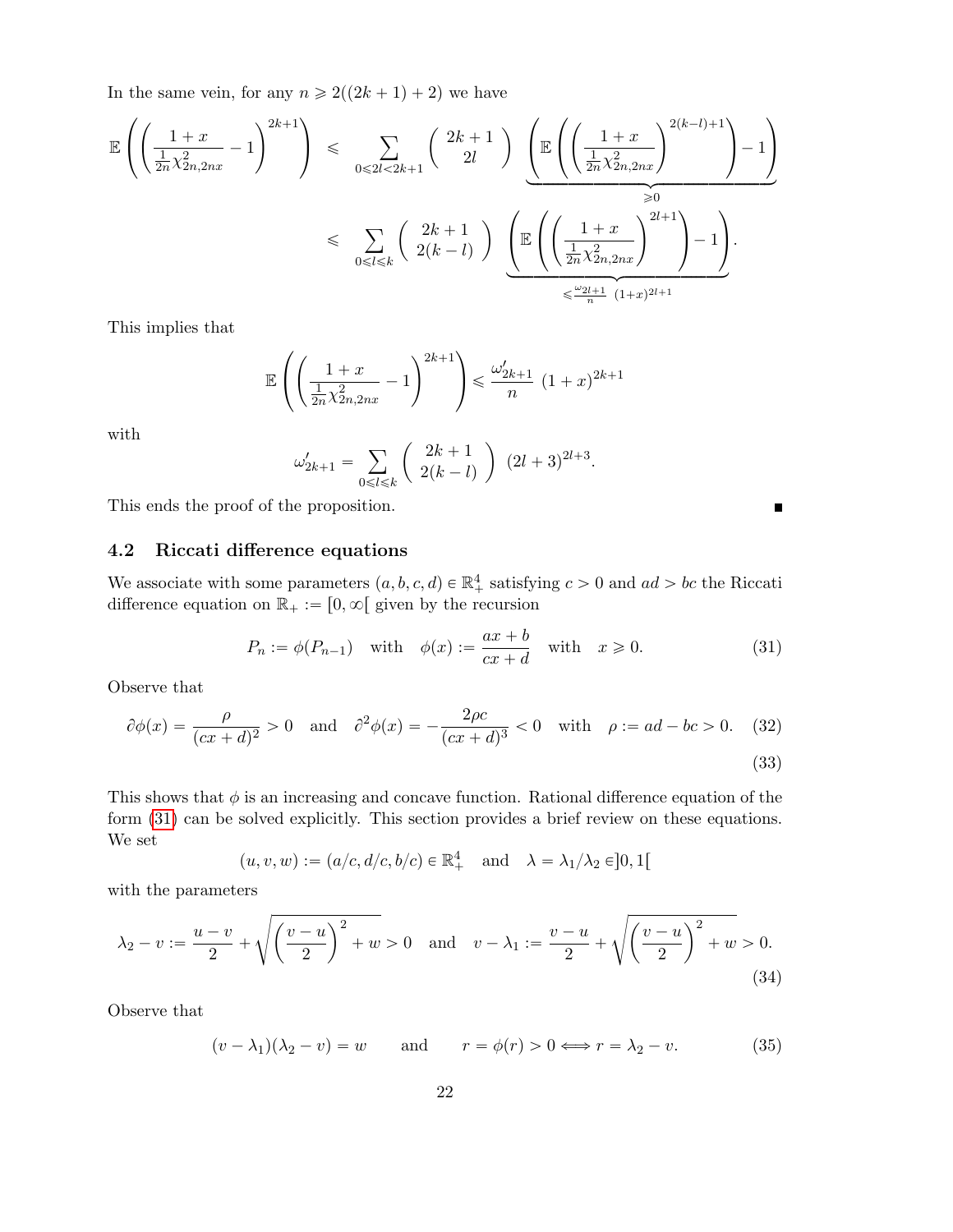In the same vein, for any  $n \geq 2((2k + 1) + 2)$  we have

$$
\mathbb{E}\left(\left(\frac{1+x}{\frac{1}{2n}\chi_{2n,2nx}^2}-1\right)^{2k+1}\right) \leq \sum_{0\leq 2l < 2k+1} \left(\frac{2k+1}{2l}\right) \underbrace{\left(\mathbb{E}\left(\left(\frac{1+x}{\frac{1}{2n}\chi_{2n,2nx}^2}\right)^{2(k-l)+1}\right)-1\right)}_{\geq 0}
$$
\n
$$
\leq \sum_{0\leq l \leq k} \left(\frac{2k+1}{2(k-l)}\right) \underbrace{\left(\mathbb{E}\left(\left(\frac{1+x}{\frac{1}{2n}\chi_{2n,2nx}^2}\right)^{2l+1}\right)-1\right)}_{\leq \frac{\omega_{2l+1}}{n}(1+x)^{2l+1}}.
$$

This implies that

$$
\mathbb{E}\left(\left(\frac{1+x}{\frac{1}{2n}\chi_{2n,2nx}^2} - 1\right)^{2k+1}\right) \le \frac{\omega'_{2k+1}}{n} (1+x)^{2k+1}
$$

with

$$
\omega'_{2k+1} = \sum_{0 \le l \le k} \left( \begin{array}{c} 2k+1 \\ 2(k-l) \end{array} \right) (2l+3)^{2l+3}.
$$

This ends the proof of the proposition.

## 4.2 Riccati difference equations

We associate with some parameters  $(a, b, c, d) \in \mathbb{R}^4_+$  satisfying  $c > 0$  and  $ad > bc$  the Riccati difference equation on  $\mathbb{R}_+ := [0, \infty[$  given by the recursion

$$
P_n := \phi(P_{n-1}) \quad \text{with} \quad \phi(x) := \frac{ax+b}{cx+d} \quad \text{with} \quad x \ge 0. \tag{31}
$$

Observe that

$$
\partial \phi(x) = \frac{\rho}{(cx+d)^2} > 0
$$
 and  $\partial^2 \phi(x) = -\frac{2\rho c}{(cx+d)^3} < 0$  with  $\rho := ad - bc > 0$ . (32)

(33)

 $\blacksquare$ 

This shows that  $\phi$  is an increasing and concave function. Rational difference equation of the form (31) can be solved explicitly. This section provides a brief review on these equations. We set

$$
(u,v,w):=(a/c,d/c,b/c)\in\mathbb{R}^4_+\quad\text{and}\quad \lambda=\lambda_1/\lambda_2\in]0,1[
$$

with the parameters

$$
\lambda_2 - v := \frac{u - v}{2} + \sqrt{\left(\frac{v - u}{2}\right)^2 + w} > 0 \quad \text{and} \quad v - \lambda_1 := \frac{v - u}{2} + \sqrt{\left(\frac{v - u}{2}\right)^2 + w} > 0. \tag{34}
$$

Observe that

$$
(v - \lambda_1)(\lambda_2 - v) = w \qquad \text{and} \qquad r = \phi(r) > 0 \Longleftrightarrow r = \lambda_2 - v. \tag{35}
$$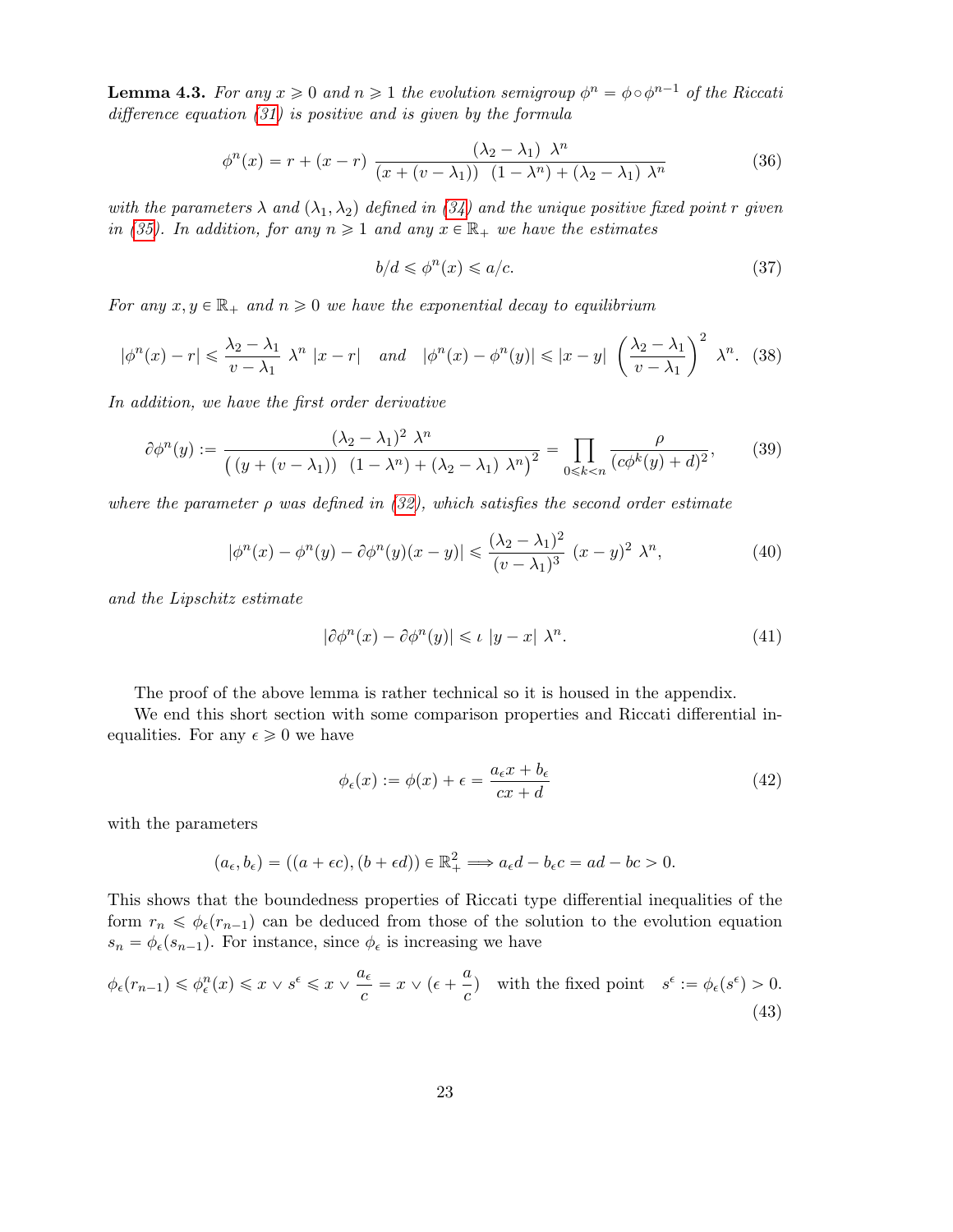**Lemma 4.3.** For any  $x \ge 0$  and  $n \ge 1$  the evolution semigroup  $\phi^n = \phi \circ \phi^{n-1}$  of the Riccati difference equation (31) is positive and is given by the formula

$$
\phi^{n}(x) = r + (x - r) \frac{(\lambda_{2} - \lambda_{1}) \lambda^{n}}{(x + (v - \lambda_{1})) (1 - \lambda^{n}) + (\lambda_{2} - \lambda_{1}) \lambda^{n}}
$$
(36)

with the parameters  $\lambda$  and  $(\lambda_1, \lambda_2)$  defined in (34) and the unique positive fixed point r given in (35). In addition, for any  $n \geq 1$  and any  $x \in \mathbb{R}_+$  we have the estimates

$$
b/d \leqslant \phi^n(x) \leqslant a/c. \tag{37}
$$

For any  $x, y \in \mathbb{R}_+$  and  $n \geq 0$  we have the exponential decay to equilibrium

$$
|\phi^n(x) - r| \leq \frac{\lambda_2 - \lambda_1}{v - \lambda_1} \lambda^n |x - r| \quad \text{and} \quad |\phi^n(x) - \phi^n(y)| \leq |x - y| \left(\frac{\lambda_2 - \lambda_1}{v - \lambda_1}\right)^2 \lambda^n. \tag{38}
$$

In addition, we have the first order derivative

$$
\partial \phi^n(y) := \frac{(\lambda_2 - \lambda_1)^2 \lambda^n}{\left( \left( y + (v - \lambda_1) \right) \left( 1 - \lambda^n \right) + (\lambda_2 - \lambda_1) \lambda^n \right)^2} = \prod_{0 \le k < n} \frac{\rho}{(c\phi^k(y) + d)^2},\tag{39}
$$

where the parameter  $\rho$  was defined in (32), which satisfies the second order estimate

$$
|\phi^n(x) - \phi^n(y) - \partial \phi^n(y)(x - y)| \leq \frac{(\lambda_2 - \lambda_1)^2}{(v - \lambda_1)^3} (x - y)^2 \lambda^n,
$$
\n(40)

and the Lipschitz estimate

$$
|\partial \phi^n(x) - \partial \phi^n(y)| \leqslant \iota \ |y - x| \ \lambda^n. \tag{41}
$$

The proof of the above lemma is rather technical so it is housed in the appendix.

We end this short section with some comparison properties and Riccati differential inequalities. For any  $\epsilon \geq 0$  we have

$$
\phi_{\epsilon}(x) := \phi(x) + \epsilon = \frac{a_{\epsilon}x + b_{\epsilon}}{cx + d}
$$
\n(42)

with the parameters

$$
(a_{\epsilon}, b_{\epsilon}) = ((a + \epsilon c), (b + \epsilon d)) \in \mathbb{R}^{2}_{+} \Longrightarrow a_{\epsilon}d - b_{\epsilon}c = ad - bc > 0.
$$

This shows that the boundedness properties of Riccati type differential inequalities of the form  $r_n \leq \phi_\epsilon(r_{n-1})$  can be deduced from those of the solution to the evolution equation  $s_n = \phi_\epsilon(s_{n-1})$ . For instance, since  $\phi_\epsilon$  is increasing we have

$$
\phi_{\epsilon}(r_{n-1}) \leq \phi_{\epsilon}^{n}(x) \leq x \vee s^{\epsilon} \leq x \vee \frac{a_{\epsilon}}{c} = x \vee (\epsilon + \frac{a}{c}) \quad \text{with the fixed point} \quad s^{\epsilon} := \phi_{\epsilon}(s^{\epsilon}) > 0. \tag{43}
$$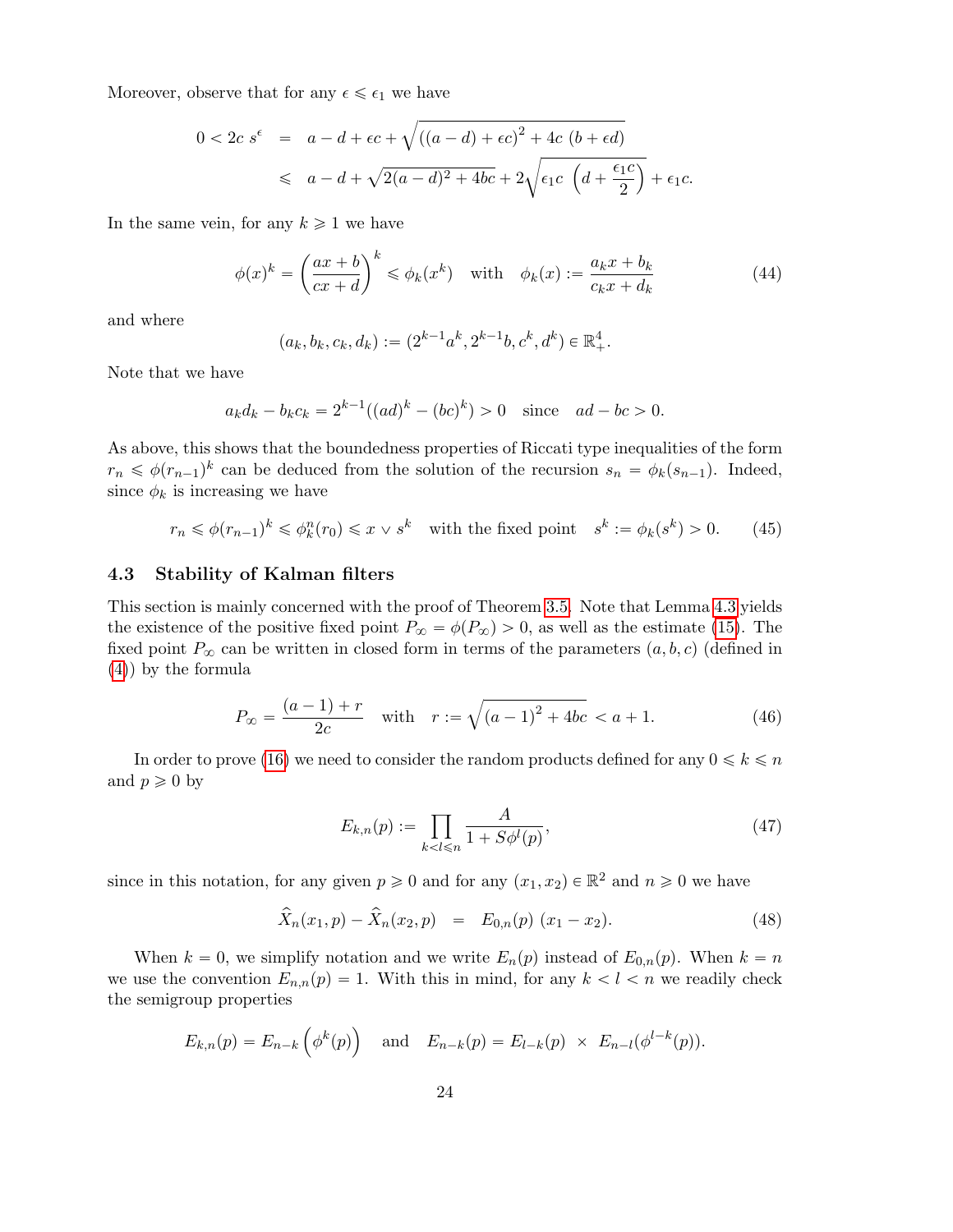Moreover, observe that for any  $\epsilon \leq \epsilon_1$  we have

$$
0 < 2c s^{\epsilon} = a - d + \epsilon c + \sqrt{((a - d) + \epsilon c)^{2} + 4c (b + \epsilon d)}
$$
  
\$\leq a - d + \sqrt{2(a - d)^{2} + 4bc} + 2\sqrt{\epsilon\_{1}c (d + \frac{\epsilon\_{1}c}{2})} + \epsilon\_{1}c.\$

In the same vein, for any  $k \geq 1$  we have

$$
\phi(x)^k = \left(\frac{ax+b}{cx+d}\right)^k \le \phi_k(x^k) \quad \text{with} \quad \phi_k(x) := \frac{a_k x + b_k}{c_k x + d_k} \tag{44}
$$

and where

$$
(a_k, b_k, c_k, d_k) := (2^{k-1}a^k, 2^{k-1}b, c^k, d^k) \in \mathbb{R}_+^4.
$$

Note that we have

$$
a_k d_k - b_k c_k = 2^{k-1} ((ad)^k - (bc)^k) > 0
$$
 since  $ad - bc > 0$ .

As above, this shows that the boundedness properties of Riccati type inequalities of the form  $r_n \leq \phi(r_{n-1})^k$  can be deduced from the solution of the recursion  $s_n = \phi_k(s_{n-1})$ . Indeed, since  $\phi_k$  is increasing we have

$$
r_n \leq \phi(r_{n-1})^k \leq \phi_k^n(r_0) \leq x \vee s^k \quad \text{with the fixed point} \quad s^k := \phi_k(s^k) > 0. \tag{45}
$$

## 4.3 Stability of Kalman filters

This section is mainly concerned with the proof of Theorem 3.5. Note that Lemma 4.3 yields the existence of the positive fixed point  $P_{\infty} = \phi(P_{\infty}) > 0$ , as well as the estimate (15). The fixed point  $P_{\infty}$  can be written in closed form in terms of the parameters  $(a, b, c)$  (defined in (4)) by the formula

$$
P_{\infty} = \frac{(a-1) + r}{2c} \quad \text{with} \quad r := \sqrt{(a-1)^2 + 4bc} < a+1. \tag{46}
$$

In order to prove (16) we need to consider the random products defined for any  $0 \le k \le n$ and  $p \geqslant 0$  by

$$
E_{k,n}(p) := \prod_{k < l \le n} \frac{A}{1 + S\phi^l(p)},\tag{47}
$$

since in this notation, for any given  $p \geq 0$  and for any  $(x_1, x_2) \in \mathbb{R}^2$  and  $n \geq 0$  we have

$$
\widehat{X}_n(x_1, p) - \widehat{X}_n(x_2, p) = E_{0,n}(p) (x_1 - x_2).
$$
\n(48)

When  $k = 0$ , we simplify notation and we write  $E_n(p)$  instead of  $E_{0,n}(p)$ . When  $k = n$ we use the convention  $E_{n,n}(p) = 1$ . With this in mind, for any  $k < l < n$  we readily check the semigroup properties

$$
E_{k,n}(p) = E_{n-k}(\phi^k(p))
$$
 and  $E_{n-k}(p) = E_{l-k}(p) \times E_{n-l}(\phi^{l-k}(p)).$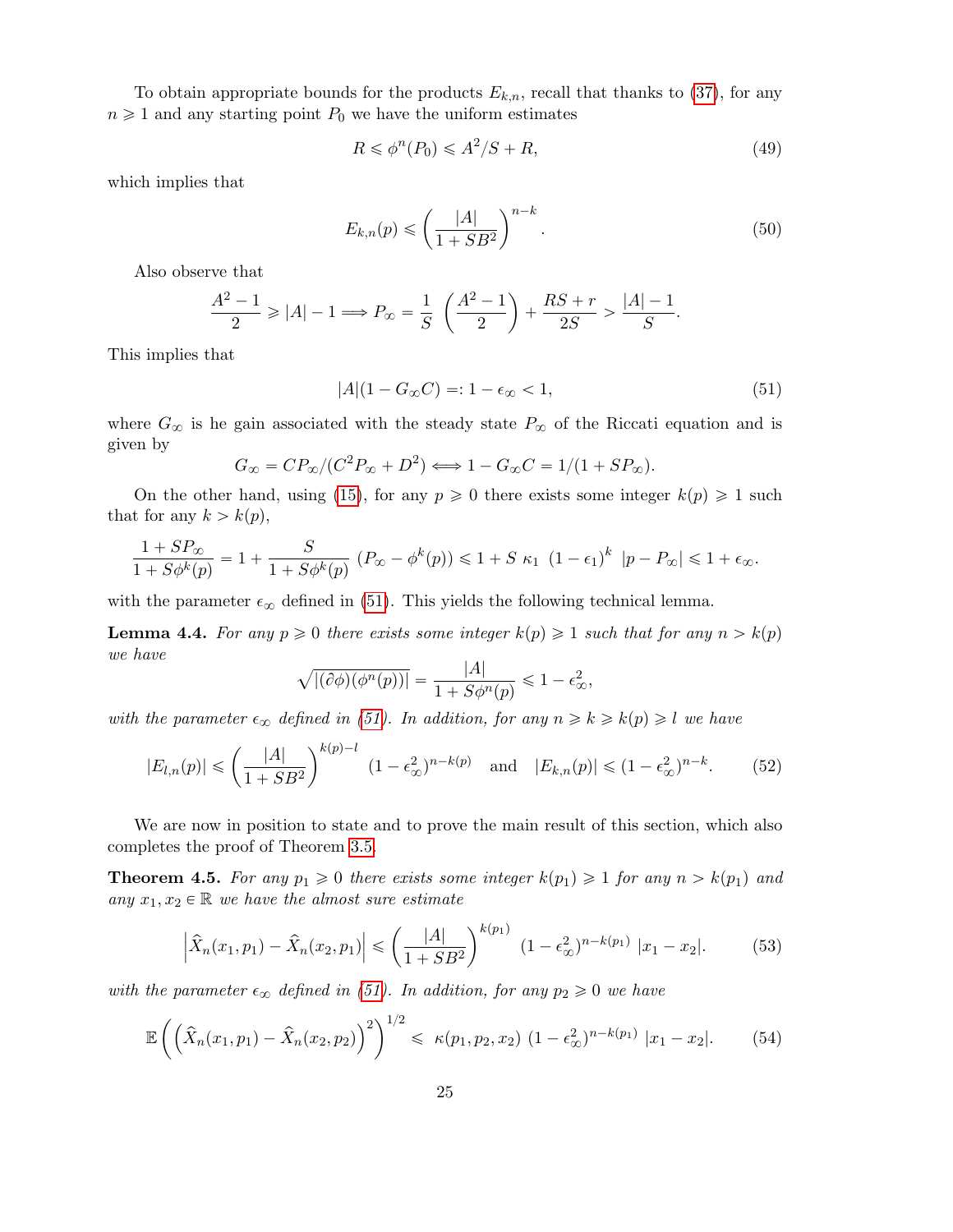To obtain appropriate bounds for the products  $E_{k,n}$ , recall that thanks to (37), for any  $n \geq 1$  and any starting point  $P_0$  we have the uniform estimates

$$
R \leq \phi^n(P_0) \leq A^2/S + R,\tag{49}
$$

which implies that

$$
E_{k,n}(p) \leqslant \left(\frac{|A|}{1+SB^2}\right)^{n-k}.\tag{50}
$$

Also observe that

$$
\frac{A^2 - 1}{2} \ge |A| - 1 \Longrightarrow P_{\infty} = \frac{1}{S} \left( \frac{A^2 - 1}{2} \right) + \frac{RS + r}{2S} > \frac{|A| - 1}{S}.
$$

This implies that

$$
|A|(1 - G_{\infty}C) = 1 - \epsilon_{\infty} < 1,\tag{51}
$$

where  $G_{\infty}$  is he gain associated with the steady state  $P_{\infty}$  of the Riccati equation and is given by

$$
G_{\infty} = CP_{\infty}/(C^2 P_{\infty} + D^2) \Longleftrightarrow 1 - G_{\infty}C = 1/(1 + SP_{\infty}).
$$

On the other hand, using (15), for any  $p \geqslant 0$  there exists some integer  $k(p) \geqslant 1$  such that for any  $k > k(p)$ ,

$$
\frac{1+SP_{\infty}}{1+S\phi^k(p)} = 1 + \frac{S}{1+S\phi^k(p)} \left( P_{\infty} - \phi^k(p) \right) \leq 1+S \kappa_1 \left( 1-\epsilon_1 \right)^k \left| p-P_{\infty} \right| \leq 1+\epsilon_{\infty}.
$$

with the parameter  $\epsilon_{\infty}$  defined in (51). This yields the following technical lemma.

**Lemma 4.4.** For any  $p \ge 0$  there exists some integer  $k(p) \ge 1$  such that for any  $n > k(p)$ we have

$$
\sqrt{|(\partial \phi)(\phi^n(p))|} = \frac{|A|}{1 + S\phi^n(p)} \leq 1 - \epsilon_\infty^2,
$$

with the parameter  $\epsilon_{\infty}$  defined in (51). In addition, for any  $n \geq k \geq k(p) \geq l$  we have

$$
|E_{l,n}(p)| \leqslant \left(\frac{|A|}{1+SB^2}\right)^{k(p)-l} (1-\epsilon_{\infty}^2)^{n-k(p)} \quad \text{and} \quad |E_{k,n}(p)| \leqslant (1-\epsilon_{\infty}^2)^{n-k}.\tag{52}
$$

We are now in position to state and to prove the main result of this section, which also completes the proof of Theorem 3.5.

**Theorem 4.5.** For any  $p_1 \geq 0$  there exists some integer  $k(p_1) \geq 1$  for any  $n > k(p_1)$  and any  $x_1, x_2 \in \mathbb{R}$  we have the almost sure estimate

$$
\left| \hat{X}_n(x_1, p_1) - \hat{X}_n(x_2, p_1) \right| \leq \left( \frac{|A|}{1 + SB^2} \right)^{k(p_1)} (1 - \epsilon_{\infty}^2)^{n - k(p_1)} |x_1 - x_2|.
$$
 (53)

with the parameter  $\epsilon_{\infty}$  defined in (51). In addition, for any  $p_2 \geq 0$  we have

$$
\mathbb{E}\left(\left(\hat{X}_n(x_1,p_1) - \hat{X}_n(x_2,p_2)\right)^2\right)^{1/2} \le \kappa(p_1,p_2,x_2) \left(1 - \epsilon_{\infty}^2\right)^{n-k(p_1)} |x_1 - x_2|. \tag{54}
$$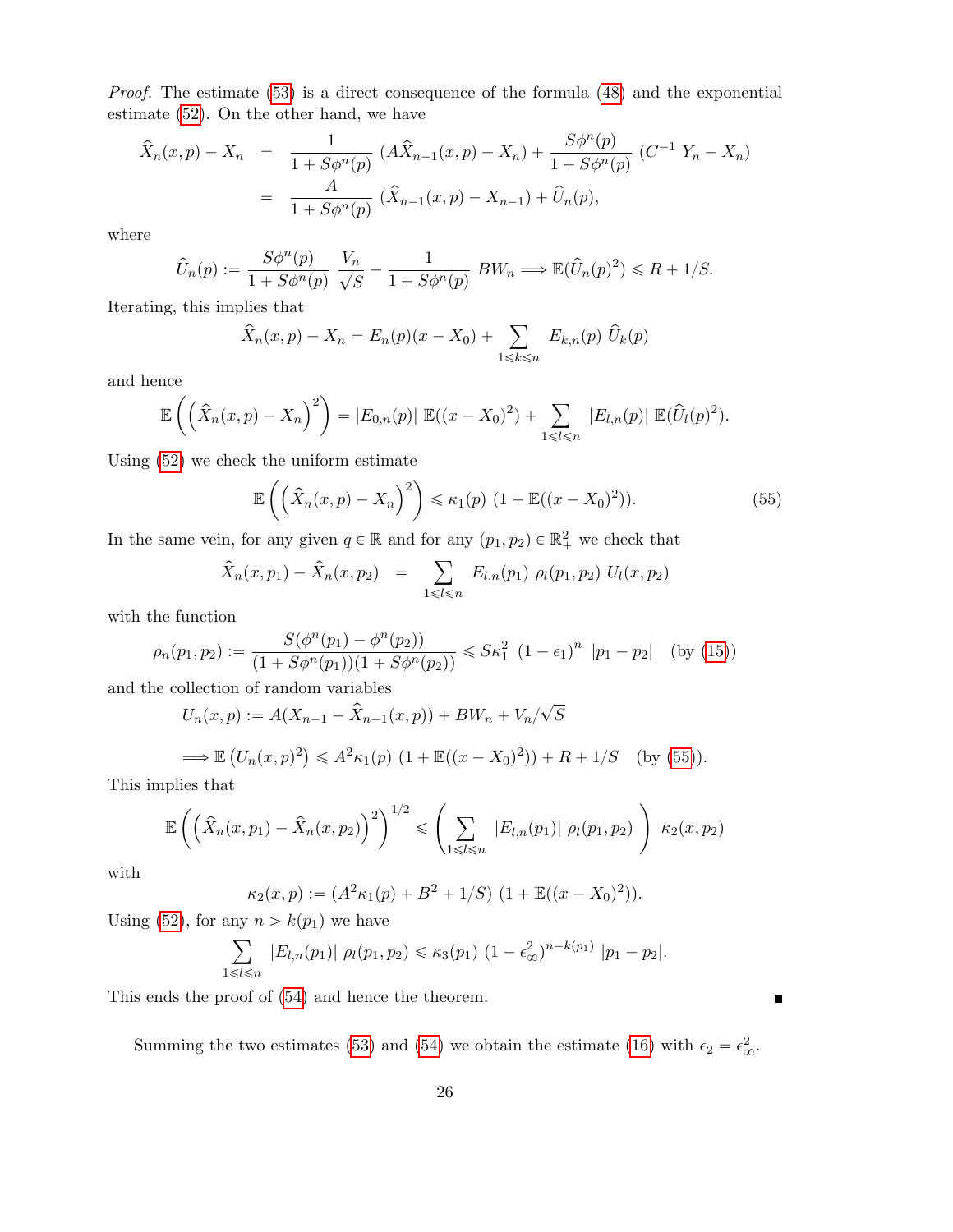Proof. The estimate (53) is a direct consequence of the formula (48) and the exponential estimate (52). On the other hand, we have

$$
\hat{X}_n(x,p) - X_n = \frac{1}{1 + S\phi^n(p)} (A\hat{X}_{n-1}(x,p) - X_n) + \frac{S\phi^n(p)}{1 + S\phi^n(p)} (C^{-1}Y_n - X_n)
$$
  
= 
$$
\frac{A}{1 + S\phi^n(p)} (\hat{X}_{n-1}(x,p) - X_{n-1}) + \hat{U}_n(p),
$$

where

$$
\widehat{U}_n(p) := \frac{S\phi^n(p)}{1 + S\phi^n(p)} \frac{V_n}{\sqrt{S}} - \frac{1}{1 + S\phi^n(p)} BW_n \Longrightarrow \mathbb{E}(\widehat{U}_n(p)^2) \le R + 1/S.
$$

Iterating, this implies that

$$
\hat{X}_n(x, p) - X_n = E_n(p)(x - X_0) + \sum_{1 \le k \le n} E_{k,n}(p) \hat{U}_k(p)
$$

and hence

$$
\mathbb{E}\left(\left(\hat{X}_n(x,p)-X_n\right)^2\right)=|E_{0,n}(p)|\mathbb{E}((x-X_0)^2)+\sum_{1\leq l\leq n}|E_{l,n}(p)|\mathbb{E}(\hat{U}_l(p)^2).
$$

Using  $(52)$  we check the uniform estimate

$$
\mathbb{E}\left(\left(\hat{X}_n(x,p)-X_n\right)^2\right) \leq \kappa_1(p) \left(1+\mathbb{E}((x-X_0)^2)\right). \tag{55}
$$

In the same vein, for any given  $q \in \mathbb{R}$  and for any  $(p_1, p_2) \in \mathbb{R}^2_+$  we check that

$$
\widehat{X}_n(x, p_1) - \widehat{X}_n(x, p_2) = \sum_{1 \leq l \leq n} E_{l,n}(p_1) \rho_l(p_1, p_2) U_l(x, p_2)
$$

with the function

$$
\rho_n(p_1, p_2) := \frac{S(\phi^n(p_1) - \phi^n(p_2))}{(1 + S\phi^n(p_1))(1 + S\phi^n(p_2))} \le S\kappa_1^2 (1 - \epsilon_1)^n |p_1 - p_2| \text{ (by (15))}
$$

and the collection of random variables

$$
U_n(x, p) := A(X_{n-1} - \hat{X}_{n-1}(x, p)) + BW_n + V_n/\sqrt{S}
$$
  
\n
$$
\implies \mathbb{E}\left(U_n(x, p)^2\right) \le A^2 \kappa_1(p) \left(1 + \mathbb{E}((x - X_0)^2)\right) + R + 1/S \quad \text{(by (55))}.
$$

This implies that

$$
\mathbb{E}\left(\left(\hat{X}_n(x,p_1) - \hat{X}_n(x,p_2)\right)^2\right)^{1/2} \leq \left(\sum_{1 \leq l \leq n} |E_{l,n}(p_1)| \rho_l(p_1,p_2)\right) \kappa_2(x,p_2)
$$

with

$$
\kappa_2(x,p) := (A^2 \kappa_1(p) + B^2 + 1/S) \ (1 + \mathbb{E}((x - X_0)^2)).
$$

Using (52), for any  $n > k(p_1)$  we have

$$
\sum_{1 \leq l \leq n} |E_{l,n}(p_1)| \rho_l(p_1, p_2) \leq \kappa_3(p_1) (1 - \epsilon_{\infty}^2)^{n - k(p_1)} |p_1 - p_2|.
$$

This ends the proof of (54) and hence the theorem.

Summing the two estimates (53) and (54) we obtain the estimate (16) with  $\epsilon_2 = \epsilon_{\infty}^2$ .

 $\blacksquare$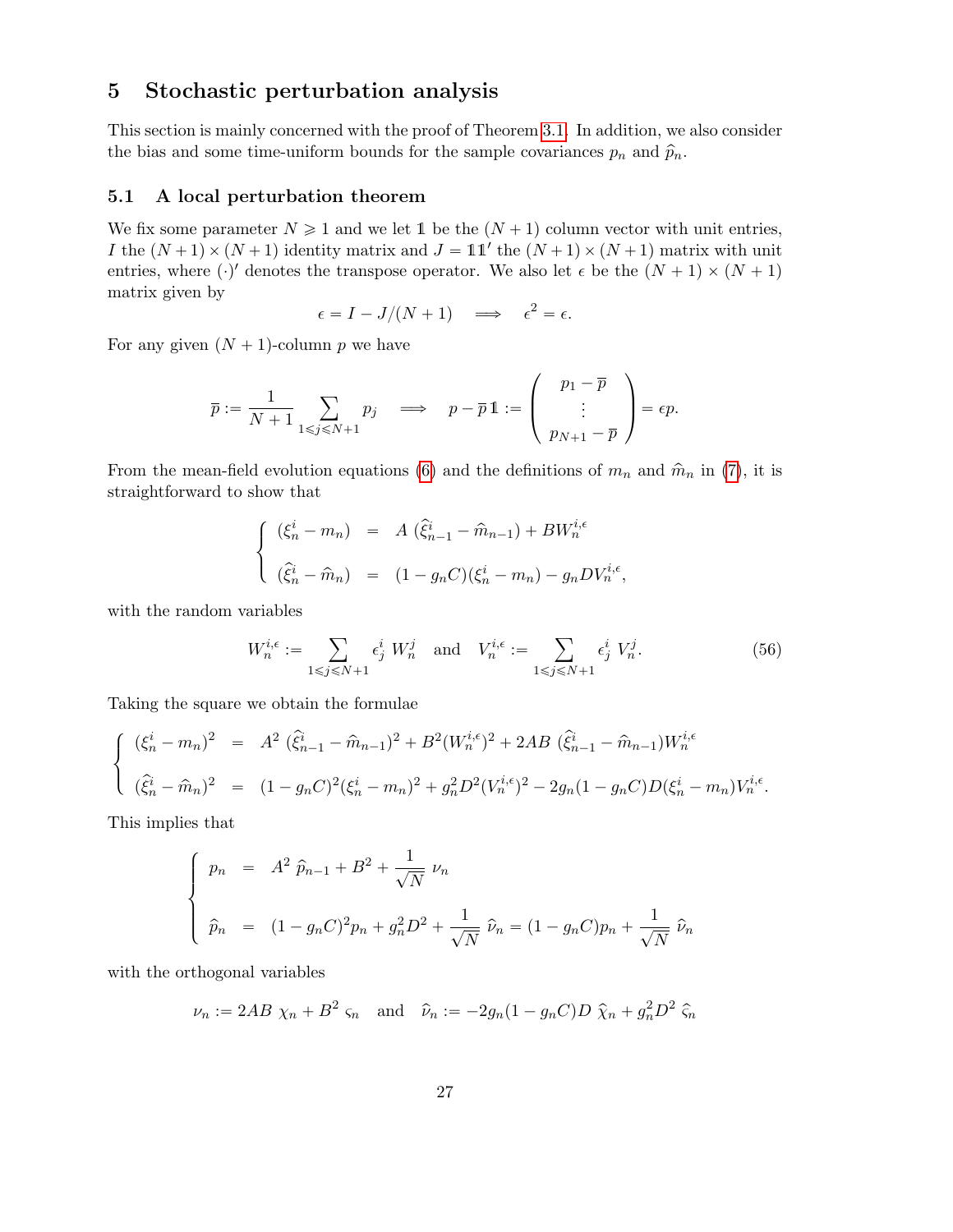# 5 Stochastic perturbation analysis

This section is mainly concerned with the proof of Theorem 3.1. In addition, we also consider the bias and some time-uniform bounds for the sample covariances  $p_n$  and  $\hat{p}_n$ .

## 5.1 A local perturbation theorem

We fix some parameter  $N \geq 1$  and we let 1 be the  $(N + 1)$  column vector with unit entries, I the  $(N + 1) \times (N + 1)$  identity matrix and  $J = 11'$  the  $(N + 1) \times (N + 1)$  matrix with unit entries, where  $(\cdot)'$  denotes the transpose operator. We also let  $\epsilon$  be the  $(N + 1) \times (N + 1)$ matrix given by

$$
\epsilon = I - J/(N+1) \quad \Longrightarrow \quad \epsilon^2 = \epsilon.
$$

For any given  $(N + 1)$ -column p we have

$$
\overline{p}:=\frac{1}{N+1}\sum_{1\leqslant j\leqslant N+1}p_j\quad\Longrightarrow\quad p-\overline{p}\,{1\!\!1}:=\left(\begin{array}{c}p_1-\overline{p}\\\vdots\\p_{N+1}-\overline{p}\end{array}\right)=\epsilon p.
$$

From the mean-field evolution equations (6) and the definitions of  $m_n$  and  $\hat{m}_n$  in (7), it is straightforward to show that

$$
\begin{cases}\n(\xi_n^i - m_n) = A (\hat{\xi}_{n-1}^i - \hat{m}_{n-1}) + BW_n^{i,\epsilon} \\
(\hat{\xi}_n^i - \hat{m}_n) = (1 - g_n C)(\xi_n^i - m_n) - g_n DV_n^{i,\epsilon},\n\end{cases}
$$

with the random variables

$$
W_n^{i, \epsilon} := \sum_{1 \le j \le N+1} \epsilon_j^i \ W_n^j \quad \text{and} \quad V_n^{i, \epsilon} := \sum_{1 \le j \le N+1} \epsilon_j^i \ V_n^j. \tag{56}
$$

Taking the square we obtain the formulae

$$
\begin{cases}\n(\xi_n^i - m_n)^2 = A^2 (\hat{\xi}_{n-1}^i - \hat{m}_{n-1})^2 + B^2 (W_n^{i,\epsilon})^2 + 2AB (\hat{\xi}_{n-1}^i - \hat{m}_{n-1}) W_n^{i,\epsilon} \\
(\hat{\xi}_n^i - \hat{m}_n)^2 = (1 - g_n C)^2 (\xi_n^i - m_n)^2 + g_n^2 D^2 (V_n^{i,\epsilon})^2 - 2g_n (1 - g_n C) D (\xi_n^i - m_n) V_n^{i,\epsilon}.\n\end{cases}
$$

This implies that

$$
\begin{cases}\n p_n = A^2 \ \hat{p}_{n-1} + B^2 + \frac{1}{\sqrt{N}} \ \nu_n \\
 \hat{p}_n = (1 - g_n C)^2 p_n + g_n^2 D^2 + \frac{1}{\sqrt{N}} \ \hat{\nu}_n = (1 - g_n C) p_n + \frac{1}{\sqrt{N}} \ \hat{\nu}_n\n\end{cases}
$$

with the orthogonal variables

$$
\nu_n := 2AB \ \chi_n + B^2 \ \varsigma_n \quad \text{and} \quad \widehat{\nu}_n := -2g_n(1 - g_nC)D \ \widehat{\chi}_n + g_n^2 D^2 \ \widehat{\varsigma}_n
$$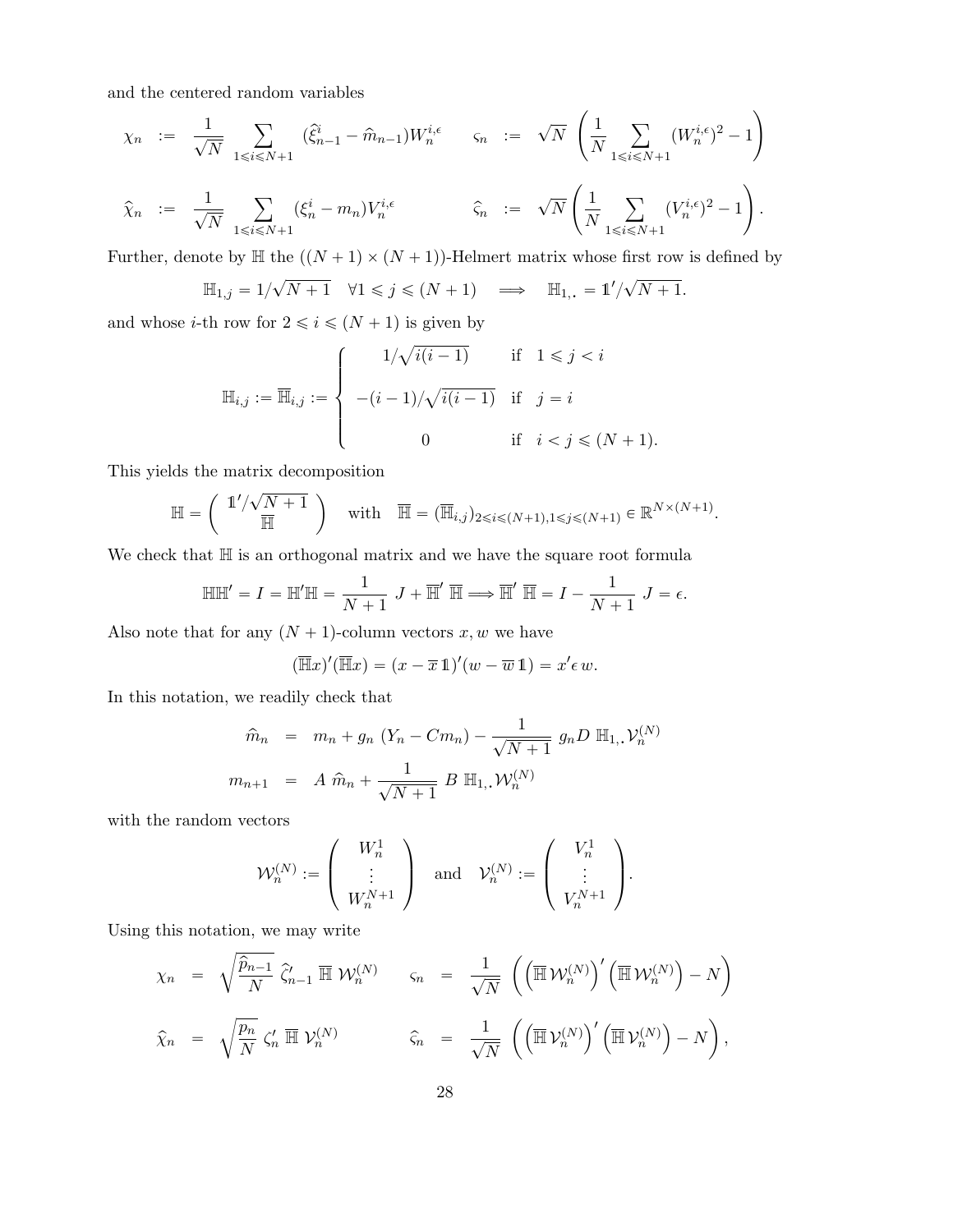and the centered random variables

$$
\chi_n \; := \; \frac{1}{\sqrt{N}} \sum_{1 \leqslant i \leqslant N+1} \left( \hat{\xi}_{n-1}^i - \hat{m}_{n-1} \right) W_n^{i,\epsilon} \qquad \varsigma_n \; := \; \sqrt{N} \left( \frac{1}{N} \sum_{1 \leqslant i \leqslant N+1} (W_n^{i,\epsilon})^2 - 1 \right)
$$
\n
$$
\hat{\chi}_n \; := \; \frac{1}{\sqrt{N}} \sum_{1 \leqslant i \leqslant N+1} (\xi_n^i - m_n) V_n^{i,\epsilon} \qquad \hat{\varsigma}_n \; := \; \sqrt{N} \left( \frac{1}{N} \sum_{1 \leqslant i \leqslant N+1} (V_n^{i,\epsilon})^2 - 1 \right).
$$

Further, denote by  $\mathbb H$  the  $((N + 1) \times (N + 1))$ -Helmert matrix whose first row is defined by

$$
\mathbb{H}_{1,j} = 1/\sqrt{N+1} \quad \forall 1 \leq j \leq (N+1) \quad \Longrightarrow \quad \mathbb{H}_{1,+} = 1'/\sqrt{N+1}.
$$

and whose *i*-th row for  $2 \le i \le (N + 1)$  is given by

$$
\mathbb{H}_{i,j} := \overline{\mathbb{H}}_{i,j} := \begin{cases} 1/\sqrt{i(i-1)} & \text{if } 1 \leq j < i \\ -(i-1)/\sqrt{i(i-1)} & \text{if } j = i \\ 0 & \text{if } i < j \leq (N+1). \end{cases}
$$

This yields the matrix decomposition ˆ ˙

$$
\mathbb{H} = \begin{pmatrix} 1'/\sqrt{N+1} \\ \overline{\mathbb{H}} \end{pmatrix} \quad \text{with} \quad \overline{\mathbb{H}} = (\overline{\mathbb{H}}_{i,j})_{2 \leq i \leq (N+1), 1 \leq j \leq (N+1)} \in \mathbb{R}^{N \times (N+1)}.
$$

We check that  $\mathbb H$  is an orthogonal matrix and we have the square root formula

$$
\mathbb{H}\mathbb{H}' = I = \mathbb{H}'\mathbb{H} = \frac{1}{N+1} J + \overline{\mathbb{H}}' \overline{\mathbb{H}} \Longrightarrow \overline{\mathbb{H}}' \overline{\mathbb{H}} = I - \frac{1}{N+1} J = \epsilon.
$$

Also note that for any  $(N + 1)$ -column vectors x, w we have

$$
(\overline{\mathbb{H}}x)'(\overline{\mathbb{H}}x) = (x - \overline{x}\mathbb{1})'(w - \overline{w}\mathbb{1}) = x'\epsilon w.
$$

In this notation, we readily check that

$$
\hat{m}_n = m_n + g_n (Y_n - Cm_n) - \frac{1}{\sqrt{N+1}} g_n D \mathbb{H}_1, \mathcal{V}_n^{(N)}
$$
  

$$
m_{n+1} = A \hat{m}_n + \frac{1}{\sqrt{N+1}} B \mathbb{H}_1, \mathcal{W}_n^{(N)}
$$

with the random vectors

$$
\mathcal{W}_n^{(N)} := \left(\begin{array}{c} W_n^1 \\ \vdots \\ W_n^{N+1} \end{array}\right) \quad \text{and} \quad \mathcal{V}_n^{(N)} := \left(\begin{array}{c} V_n^1 \\ \vdots \\ V_n^{N+1} \end{array}\right).
$$

Using this notation, we may write

$$
\chi_n = \sqrt{\frac{\hat{p}_{n-1}}{N}} \hat{\zeta}_{n-1}' \overline{\mathbb{H}} \mathcal{W}_n^{(N)} \qquad \varsigma_n = \frac{1}{\sqrt{N}} \left( \left( \overline{\mathbb{H}} \mathcal{W}_n^{(N)} \right)' \left( \overline{\mathbb{H}} \mathcal{W}_n^{(N)} \right) - N \right)
$$
  

$$
\hat{\chi}_n = \sqrt{\frac{p_n}{N}} \zeta_n' \overline{\mathbb{H}} \mathcal{V}_n^{(N)} \qquad \hat{\varsigma}_n = \frac{1}{\sqrt{N}} \left( \left( \overline{\mathbb{H}} \mathcal{V}_n^{(N)} \right)' \left( \overline{\mathbb{H}} \mathcal{V}_n^{(N)} \right) - N \right),
$$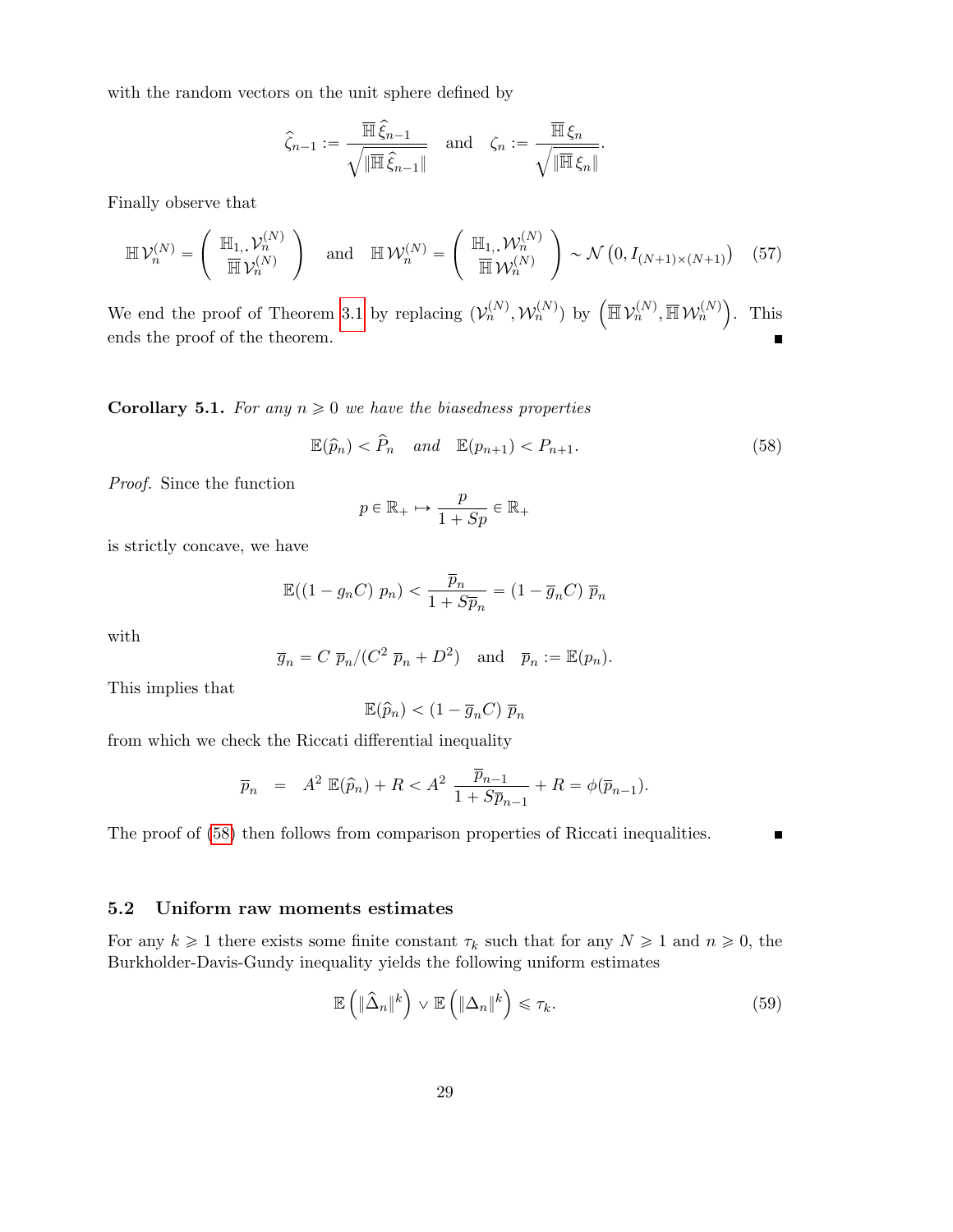with the random vectors on the unit sphere defined by

$$
\widehat{\zeta}_{n-1}:=\frac{\overline{\mathbb{H}}\,\widehat{\xi}_{n-1}}{\sqrt{\|\overline{\mathbb{H}}\,\widehat{\xi}_{n-1}\|}}\quad\text{and}\quad\zeta_n:=\frac{\overline{\mathbb{H}}\,\xi_n}{\sqrt{\|\overline{\mathbb{H}}\,\xi_n\|}}\cdotp
$$

Finally observe that

$$
\mathbb{H}\,\mathcal{V}_n^{(N)} = \left(\begin{array}{c} \mathbb{H}_{1, \nu_n^{(N)}} \\ \overline{\mathbb{H}}\,\mathcal{V}_n^{(N)} \end{array}\right) \quad \text{and} \quad \mathbb{H}\,\mathcal{W}_n^{(N)} = \left(\begin{array}{c} \mathbb{H}_{1, \nu_n^{(N)}} \\ \overline{\mathbb{H}}\,\mathcal{W}_n^{(N)} \end{array}\right) \sim \mathcal{N}\left(0, I_{(N+1)\times(N+1)}\right) \quad (57)
$$

We end the proof of Theorem 3.1 by replacing  $(\mathcal{V}_n^{(N)}, \mathcal{W}_n^{(N)})$  by  $(\overline{\mathbb{H}} \mathcal{V}_n^{(N)}, \overline{\mathbb{H}} \mathcal{W}_n^{(N)})$ . This ends the proof of the theorem.

**Corollary 5.1.** For any  $n \geq 0$  we have the biasedness properties

$$
\mathbb{E}(\hat{p}_n) < \hat{P}_n \quad \text{and} \quad \mathbb{E}(p_{n+1}) < P_{n+1}.\tag{58}
$$

Proof. Since the function

$$
p \in \mathbb{R}_+ \mapsto \frac{p}{1+Sp} \in \mathbb{R}_+
$$

is strictly concave, we have

$$
\mathbb{E}((1 - g_n C) p_n) < \frac{\overline{p}_n}{1 + S\overline{p}_n} = (1 - \overline{g}_n C) \overline{p}_n
$$

with

$$
\overline{g}_n = C \ \overline{p}_n / (C^2 \ \overline{p}_n + D^2)
$$
 and  $\overline{p}_n := \mathbb{E}(p_n)$ .

This implies that

$$
\mathbb{E}(\widehat{p}_n) < (1 - \overline{g}_n C) \ \overline{p}_n
$$

from which we check the Riccati differential inequality

$$
\overline{p}_n = A^2 \mathbb{E}(\widehat{p}_n) + R < A^2 \frac{\overline{p}_{n-1}}{1 + S\overline{p}_{n-1}} + R = \phi(\overline{p}_{n-1}).
$$

The proof of (58) then follows from comparison properties of Riccati inequalities.

# 5.2 Uniform raw moments estimates

For any  $k \geq 1$  there exists some finite constant  $\tau_k$  such that for any  $N \geq 1$  and  $n \geq 0$ , the Burkholder-Davis-Gundy inequality yields the following uniform estimates

$$
\mathbb{E}\left(\|\widehat{\Delta}_n\|^k\right) \vee \mathbb{E}\left(\|\Delta_n\|^k\right) \leq \tau_k. \tag{59}
$$

 $\blacksquare$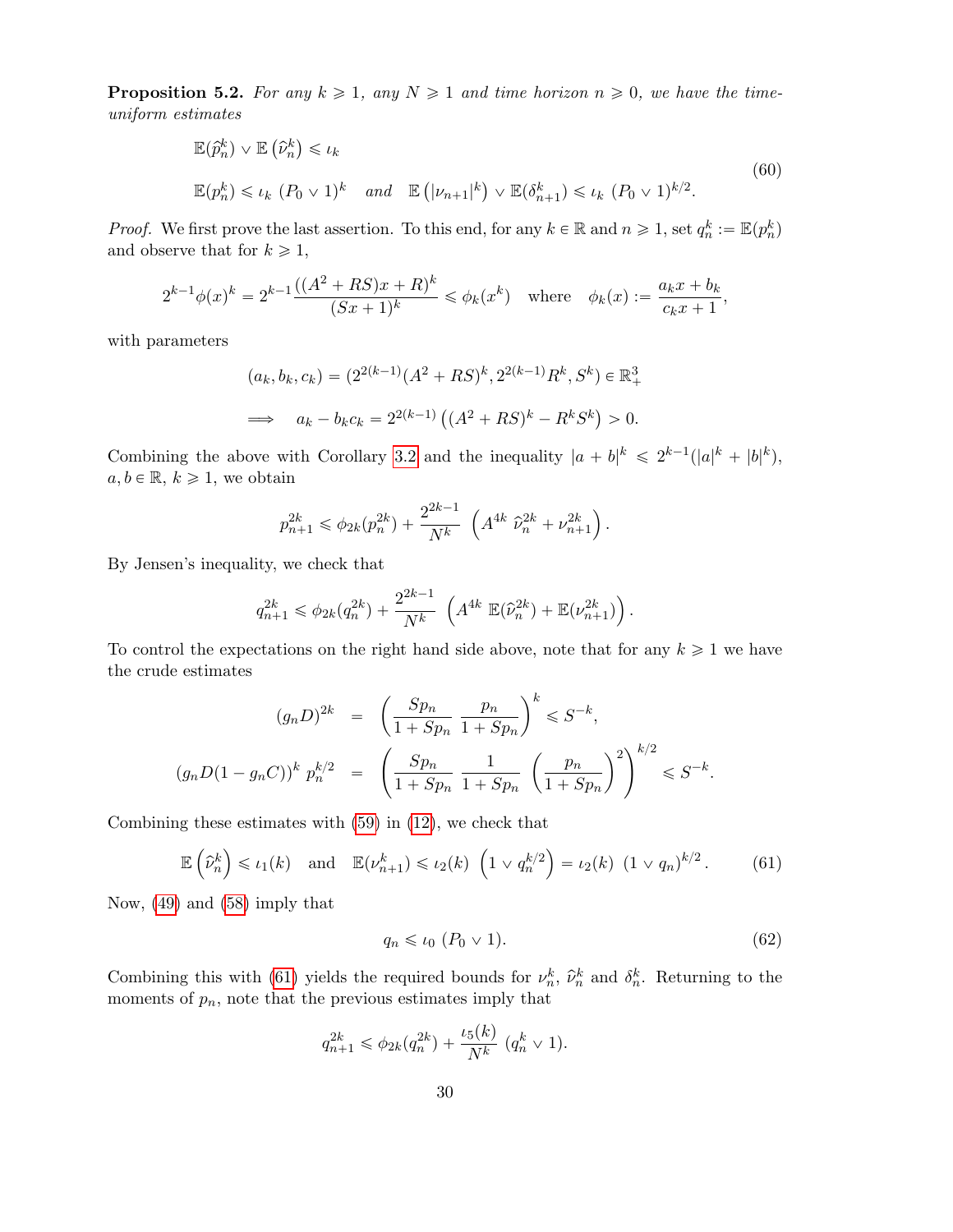**Proposition 5.2.** For any  $k \ge 1$ , any  $N \ge 1$  and time horizon  $n \ge 0$ , we have the timeuniform estimates

$$
\mathbb{E}(\hat{p}_n^k) \vee \mathbb{E}(\hat{\nu}_n^k) \le \iota_k
$$
\n
$$
\mathbb{E}(p_n^k) \le \iota_k (P_0 \vee 1)^k \quad \text{and} \quad \mathbb{E}(|\nu_{n+1}|^k) \vee \mathbb{E}(\delta_{n+1}^k) \le \iota_k (P_0 \vee 1)^{k/2}.
$$
\n
$$
(60)
$$

*Proof.* We first prove the last assertion. To this end, for any  $k \in \mathbb{R}$  and  $n \geq 1$ , set  $q_n^k := \mathbb{E}(p_n^k)$ and observe that for  $k \geq 1$ ,

$$
2^{k-1}\phi(x)^k = 2^{k-1}\frac{((A^2 + RS)x + R)^k}{(Sx + 1)^k} \leq \phi_k(x^k) \quad \text{where} \quad \phi_k(x) := \frac{a_k x + b_k}{c_k x + 1},
$$

with parameters

$$
(a_k, b_k, c_k) = (2^{2(k-1)}(A^2 + RS)^k, 2^{2(k-1)}R^k, S^k) \in \mathbb{R}^3_+
$$
  

$$
\implies a_k - b_k c_k = 2^{2(k-1)}((A^2 + RS)^k - R^k S^k) > 0.
$$

Combining the above with Corollary 3.2 and the inequality  $|a + b|^k \leq 2^{k-1} (|a|^k + |b|^k)$ ,  $a, b \in \mathbb{R}, k \geq 1$ , we obtain

$$
p_{n+1}^{2k} \leq \phi_{2k}(p_n^{2k}) + \frac{2^{2k-1}}{N^k} \left( A^{4k} \ \hat{\nu}_n^{2k} + \nu_{n+1}^{2k} \right).
$$

By Jensen's inequality, we check that

$$
q_{n+1}^{2k} \leq \phi_{2k}(q_n^{2k}) + \frac{2^{2k-1}}{N^k} \left( A^{4k} \mathbb{E}(\widehat{\nu}_n^{2k}) + \mathbb{E}(\nu_{n+1}^{2k}) \right).
$$

To control the expectations on the right hand side above, note that for any  $k \geq 1$  we have the crude estimates

$$
(g_n D)^{2k} = \left(\frac{Sp_n}{1+Sp_n} \frac{p_n}{1+Sp_n}\right)^k \leq S^{-k},
$$
  

$$
(g_n D(1-g_n C))^k p_n^{k/2} = \left(\frac{Sp_n}{1+Sp_n} \frac{1}{1+Sp_n} \left(\frac{p_n}{1+Sp_n}\right)^2\right)^{k/2} \leq S^{-k}.
$$

Combining these estimates with (59) in (12), we check that

$$
\mathbb{E}\left(\widehat{\nu}_n^k\right) \leqslant \iota_1(k) \quad \text{and} \quad \mathbb{E}(\nu_{n+1}^k) \leqslant \iota_2(k) \left(1 \vee q_n^{k/2}\right) = \iota_2(k) \left(1 \vee q_n\right)^{k/2}.
$$
 (61)

Now, (49) and (58) imply that

$$
q_n \leq t_0 \ (P_0 \vee 1). \tag{62}
$$

Combining this with (61) yields the required bounds for  $\nu_n^k$ ,  $\hat{\nu}_n^k$  and  $\delta_n^k$ . Returning to the moments of  $p_n$ , note that the previous estimates imply that

$$
q_{n+1}^{2k} \leq \phi_{2k}(q_n^{2k}) + \frac{\iota_5(k)}{N^k} (q_n^k \vee 1).
$$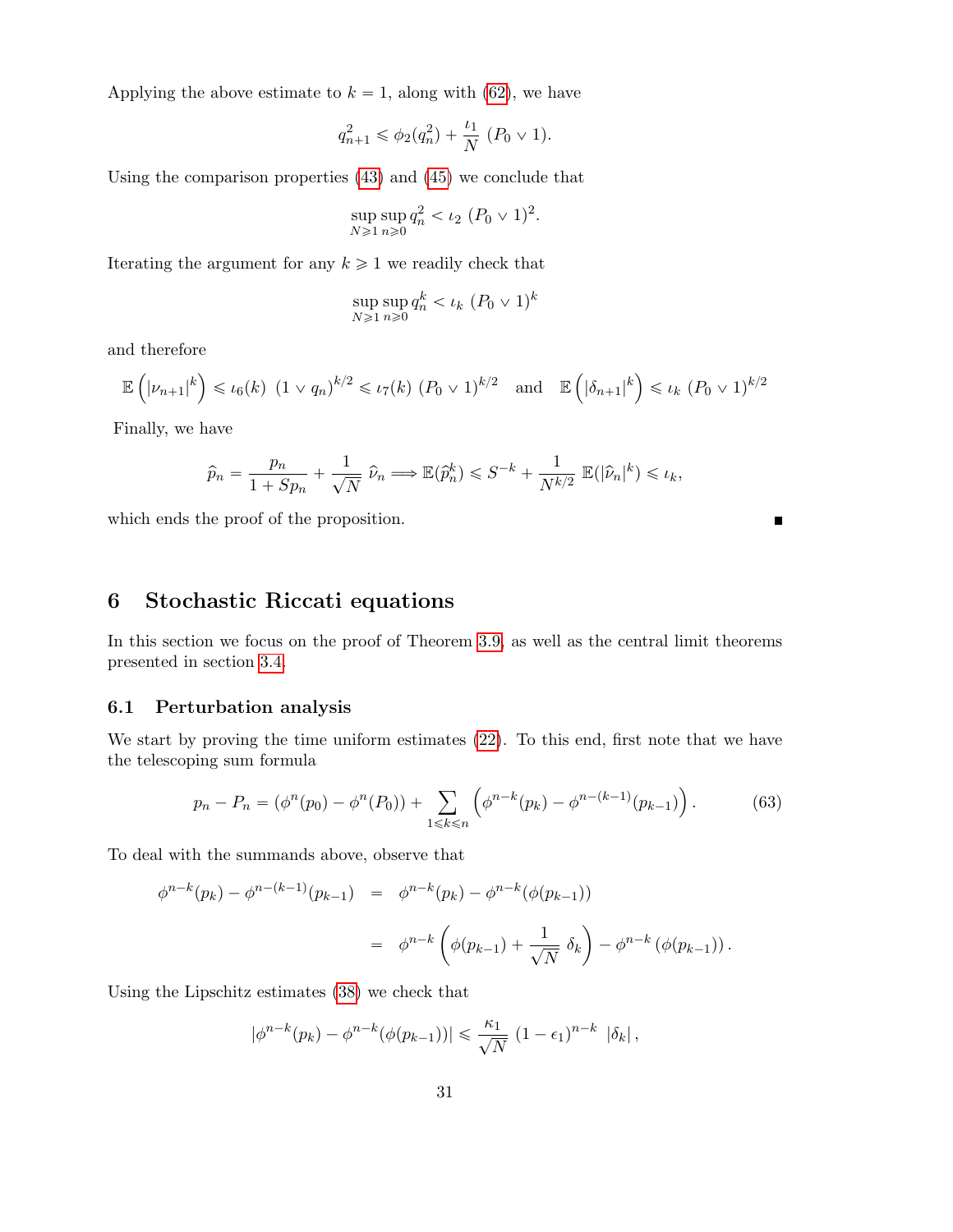Applying the above estimate to  $k = 1$ , along with (62), we have

$$
q_{n+1}^2 \leq \phi_2(q_n^2) + \frac{\iota_1}{N} (P_0 \vee 1).
$$

Using the comparison properties (43) and (45) we conclude that

$$
\sup_{N \ge 1} \sup_{n \ge 0} q_n^2 < \iota_2 \ (P_0 \vee 1)^2.
$$

Iterating the argument for any  $k \geq 1$  we readily check that

$$
\sup_{N\geq 1} \sup_{n\geq 0} q_n^k < \iota_k \ (P_0 \vee 1)^k
$$

and therefore

$$
\mathbb{E}\left(|\nu_{n+1}|^k\right) \leqslant \iota_6(k) \ (1 \vee q_n)^{k/2} \leqslant \iota_7(k) \ (P_0 \vee 1)^{k/2} \quad \text{and} \quad \mathbb{E}\left(|\delta_{n+1}|^k\right) \leqslant \iota_k \ (P_0 \vee 1)^{k/2}
$$

Finally, we have

$$
\widehat{p}_n = \frac{p_n}{1 + Sp_n} + \frac{1}{\sqrt{N}} \widehat{\nu}_n \Longrightarrow \mathbb{E}(\widehat{p}_n^k) \leqslant S^{-k} + \frac{1}{N^{k/2}} \mathbb{E}(|\widehat{\nu}_n|^k) \leqslant \iota_k,
$$

 $\blacksquare$ 

which ends the proof of the proposition.

# 6 Stochastic Riccati equations

In this section we focus on the proof of Theorem 3.9, as well as the central limit theorems presented in section 3.4.

# 6.1 Perturbation analysis

We start by proving the time uniform estimates (22). To this end, first note that we have the telescoping sum formula

$$
p_n - P_n = (\phi^n(p_0) - \phi^n(P_0)) + \sum_{1 \le k \le n} \left( \phi^{n-k}(p_k) - \phi^{n-(k-1)}(p_{k-1}) \right).
$$
 (63)

To deal with the summands above, observe that

$$
\phi^{n-k}(p_k) - \phi^{n-(k-1)}(p_{k-1}) = \phi^{n-k}(p_k) - \phi^{n-k}(\phi(p_{k-1}))
$$
  
= 
$$
\phi^{n-k}\left(\phi(p_{k-1}) + \frac{1}{\sqrt{N}} \delta_k\right) - \phi^{n-k}(\phi(p_{k-1}))
$$

Using the Lipschitz estimates (38) we check that

$$
|\phi^{n-k}(p_k) - \phi^{n-k}(\phi(p_{k-1}))| \leq \frac{\kappa_1}{\sqrt{N}} (1 - \epsilon_1)^{n-k} |\delta_k|,
$$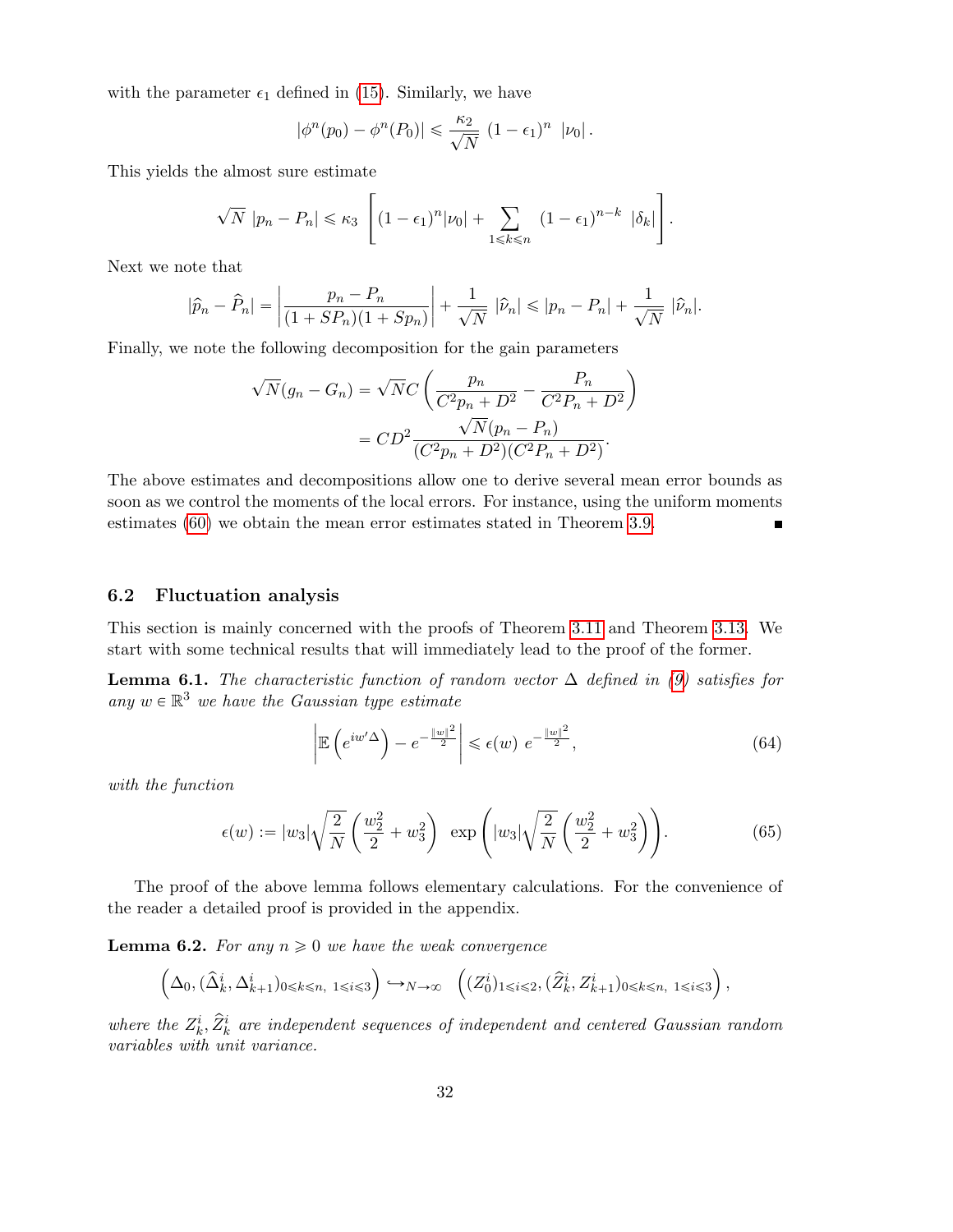with the parameter  $\epsilon_1$  defined in (15). Similarly, we have

$$
|\phi^{n}(p_0)-\phi^{n}(P_0)|\leq \frac{\kappa_2}{\sqrt{N}}\left(1-\epsilon_1\right)^n\,|\nu_0|.
$$

This yields the almost sure estimate «

$$
\sqrt{N} |p_n - P_n| \leq \kappa_3 \left[ (1 - \epsilon_1)^n |\nu_0| + \sum_{1 \leq k \leq n} (1 - \epsilon_1)^{n-k} |\delta_k| \right].
$$

for the control of the control of the control of the control of the control of the control of the control of the control of the control of the control of the control of the control of the control of the control of the cont

Next we note that

$$
|\widehat{p}_n - \widehat{P}_n| = \left| \frac{p_n - P_n}{(1 + SP_n)(1 + Sp_n)} \right| + \frac{1}{\sqrt{N}} |\widehat{\nu}_n| \le |p_n - P_n| + \frac{1}{\sqrt{N}} |\widehat{\nu}_n|.
$$

Finally, we note the following decomposition for the gain parameters

$$
\sqrt{N}(g_n - G_n) = \sqrt{N}C\left(\frac{p_n}{C^2p_n + D^2} - \frac{P_n}{C^2P_n + D^2}\right)
$$

$$
= CD^2 \frac{\sqrt{N}(p_n - P_n)}{(C^2p_n + D^2)(C^2P_n + D^2)}.
$$

The above estimates and decompositions allow one to derive several mean error bounds as soon as we control the moments of the local errors. For instance, using the uniform moments estimates (60) we obtain the mean error estimates stated in Theorem 3.9.  $\blacksquare$ 

### 6.2 Fluctuation analysis

This section is mainly concerned with the proofs of Theorem 3.11 and Theorem 3.13. We start with some technical results that will immediately lead to the proof of the former.

**Lemma 6.1.** The characteristic function of random vector  $\Delta$  defined in (9) satisfies for any  $w \in \mathbb{R}^3$  we have the Gaussian type estimate

$$
\left| \mathbb{E} \left( e^{iw' \Delta} \right) - e^{-\frac{\|w\|^2}{2}} \right| \leqslant \epsilon(w) \ e^{-\frac{\|w\|^2}{2}}, \tag{64}
$$

with the function

$$
\epsilon(w) := |w_3| \sqrt{\frac{2}{N}} \left( \frac{w_2^2}{2} + w_3^2 \right) \exp\left( |w_3| \sqrt{\frac{2}{N}} \left( \frac{w_2^2}{2} + w_3^2 \right) \right).
$$
 (65)

The proof of the above lemma follows elementary calculations. For the convenience of the reader a detailed proof is provided in the appendix.

**Lemma 6.2.** For any  $n \geq 0$  we have the weak convergence  $\overline{a}$ 

$$
\left(\Delta_0, (\hat{\Delta}_k^i, \Delta_{k+1}^i)_{0 \leq k \leq n, 1 \leq i \leq 3}\right) \hookrightarrow_{N \to \infty} \left((Z_0^i)_{1 \leq i \leq 2}, (\hat{Z}_k^i, Z_{k+1}^i)_{0 \leq k \leq n, 1 \leq i \leq 3}\right),
$$

where the  $Z_k^i$ ,  $\hat{Z}_k^i$  are independent sequences of independent and centered Gaussian random variables with unit variance.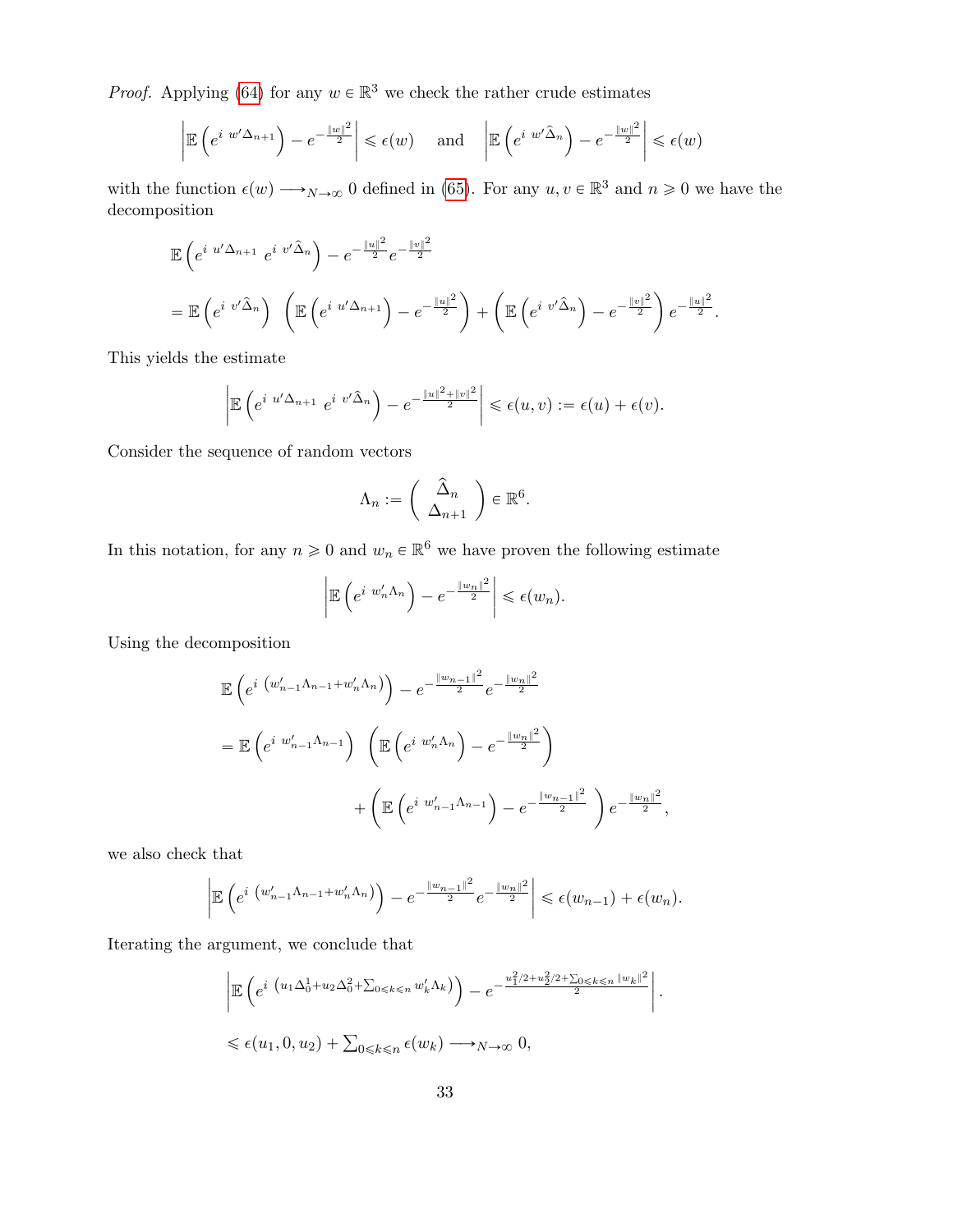*Proof.* Applying (64) for any  $w \in \mathbb{R}^3$  we check the rather crude estimates

$$
\left| \mathbb{E} \left( e^{i w' \Delta_{n+1}} \right) - e^{-\frac{\|w\|^2}{2}} \right| \leqslant \epsilon(w) \quad \text{ and } \quad \left| \mathbb{E} \left( e^{i w' \hat{\Delta}_n} \right) - e^{-\frac{\|w\|^2}{2}} \right| \leqslant \epsilon(w)
$$

with the function  $\epsilon(w) \longrightarrow_{N \to \infty} 0$  defined in (65). For any  $u, v \in \mathbb{R}^3$  and  $n \geq 0$  we have the decomposition

$$
\mathbb{E}\left(e^{i u^{\prime}\Delta_{n+1}} e^{i v^{\prime}\hat{\Delta}_{n}}\right) - e^{-\frac{\|u\|^2}{2}} e^{-\frac{\|v\|^2}{2}}
$$
\n
$$
= \mathbb{E}\left(e^{i v^{\prime}\hat{\Delta}_{n}}\right) \left(\mathbb{E}\left(e^{i u^{\prime}\Delta_{n+1}}\right) - e^{-\frac{\|u\|^2}{2}}\right) + \left(\mathbb{E}\left(e^{i v^{\prime}\hat{\Delta}_{n}}\right) - e^{-\frac{\|v\|^2}{2}}\right) e^{-\frac{\|u\|^2}{2}}.
$$

This yields the estimate

$$
\left|\mathbb{E}\left(e^{i u'\Delta_{n+1}} e^{i v'\hat{\Delta}_n}\right)-e^{-\frac{\|u\|^2+\|v\|^2}{2}}\right|\leq \epsilon(u,v):=\epsilon(u)+\epsilon(v).
$$

Consider the sequence of random vectors

$$
\Lambda_n := \left( \begin{array}{c} \hat{\Delta}_n \\ \Delta_{n+1} \end{array} \right) \in \mathbb{R}^6.
$$

In this notation, for any  $n \geq 0$  and  $w_n \in \mathbb{R}^6$  we have proven the following estimate

$$
\left|\mathbb{E}\left(e^{i w'_n \Lambda_n}\right) - e^{-\frac{\|w_n\|^2}{2}}\right| \leq \epsilon(w_n).
$$

Using the decomposition

$$
\mathbb{E}\left(e^{i (w'_{n-1}\Lambda_{n-1}+w'_{n}\Lambda_{n})}\right)-e^{-\frac{\|w_{n-1}\|^{2}}{2}}e^{-\frac{\|w_{n}\|^{2}}{2}}
$$
\n
$$
=\mathbb{E}\left(e^{i w'_{n-1}\Lambda_{n-1}}\right)\left(\mathbb{E}\left(e^{i w'_{n}\Lambda_{n}}\right)-e^{-\frac{\|w_{n}\|^{2}}{2}}\right)
$$
\n
$$
+\left(\mathbb{E}\left(e^{i w'_{n-1}\Lambda_{n-1}}\right)-e^{-\frac{\|w_{n-1}\|^{2}}{2}}\right)e^{-\frac{\|w_{n}\|^{2}}{2}},
$$

we also check that

$$
\left| \mathbb{E} \left( e^{i \left( w'_{n-1} \Lambda_{n-1} + w'_{n} \Lambda_{n} \right)} \right) - e^{-\frac{\| w_{n-1} \|^2}{2}} e^{-\frac{\| w_{n} \|^2}{2}} \right| \leq \epsilon (w_{n-1}) + \epsilon (w_{n}).
$$

Iterating the argument, we conclude that

$$
\left| \mathbb{E} \left( e^{i \left( u_1 \Delta_0^1 + u_2 \Delta_0^2 + \sum_{0 \le k \le n} w'_k \Delta_k \right)} \right) - e^{-\frac{u_1^2 / 2 + u_2^2 / 2 + \sum_{0 \le k \le n} \|w_k\|^2}{2}} \right|.
$$
  

$$
\le \epsilon(u_1, 0, u_2) + \sum_{0 \le k \le n} \epsilon(w_k) \longrightarrow_{N \to \infty} 0,
$$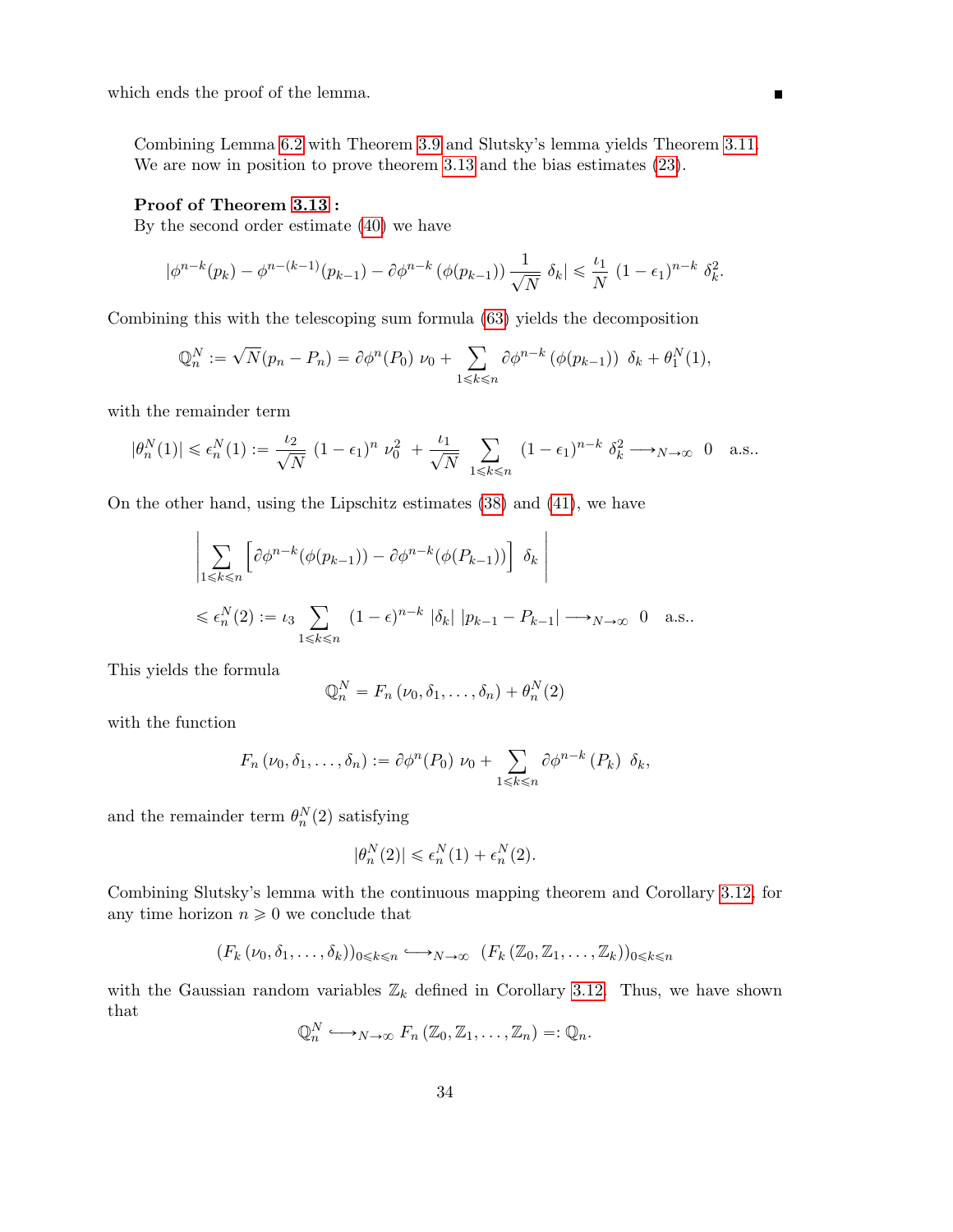which ends the proof of the lemma.

Combining Lemma 6.2 with Theorem 3.9 and Slutsky's lemma yields Theorem 3.11. We are now in position to prove theorem 3.13 and the bias estimates (23).

#### Proof of Theorem 3.13 :

By the second order estimate (40) we have

$$
|\phi^{n-k}(p_k) - \phi^{n-(k-1)}(p_{k-1}) - \partial \phi^{n-k}(\phi(p_{k-1})) \frac{1}{\sqrt{N}} \delta_k| \leq \frac{\iota_1}{N} (1 - \epsilon_1)^{n-k} \delta_k^2.
$$

Combining this with the telescoping sum formula (63) yields the decomposition

$$
\mathbb{Q}_n^N := \sqrt{N}(p_n - P_n) = \partial \phi^n(P_0) \nu_0 + \sum_{1 \leq k \leq n} \partial \phi^{n-k} (\phi(p_{k-1})) \delta_k + \theta_1^N(1),
$$

with the remainder term

$$
|\theta_n^N(1)| \leq \epsilon_n^N(1) := \frac{\iota_2}{\sqrt{N}} \left(1 - \epsilon_1\right)^n \nu_0^2 + \frac{\iota_1}{\sqrt{N}} \sum_{1 \leq k \leq n} (1 - \epsilon_1)^{n-k} \delta_k^2 \longrightarrow_{N \to \infty} 0 \quad \text{a.s..}
$$

On the other hand, using the Lipschitz estimates (38) and (41), we have

$$
\left| \sum_{1 \leq k \leq n} \left[ \partial \phi^{n-k} (\phi(p_{k-1})) - \partial \phi^{n-k} (\phi(P_{k-1})) \right] \delta_k \right|
$$
  

$$
\leq \epsilon_n^N(2) := \iota_3 \sum_{1 \leq k \leq n} (1 - \epsilon)^{n-k} |\delta_k| |p_{k-1} - P_{k-1}| \longrightarrow_{N \to \infty} 0 \quad \text{a.s..}
$$

This yields the formula

$$
\mathbb{Q}_n^N = F_n(\nu_0, \delta_1, \dots, \delta_n) + \theta_n^N(2)
$$

with the function

$$
F_n(\nu_0, \delta_1, \ldots, \delta_n) := \partial \phi^n(P_0) \nu_0 + \sum_{1 \leq k \leq n} \partial \phi^{n-k}(P_k) \delta_k,
$$

and the remainder term  $\theta_n^N(2)$  satisfying

$$
|\theta^N_n(2)|\leqslant \epsilon^N_n(1)+\epsilon^N_n(2).
$$

Combining Slutsky's lemma with the continuous mapping theorem and Corollary 3.12, for any time horizon  $n \geq 0$  we conclude that

$$
(F_k(\nu_0, \delta_1, \ldots, \delta_k))_{0 \leq k \leq n} \longrightarrow_{N \to \infty} (F_k(\mathbb{Z}_0, \mathbb{Z}_1, \ldots, \mathbb{Z}_k))_{0 \leq k \leq n}
$$

with the Gaussian random variables  $\mathbb{Z}_k$  defined in Corollary 3.12. Thus, we have shown that

$$
\mathbb{Q}_n^N \longrightarrow_{N \to \infty} F_n\left(\mathbb{Z}_0, \mathbb{Z}_1, \ldots, \mathbb{Z}_n\right) =: \mathbb{Q}_n.
$$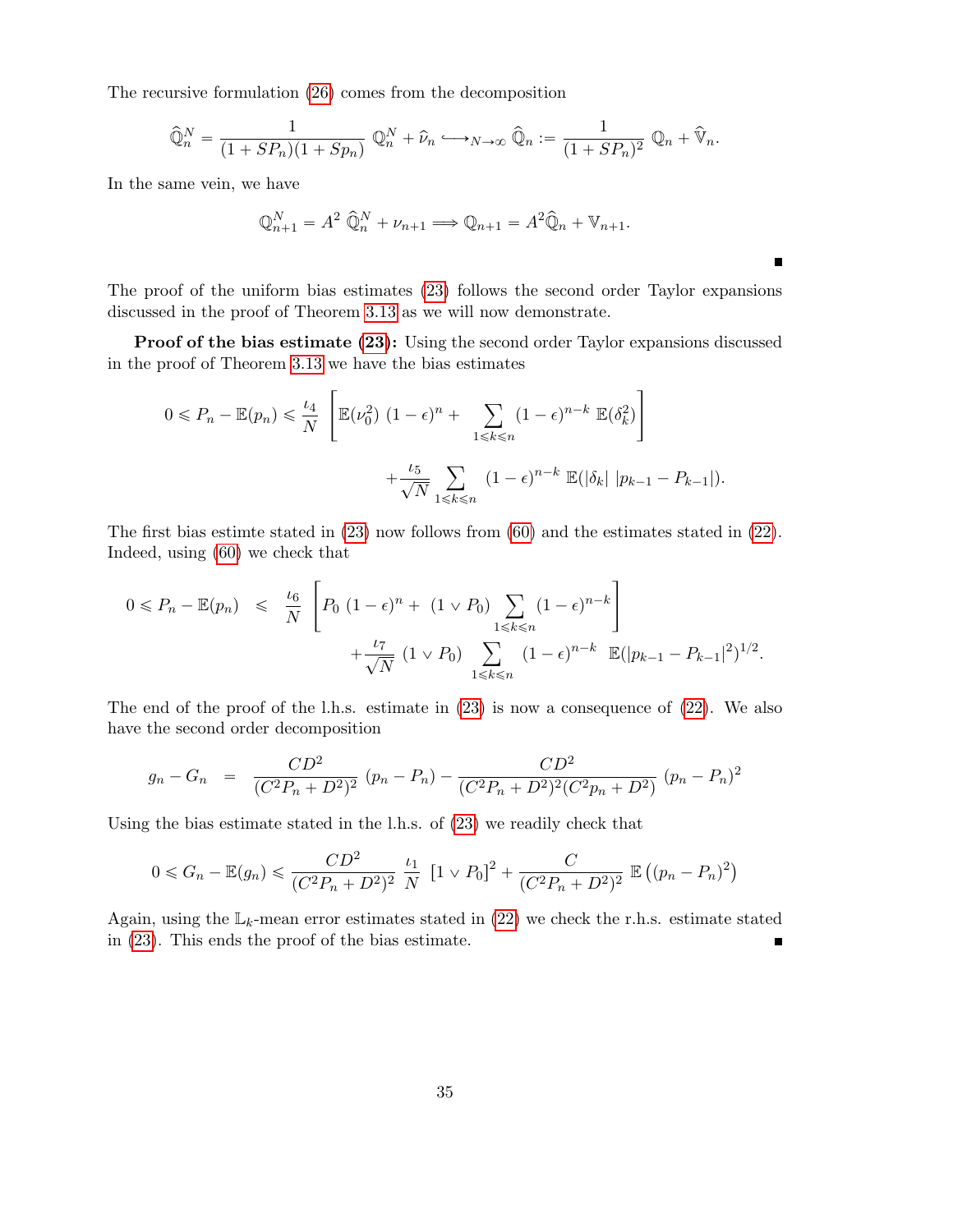The recursive formulation (26) comes from the decomposition

$$
\widehat{\mathbb{Q}}_n^N = \frac{1}{(1+SP_n)(1+Sp_n)} \mathbb{Q}_n^N + \widehat{\nu}_n \longrightarrow_{N \to \infty} \widehat{\mathbb{Q}}_n := \frac{1}{(1+SP_n)^2} \mathbb{Q}_n + \widehat{\mathbb{V}}_n.
$$

In the same vein, we have

$$
\mathbb{Q}_{n+1}^N = A^2 \widehat{\mathbb{Q}}_n^N + \nu_{n+1} \Longrightarrow \mathbb{Q}_{n+1} = A^2 \widehat{\mathbb{Q}}_n + \mathbb{V}_{n+1}.
$$

The proof of the uniform bias estimates (23) follows the second order Taylor expansions discussed in the proof of Theorem 3.13 as we will now demonstrate.

 $\blacksquare$ 

Proof of the bias estimate (23): Using the second order Taylor expansions discussed in the proof of Theorem 3.13 we have the bias estimates

$$
0 \le P_n - \mathbb{E}(p_n) \le \frac{\iota_4}{N} \left[ \mathbb{E}(\nu_0^2) \left(1 - \epsilon\right)^n + \sum_{1 \le k \le n} (1 - \epsilon)^{n-k} \mathbb{E}(\delta_k^2) \right] + \frac{\iota_5}{\sqrt{N}} \sum_{1 \le k \le n} (1 - \epsilon)^{n-k} \mathbb{E}(|\delta_k| |p_{k-1} - P_{k-1}|).
$$

The first bias estimte stated in (23) now follows from (60) and the estimates stated in (22). Indeed, using (60) we check that

$$
0 \le P_n - \mathbb{E}(p_n) \le \frac{t_6}{N} \left[ P_0 \left( 1 - \epsilon \right)^n + (1 \vee P_0) \sum_{1 \le k \le n} (1 - \epsilon)^{n-k} \right] + \frac{t_7}{\sqrt{N}} \left( 1 \vee P_0 \right) \sum_{1 \le k \le n} (1 - \epsilon)^{n-k} \mathbb{E}(|p_{k-1} - P_{k-1}|^2)^{1/2}.
$$

The end of the proof of the l.h.s. estimate in (23) is now a consequence of (22). We also have the second order decomposition

$$
g_n - G_n = \frac{CD^2}{(C^2 P_n + D^2)^2} (p_n - P_n) - \frac{CD^2}{(C^2 P_n + D^2)^2 (C^2 p_n + D^2)} (p_n - P_n)^2
$$

Using the bias estimate stated in the l.h.s. of (23) we readily check that

$$
0 \le G_n - \mathbb{E}(g_n) \le \frac{CD^2}{(C^2 P_n + D^2)^2} \frac{\iota_1}{N} \left[1 \vee P_0\right]^2 + \frac{C}{(C^2 P_n + D^2)^2} \mathbb{E}\left((p_n - P_n)^2\right)
$$

Again, using the  $\mathbb{L}_k$ -mean error estimates stated in (22) we check the r.h.s. estimate stated in (23). This ends the proof of the bias estimate. Ē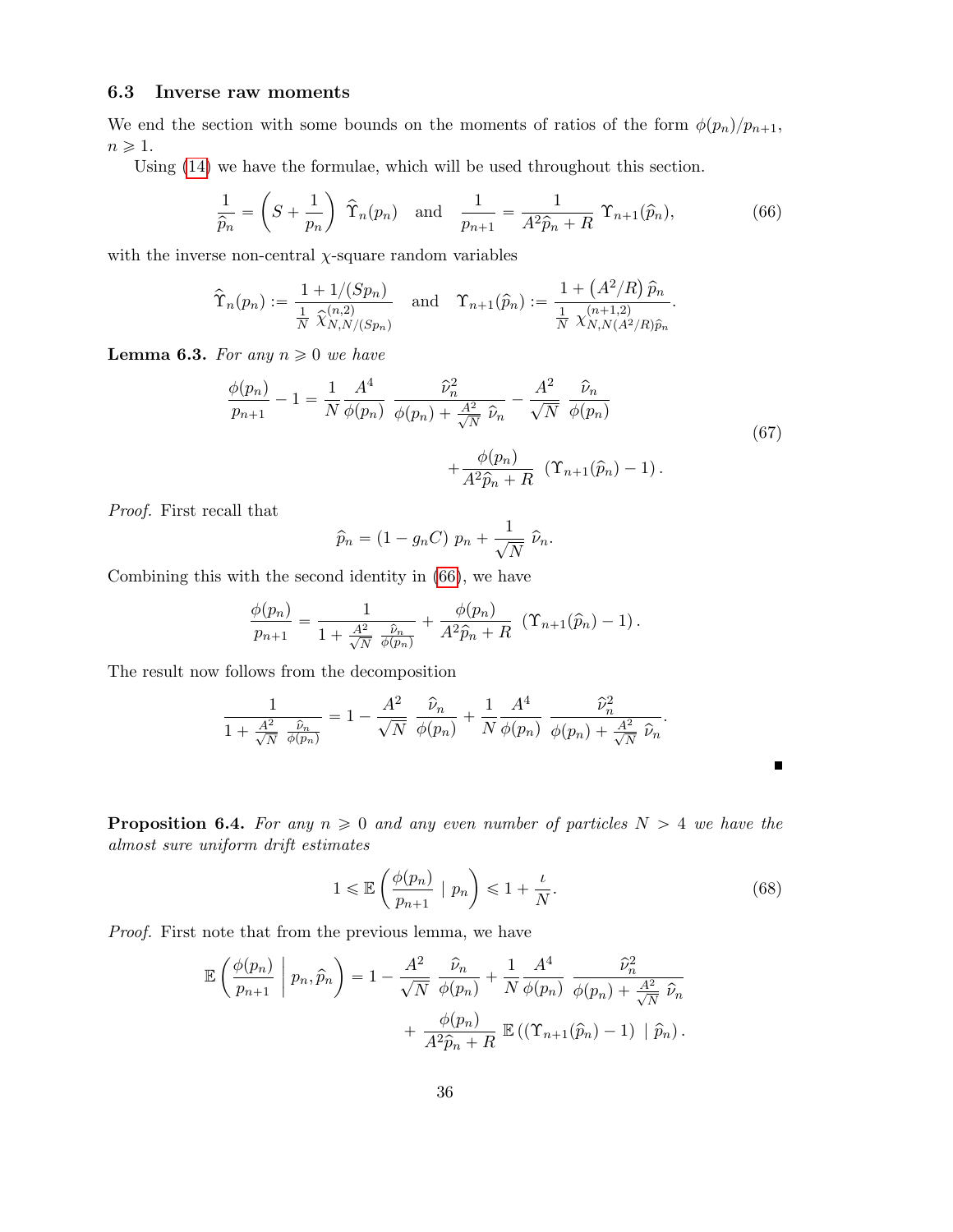#### 6.3 Inverse raw moments

We end the section with some bounds on the moments of ratios of the form  $\phi(p_n)/p_{n+1}$ ,  $n \geqslant 1$ .

Using (14) we have the formulae, which will be used throughout this section.

$$
\frac{1}{\hat{p}_n} = \left(S + \frac{1}{p_n}\right) \hat{\Upsilon}_n(p_n) \quad \text{and} \quad \frac{1}{p_{n+1}} = \frac{1}{A^2 \hat{p}_n + R} \Upsilon_{n+1}(\hat{p}_n),\tag{66}
$$

with the inverse non-central  $\chi$ -square random variables

$$
\hat{\Upsilon}_n(p_n) := \frac{1 + 1/(Sp_n)}{\frac{1}{N} \hat{\chi}_{N,N/(Sp_n)}^{(n,2)}} \quad \text{and} \quad \Upsilon_{n+1}(\hat{p}_n) := \frac{1 + (A^2/R) \hat{p}_n}{\frac{1}{N} \hat{\chi}_{N,N(A^2/R)\hat{p}_n}^{(n+1,2)}}.
$$

**Lemma 6.3.** For any  $n \geq 0$  we have

$$
\frac{\phi(p_n)}{p_{n+1}} - 1 = \frac{1}{N} \frac{A^4}{\phi(p_n)} \frac{\hat{\nu}_n^2}{\phi(p_n) + \frac{A^2}{\sqrt{N}} \hat{\nu}_n} - \frac{A^2}{\sqrt{N}} \frac{\hat{\nu}_n}{\phi(p_n)} + \frac{\phi(p_n)}{A^2 \hat{p}_n + R} (\Upsilon_{n+1}(\hat{p}_n) - 1).
$$
\n(67)

Proof. First recall that

$$
\widehat{p}_n = (1 - g_n C) p_n + \frac{1}{\sqrt{N}} \widehat{\nu}_n.
$$

Combining this with the second identity in (66), we have

$$
\frac{\phi(p_n)}{p_{n+1}} = \frac{1}{1 + \frac{A^2}{\sqrt{N}} \frac{\hat{\nu}_n}{\phi(p_n)}} + \frac{\phi(p_n)}{A^2 \hat{p}_n + R} \left( \Upsilon_{n+1}(\hat{p}_n) - 1 \right).
$$

The result now follows from the decomposition

$$
\frac{1}{1+\frac{A^2}{\sqrt{N}}\frac{\hat{\nu}_n}{\phi(p_n)}}=1-\frac{A^2}{\sqrt{N}}\frac{\hat{\nu}_n}{\phi(p_n)}+\frac{1}{N}\frac{A^4}{\phi(p_n)}\frac{\hat{\nu}_n^2}{\phi(p_n)+\frac{A^2}{\sqrt{N}}\hat{\nu}_n}.
$$

**Proposition 6.4.** For any  $n \geq 0$  and any even number of particles  $N > 4$  we have the almost sure uniform drift estimates

$$
1 \leqslant \mathbb{E}\left(\frac{\phi(p_n)}{p_{n+1}} \mid p_n\right) \leqslant 1 + \frac{\iota}{N}.\tag{68}
$$

 $\blacksquare$ 

Proof. First note that from the previous lemma, we have

$$
\mathbb{E}\left(\frac{\phi(p_n)}{p_{n+1}} \middle| p_n, \hat{p}_n\right) = 1 - \frac{A^2}{\sqrt{N}} \frac{\hat{\nu}_n}{\phi(p_n)} + \frac{1}{N} \frac{A^4}{\phi(p_n)} \frac{\hat{\nu}_n^2}{\phi(p_n) + \frac{A^2}{\sqrt{N}} \hat{\nu}_n} + \frac{\phi(p_n)}{A^2 \hat{p}_n + R} \mathbb{E}\left((\Upsilon_{n+1}(\hat{p}_n) - 1) \middle| \hat{p}_n\right).
$$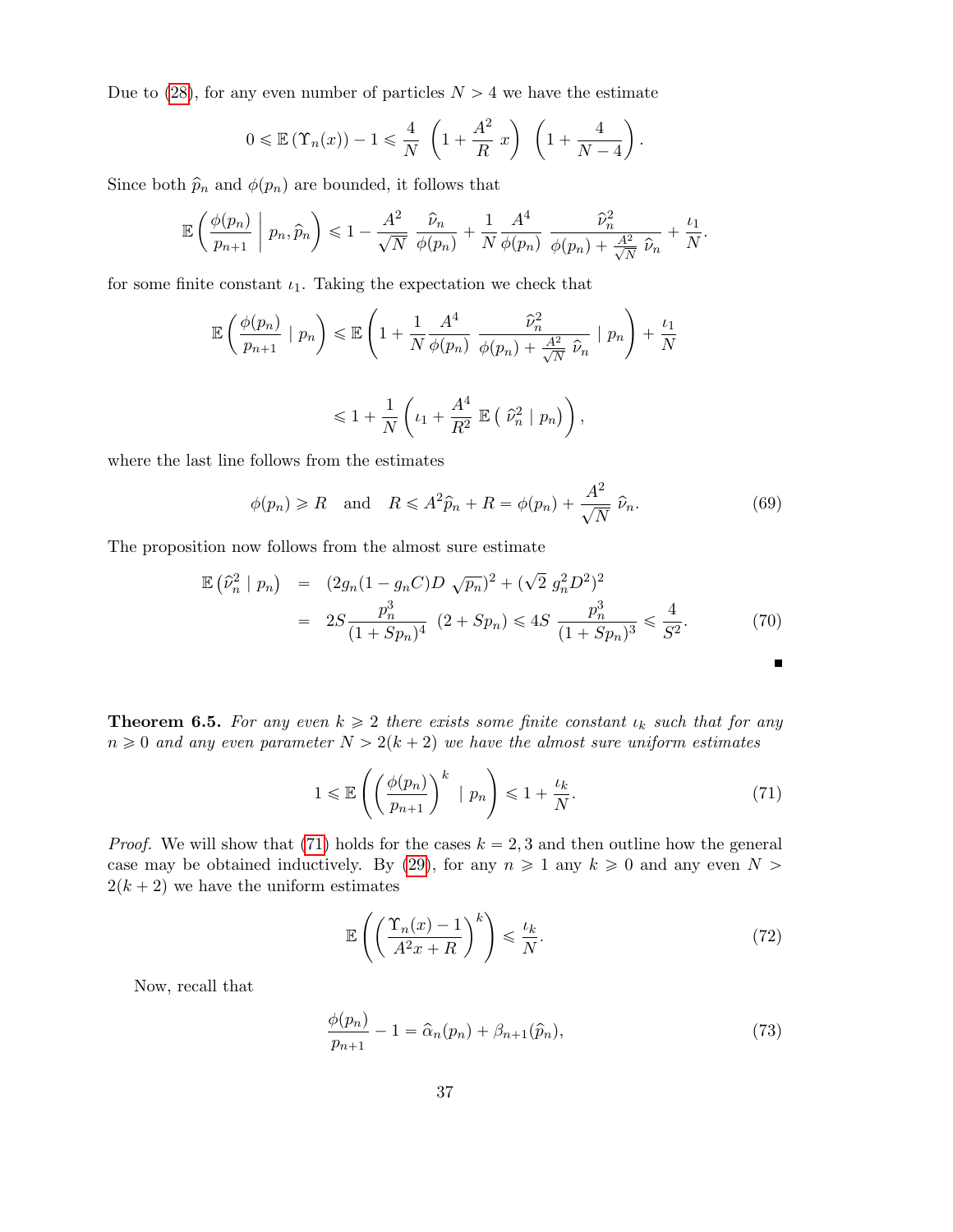Due to (28), for any even number of particles  $N > 4$  we have the estimate

$$
0 \leqslant \mathbb{E}(\Upsilon_n(x)) - 1 \leqslant \frac{4}{N} \left(1 + \frac{A^2}{R} x\right) \left(1 + \frac{4}{N - 4}\right).
$$

Since both  $\hat{p}_n$  and  $\phi(p_n)$  are bounded, it follows that

$$
\mathbb{E}\left(\frac{\phi(p_n)}{p_{n+1}}\;\middle|\;p_n,\widehat{p}_n\right) \leq 1 - \frac{A^2}{\sqrt{N}}\;\frac{\widehat{\nu}_n}{\phi(p_n)} + \frac{1}{N}\frac{A^4}{\phi(p_n)}\;\frac{\widehat{\nu}_n^2}{\phi(p_n) + \frac{A^2}{\sqrt{N}}\;\widehat{\nu}_n} + \frac{\iota_1}{N}.
$$

for some finite constant  $\iota_1$ . Taking the expectation we check that

$$
\mathbb{E}\left(\frac{\phi(p_n)}{p_{n+1}} \mid p_n\right) \leq \mathbb{E}\left(1 + \frac{1}{N}\frac{A^4}{\phi(p_n)} \frac{\hat{\nu}_n^2}{\phi(p_n) + \frac{A^2}{\sqrt{N}} \hat{\nu}_n} \mid p_n\right) + \frac{\iota_1}{N}
$$
  

$$
\leq 1 + \frac{1}{N}\left(\iota_1 + \frac{A^4}{R^2} \mathbb{E}\left(\hat{\nu}_n^2 \mid p_n\right)\right),
$$

where the last line follows from the estimates

$$
\phi(p_n) \ge R
$$
 and  $R \le A^2 \hat{p}_n + R = \phi(p_n) + \frac{A^2}{\sqrt{N}} \hat{p}_n.$  (69)

The proposition now follows from the almost sure estimate

$$
\mathbb{E}(\hat{\nu}_n^2 \mid p_n) = (2g_n(1 - g_n C)D \sqrt{p_n})^2 + (\sqrt{2} g_n^2 D^2)^2
$$
  
= 
$$
2S \frac{p_n^3}{(1 + Sp_n)^4} (2 + Sp_n) \leq 4S \frac{p_n^3}{(1 + Sp_n)^3} \leq \frac{4}{S^2}.
$$
 (70)

**Theorem 6.5.** For any even  $k \geq 2$  there exists some finite constant  $\iota_k$  such that for any  $n \geq 0$  and any even parameter  $N > 2(k + 2)$  we have the almost sure uniform estimates

$$
1 \leqslant \mathbb{E}\left(\left(\frac{\phi(p_n)}{p_{n+1}}\right)^k \mid p_n\right) \leqslant 1 + \frac{\iota_k}{N}.\tag{71}
$$

*Proof.* We will show that (71) holds for the cases  $k = 2, 3$  and then outline how the general case may be obtained inductively. By (29), for any  $n \geq 1$  any  $k \geq 0$  and any even  $N >$  $2(k + 2)$  we have the uniform estimates

$$
\mathbb{E}\left(\left(\frac{\Upsilon_n(x)-1}{A^2x+R}\right)^k\right) \leqslant \frac{\iota_k}{N}.\tag{72}
$$

Now, recall that

$$
\frac{\phi(p_n)}{p_{n+1}} - 1 = \widehat{\alpha}_n(p_n) + \beta_{n+1}(\widehat{p}_n),\tag{73}
$$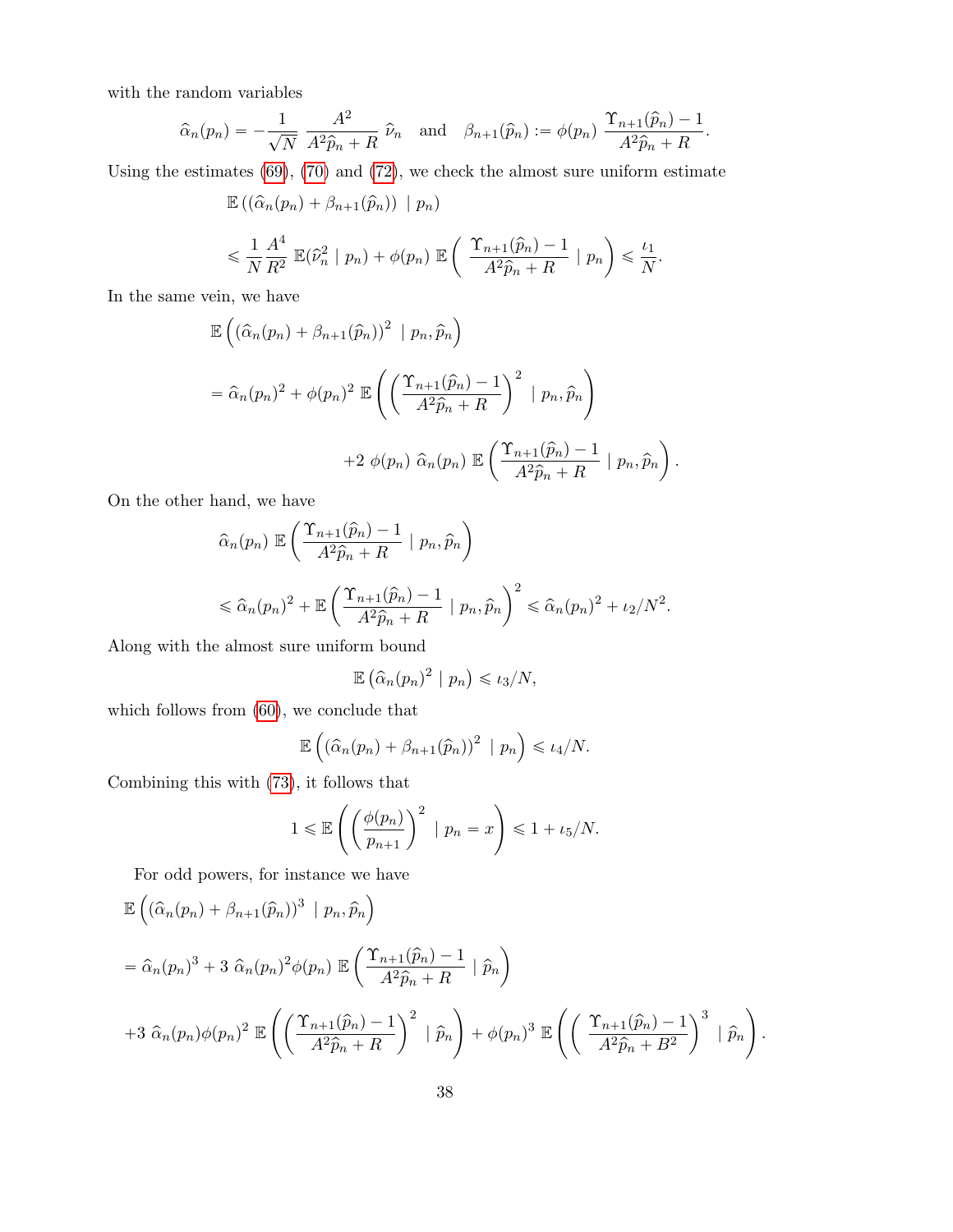with the random variables

$$
\widehat{\alpha}_n(p_n) = -\frac{1}{\sqrt{N}} \frac{A^2}{A^2 \widehat{p}_n + R} \widehat{\nu}_n \text{ and } \beta_{n+1}(\widehat{p}_n) := \phi(p_n) \frac{\Upsilon_{n+1}(\widehat{p}_n) - 1}{A^2 \widehat{p}_n + R}.
$$

Using the estimates  $(69)$ ,  $(70)$  and  $(72)$ , we check the almost sure uniform estimate

$$
\mathbb{E}((\hat{\alpha}_n(p_n) + \beta_{n+1}(\hat{p}_n)) | p_n)
$$
  
\$\leqslant \frac{1}{N} \frac{A^4}{R^2} \mathbb{E}(\hat{\nu}\_n^2 | p\_n) + \phi(p\_n) \mathbb{E} \left( \frac{\Upsilon\_{n+1}(\hat{p}\_n) - 1}{A^2 \hat{p}\_n + R} | p\_n \right) \leqslant \frac{\iota\_1}{N}\$.

In the same vein, we have ´

$$
\mathbb{E}\left((\hat{\alpha}_n(p_n)+\beta_{n+1}(\hat{p}_n))^2 \mid p_n, \hat{p}_n\right)
$$
  
=  $\hat{\alpha}_n(p_n)^2 + \phi(p_n)^2 \mathbb{E}\left(\left(\frac{\Upsilon_{n+1}(\hat{p}_n)-1}{A^2\hat{p}_n+R}\right)^2 \mid p_n, \hat{p}_n\right)$   
+  $2 \phi(p_n) \hat{\alpha}_n(p_n) \mathbb{E}\left(\frac{\Upsilon_{n+1}(\hat{p}_n)-1}{A^2\hat{p}_n+R} \mid p_n, \hat{p}_n\right).$ 

On the other hand, we have ˆ

$$
\hat{\alpha}_n(p_n) \mathbb{E}\left(\frac{\Upsilon_{n+1}(\hat{p}_n) - 1}{A^2 \hat{p}_n + R} \mid p_n, \hat{p}_n\right)
$$
  
\$\leq \hat{\alpha}\_n(p\_n)^2 + \mathbb{E}\left(\frac{\Upsilon\_{n+1}(\hat{p}\_n) - 1}{A^2 \hat{p}\_n + R} \mid p\_n, \hat{p}\_n\right)^2 \leq \hat{\alpha}\_n(p\_n)^2 + \iota\_2/N^2\$.

Along with the almost sure uniform bound

$$
\mathbb{E}\left(\widehat{\alpha}_n(p_n)^2 \mid p_n\right) \leqslant \iota_3/N,
$$

which follows from  $(60)$ , we conclude that

$$
\mathbb{E}\left((\widehat{\alpha}_n(p_n)+\beta_{n+1}(\widehat{p}_n))^2 \mid p_n\right) \leq \iota_4/N.
$$

Combining this with (73), it follows that

$$
1 \le \mathbb{E}\left(\left(\frac{\phi(p_n)}{p_{n+1}}\right)^2 \mid p_n = x\right) \le 1 + \iota_5/N.
$$

For odd powers, for instance we have For our powers, for instance we

$$
\mathbb{E}\left((\hat{\alpha}_n(p_n)+\beta_{n+1}(\hat{p}_n))^3 \mid p_n, \hat{p}_n\right)
$$
  
=  $\hat{\alpha}_n(p_n)^3 + 3 \hat{\alpha}_n(p_n)^2 \phi(p_n) \mathbb{E}\left(\frac{\Upsilon_{n+1}(\hat{p}_n)-1}{A^2\hat{p}_n+R} \mid \hat{p}_n\right)$   
+  $3 \hat{\alpha}_n(p_n)\phi(p_n)^2 \mathbb{E}\left(\left(\frac{\Upsilon_{n+1}(\hat{p}_n)-1}{A^2\hat{p}_n+R}\right)^2 \mid \hat{p}_n\right) + \phi(p_n)^3 \mathbb{E}\left(\left(\frac{\Upsilon_{n+1}(\hat{p}_n)-1}{A^2\hat{p}_n+B^2}\right)^3 \mid \hat{p}_n\right).$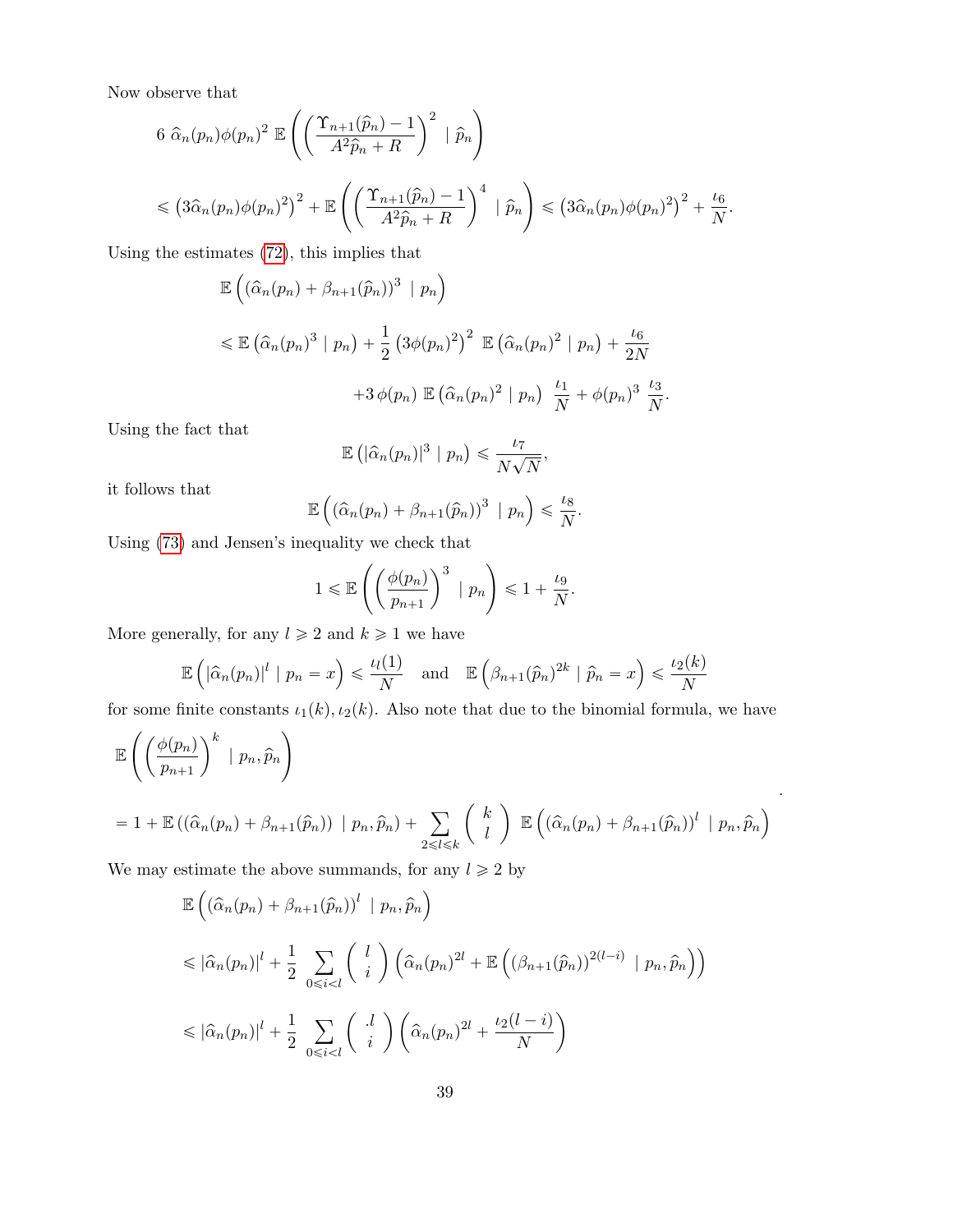Now observe that

$$
6 \ \hat{\alpha}_n(p_n)\phi(p_n)^2 \mathbb{E}\left(\left(\frac{\Upsilon_{n+1}(\hat{p}_n) - 1}{A^2 \hat{p}_n + R}\right)^2 \mid \hat{p}_n\right)
$$
  
\$\leqslant (3\hat{\alpha}\_n(p\_n)\phi(p\_n)^2)^2 + \mathbb{E}\left(\left(\frac{\Upsilon\_{n+1}(\hat{p}\_n) - 1}{A^2 \hat{p}\_n + R}\right)^4 \mid \hat{p}\_n\right) \leqslant (3\hat{\alpha}\_n(p\_n)\phi(p\_n)^2)^2 + \frac{\iota\_6}{N}\$.

Using the estimates (72), this implies that

$$
\mathbb{E}\left((\widehat{\alpha}_n(p_n)+\beta_{n+1}(\widehat{p}_n))^3 \mid p_n\right)
$$
  
\$\leqslant \mathbb{E} \left(\widehat{\alpha}\_n(p\_n)^3 \mid p\_n\right) + \frac{1}{2} \left(3\phi(p\_n)^2\right)^2 \mathbb{E} \left(\widehat{\alpha}\_n(p\_n)^2 \mid p\_n\right) + \frac{\iota\_6}{2N} + 3\phi(p\_n) \mathbb{E} \left(\widehat{\alpha}\_n(p\_n)^2 \mid p\_n\right) \frac{\iota\_1}{N} + \phi(p\_n)^3 \frac{\iota\_3}{N}.

Using the fact that

$$
\mathbb{E}\left(|\widehat{\alpha}_n(p_n)|^3 \mid p_n\right) \leq \frac{\iota_7}{N\sqrt{N}},
$$

it follows that

$$
\mathbb{E}\left((\widehat{\alpha}_n(p_n)+\beta_{n+1}(\widehat{p}_n))^3\mid p_n\right)\leq \frac{\iota_8}{N}.
$$

Using (73) and Jensen's inequality we check that

$$
1 \leqslant \mathbb{E}\left(\left(\frac{\phi(p_n)}{p_{n+1}}\right)^3 \mid p_n\right) \leqslant 1 + \frac{\iota_9}{N}.
$$

More generally, for any  $l \geq 2$  and  $k \geq 1$  we have

$$
\mathbb{E}\left(\left|\widehat{\alpha}_n(p_n)\right|^l \mid p_n = x\right) \leq \frac{\iota_l(1)}{N} \quad \text{and} \quad \mathbb{E}\left(\beta_{n+1}(\widehat{p}_n)^{2k} \mid \widehat{p}_n = x\right) \leq \frac{\iota_2(k)}{N}
$$

for some finite constants  $\iota_1(k), \iota_2(k)$ . Also note that due to the binomial formula, we have  $\sqrt{2}$ 

$$
\mathbb{E}\left(\left(\frac{\phi(p_n)}{p_{n+1}}\right)^k \mid p_n, \hat{p}_n\right)
$$
  
= 1 +  $\mathbb{E}\left((\hat{\alpha}_n(p_n) + \beta_{n+1}(\hat{p}_n)) \mid p_n, \hat{p}_n\right) + \sum_{2 \le l \le k} {k \choose l} \mathbb{E}\left((\hat{\alpha}_n(p_n) + \beta_{n+1}(\hat{p}_n))^{l} \mid p_n, \hat{p}_n\right)$ 

.

We may estimate the above summands, for any  $l \geq 2$  by

$$
\mathbb{E}\left((\hat{\alpha}_n(p_n) + \beta_{n+1}(\hat{p}_n))^l \mid p_n, \hat{p}_n\right)
$$
\n
$$
\leq |\hat{\alpha}_n(p_n)|^l + \frac{1}{2} \sum_{0 \leq i < l} \binom{l}{i} \left(\hat{\alpha}_n(p_n)^{2l} + \mathbb{E}\left((\beta_{n+1}(\hat{p}_n))^{2(l-i)} \mid p_n, \hat{p}_n\right)\right)
$$
\n
$$
\leq |\hat{\alpha}_n(p_n)|^l + \frac{1}{2} \sum_{0 \leq i < l} \binom{l}{i} \left(\hat{\alpha}_n(p_n)^{2l} + \frac{\iota_2(l-i)}{N}\right)
$$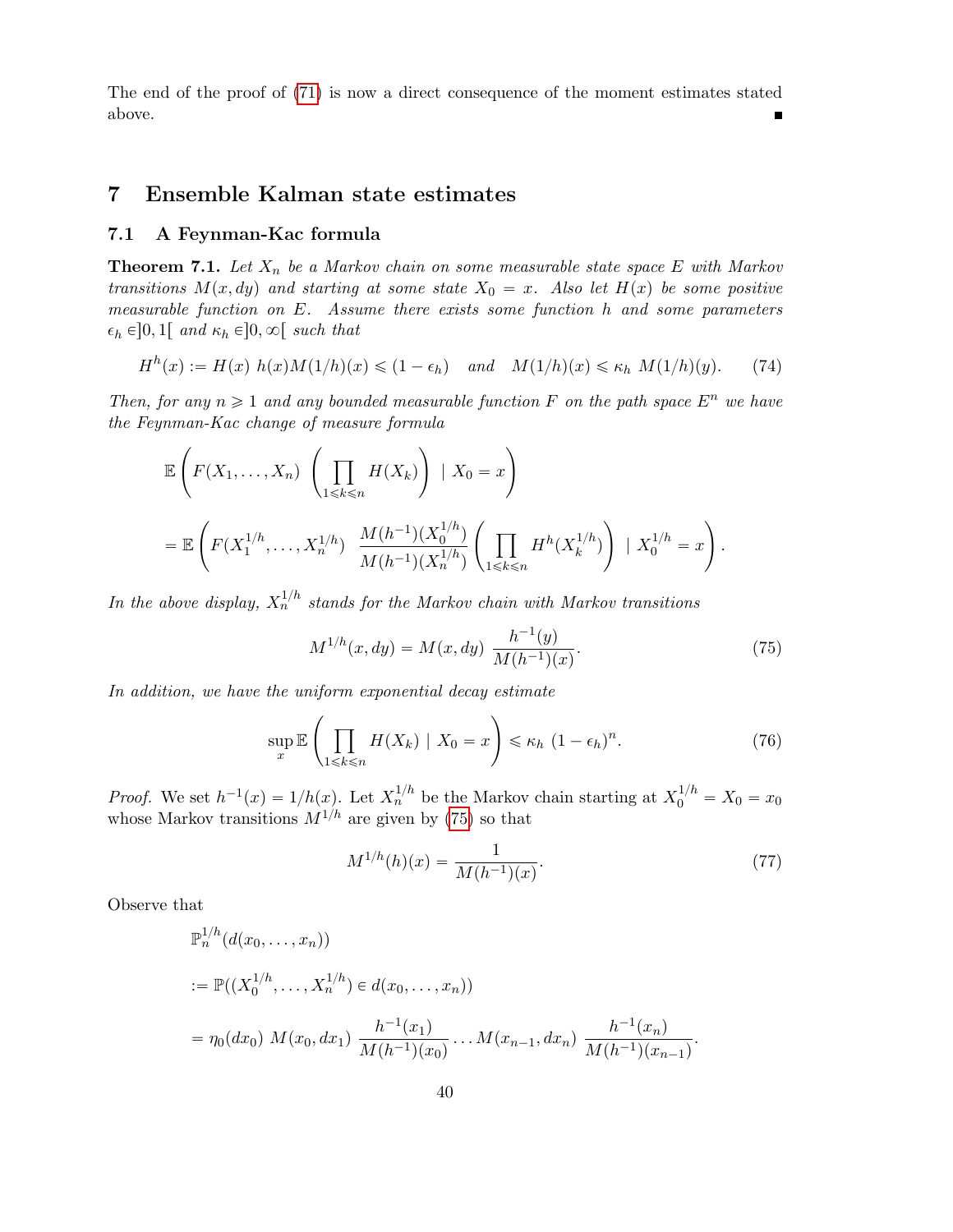The end of the proof of (71) is now a direct consequence of the moment estimates stated above.

# 7 Ensemble Kalman state estimates

## 7.1 A Feynman-Kac formula

**Theorem 7.1.** Let  $X_n$  be a Markov chain on some measurable state space E with Markov transitions  $M(x, dy)$  and starting at some state  $X_0 = x$ . Also let  $H(x)$  be some positive measurable function on E. Assume there exists some function h and some parameters  $\epsilon_h \in ]0,1[$  and  $\kappa_h \in ]0,\infty[$  such that

$$
H^{h}(x) := H(x) h(x)M(1/h)(x) \leq (1 - \epsilon_h) \quad \text{and} \quad M(1/h)(x) \leq \kappa_h M(1/h)(y). \tag{74}
$$

Then, for any  $n \geq 1$  and any bounded measurable function F on the path space  $E^n$  we have the Feynman-Kac change of measure formula

$$
\mathbb{E}\left(F(X_1,\ldots,X_n)\left(\prod_{1\leq k\leq n}H(X_k)\right)|X_0=x\right)
$$
  
= 
$$
\mathbb{E}\left(F(X_1^{1/h},\ldots,X_n^{1/h})\frac{M(h^{-1})(X_0^{1/h})}{M(h^{-1})(X_n^{1/h})}\left(\prod_{1\leq k\leq n}H^h(X_k^{1/h})\right)|X_0^{1/h}=x\right).
$$

In the above display,  $X_n^{1/h}$  stands for the Markov chain with Markov transitions

$$
M^{1/h}(x, dy) = M(x, dy) \frac{h^{-1}(y)}{M(h^{-1})(x)}.
$$
\n(75)

In addition, we have the uniform exponential decay estimate

$$
\sup_{x} \mathbb{E}\left(\prod_{1 \leq k \leq n} H(X_k) \mid X_0 = x\right) \leq \kappa_h \ (1 - \epsilon_h)^n. \tag{76}
$$

*Proof.* We set  $h^{-1}(x) = 1/h(x)$ . Let  $X_n^{1/h}$  be the Markov chain starting at  $X_0^{1/h} = X_0 = x_0$ whose Markov transitions  $M^{1/h}$  are given by (75) so that

$$
M^{1/h}(h)(x) = \frac{1}{M(h^{-1})(x)}.\t(77)
$$

Observe that

$$
\mathbb{P}_n^{1/h}(d(x_0, \dots, x_n))
$$
  
\n:=  $\mathbb{P}((X_0^{1/h}, \dots, X_n^{1/h}) \in d(x_0, \dots, x_n))$   
\n=  $\eta_0(dx_0) M(x_0, dx_1) \frac{h^{-1}(x_1)}{M(h^{-1})(x_0)} \dots M(x_{n-1}, dx_n) \frac{h^{-1}(x_n)}{M(h^{-1})(x_{n-1})}.$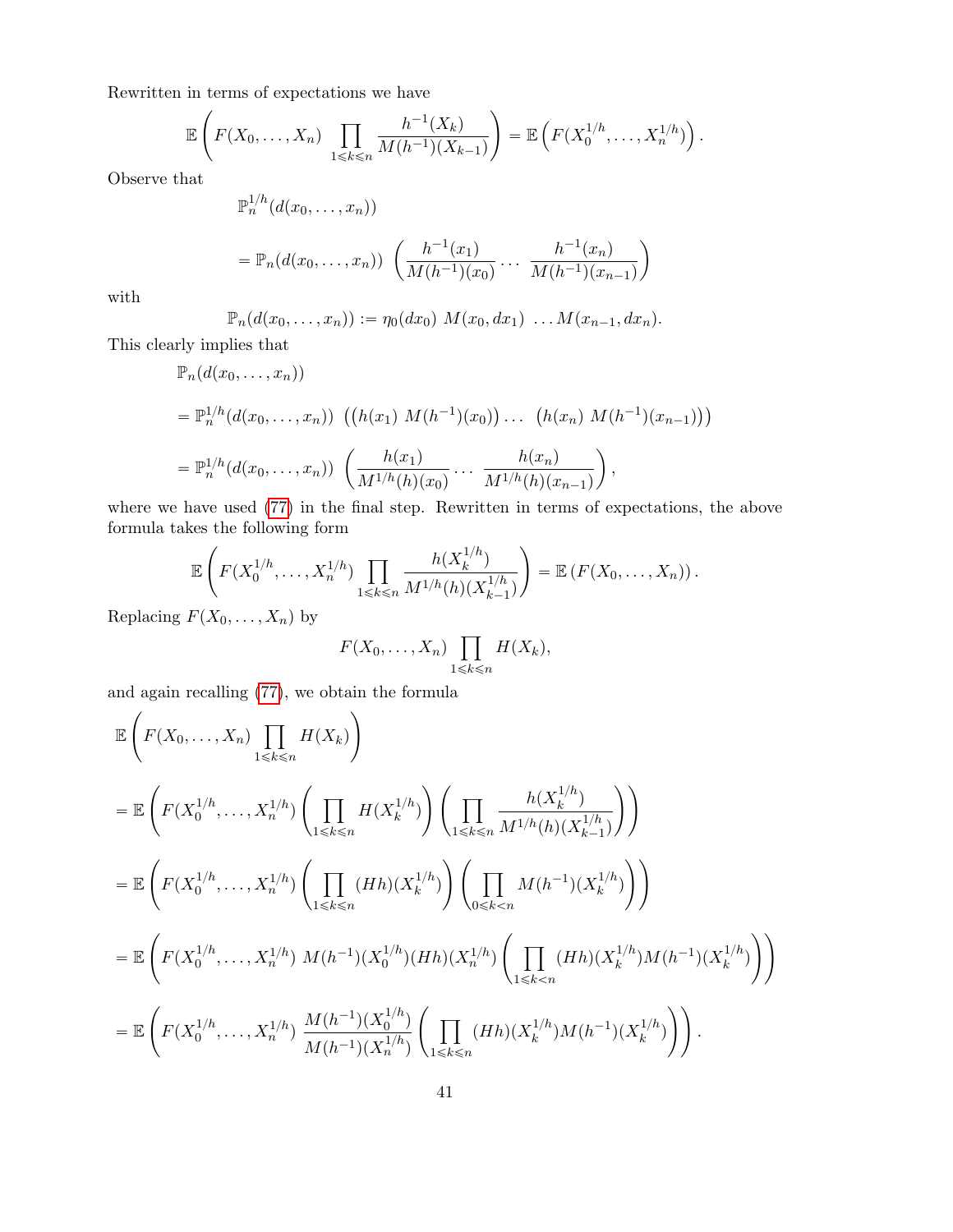Rewritten in terms of expectations we have

$$
\mathbb{E}\left(F(X_0,\ldots,X_n)\prod_{1\leq k\leq n}\frac{h^{-1}(X_k)}{M(h^{-1})(X_{k-1})}\right)=\mathbb{E}\left(F(X_0^{1/h},\ldots,X_n^{1/h})\right).
$$

Observe that

$$
\mathbb{P}_n^{1/h}(d(x_0, \dots, x_n))
$$
  
=  $\mathbb{P}_n(d(x_0, \dots, x_n)) \left( \frac{h^{-1}(x_1)}{M(h^{-1})(x_0)} \dots \frac{h^{-1}(x_n)}{M(h^{-1})(x_{n-1})} \right)$ 

with

$$
\mathbb{P}_n(d(x_0,\ldots,x_n)) := \eta_0(dx_0) M(x_0,dx_1) \ldots M(x_{n-1},dx_n).
$$

This clearly implies that

$$
\mathbb{P}_n(d(x_0,...,x_n))
$$
\n
$$
= \mathbb{P}_n^{1/h}(d(x_0,...,x_n)) \left( (h(x_1) M(h^{-1})(x_0)) \dots (h(x_n) M(h^{-1})(x_{n-1})) \right)
$$
\n
$$
= \mathbb{P}_n^{1/h}(d(x_0,...,x_n)) \left( \frac{h(x_1)}{M^{1/h}(h)(x_0)} \dots \frac{h(x_n)}{M^{1/h}(h)(x_{n-1})} \right),
$$

where we have used  $(77)$  in the final step. Rewritten in terms of expectations, the above formula takes the following form ¸

$$
\mathbb{E}\left(F(X_0^{1/h},\ldots,X_n^{1/h})\prod_{1\leq k\leq n}\frac{h(X_k^{1/h})}{M^{1/h}(h)(X_{k-1}^{1/h})}\right)=\mathbb{E}\left(F(X_0,\ldots,X_n)\right).
$$

Replacing  $F(X_0, \ldots, X_n)$  by

$$
F(X_0,\ldots,X_n)\prod_{1\leq k\leq n}H(X_k),
$$

and again recalling  $(77)$ , we obtain the formula

$$
\mathbb{E}\left(F(X_0,\ldots,X_n)\prod_{1\leq k\leq n}H(X_k)\right)
$$
\n
$$
=\mathbb{E}\left(F(X_0^{1/h},\ldots,X_n^{1/h})\left(\prod_{1\leq k\leq n}H(X_k^{1/h})\right)\left(\prod_{1\leq k\leq n}\frac{h(X_k^{1/h})}{M^{1/h}(h)(X_{k-1}^{1/h})}\right)\right)
$$
\n
$$
=\mathbb{E}\left(F(X_0^{1/h},\ldots,X_n^{1/h})\left(\prod_{1\leq k\leq n}(Hh)(X_k^{1/h})\right)\left(\prod_{0\leq k\leq n}M(h^{-1})(X_k^{1/h})\right)\right)
$$
\n
$$
=\mathbb{E}\left(F(X_0^{1/h},\ldots,X_n^{1/h})M(h^{-1})(X_0^{1/h})(Hh)(X_n^{1/h})\left(\prod_{1\leq k\leq n}(Hh)(X_k^{1/h})M(h^{-1})(X_k^{1/h})\right)\right)
$$
\n
$$
=\mathbb{E}\left(F(X_0^{1/h},\ldots,X_n^{1/h})\frac{M(h^{-1})(X_0^{1/h})}{M(h^{-1})(X_n^{1/h})}\left(\prod_{1\leq k\leq n}(Hh)(X_k^{1/h})M(h^{-1})(X_k^{1/h})\right)\right).
$$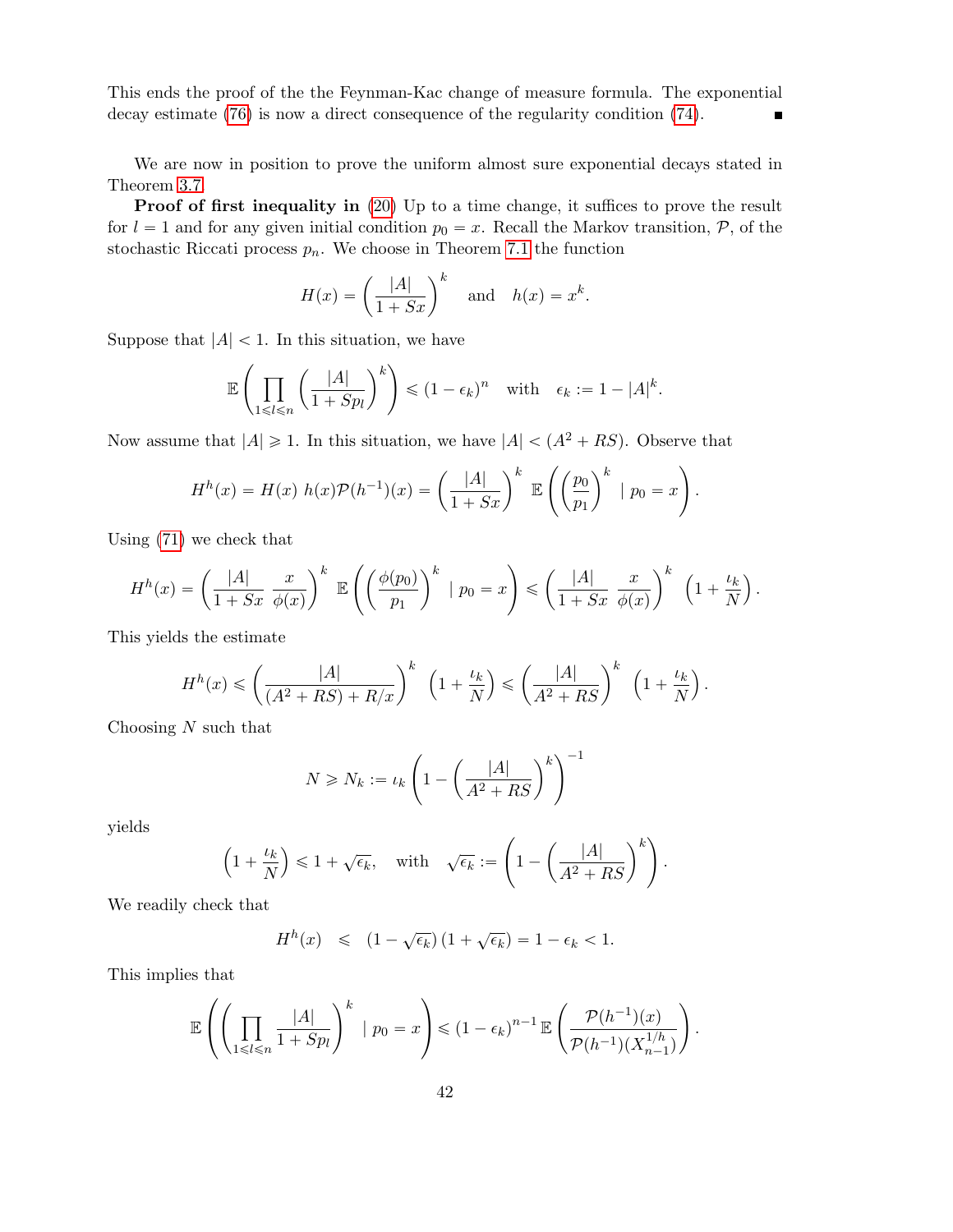This ends the proof of the the Feynman-Kac change of measure formula. The exponential decay estimate (76) is now a direct consequence of the regularity condition (74). Ē

We are now in position to prove the uniform almost sure exponential decays stated in Theorem 3.7.

**Proof of first inequality in** (20) Up to a time change, it suffices to prove the result for  $l = 1$  and for any given initial condition  $p_0 = x$ . Recall the Markov transition,  $P$ , of the stochastic Riccati process  $p_n$ . We choose in Theorem 7.1 the function

$$
H(x) = \left(\frac{|A|}{1+Sx}\right)^k \quad \text{and} \quad h(x) = x^k.
$$

Suppose that  $|A| < 1$ . In this situation, we have

$$
\mathbb{E}\left(\prod_{1\leq l\leq n}\left(\frac{|A|}{1+Sp_l}\right)^k\right)\leq (1-\epsilon_k)^n \quad \text{with} \quad \epsilon_k:=1-|A|^k.
$$

Now assume that  $|A| \geq 1$ . In this situation, we have  $|A| < (A^2 + RS)$ . Observe that

$$
H^{h}(x) = H(x) h(x) \mathcal{P}(h^{-1})(x) = \left(\frac{|A|}{1+ Sx}\right)^{k} \mathbb{E}\left(\left(\frac{p_{0}}{p_{1}}\right)^{k} \mid p_{0} = x\right).
$$

Using (71) we check that

$$
H^{h}(x) = \left(\frac{|A|}{1+ Sx} \frac{x}{\phi(x)}\right)^{k} \mathbb{E}\left(\left(\frac{\phi(p_{0})}{p_{1}}\right)^{k} \mid p_{0} = x\right) \leqslant \left(\frac{|A|}{1+ Sx} \frac{x}{\phi(x)}\right)^{k} \left(1+\frac{\iota_{k}}{N}\right).
$$

This yields the estimate

$$
H^h(x) \leqslant \left(\frac{|A|}{(A^2+RS)+R/x}\right)^k \left(1+\frac{\iota_k}{N}\right) \leqslant \left(\frac{|A|}{A^2+RS}\right)^k \left(1+\frac{\iota_k}{N}\right).
$$

Choosing  $N$  such that

$$
N \ge N_k := \iota_k \left( 1 - \left( \frac{|A|}{A^2 + RS} \right)^k \right)^{-1}
$$

˜

yields

$$
\left(1 + \frac{\iota_k}{N}\right) \leq 1 + \sqrt{\epsilon_k}, \quad \text{with} \quad \sqrt{\epsilon_k} := \left(1 - \left(\frac{|A|}{A^2 + RS}\right)^k\right).
$$

We readily check that

$$
H^{h}(x) \leq (1 - \sqrt{\epsilon_k}) (1 + \sqrt{\epsilon_k}) = 1 - \epsilon_k < 1.
$$

This implies that ¨

$$
\mathbb{E}\left(\left(\prod_{1\leq l\leq n}\frac{|A|}{1+Sp_l}\right)^k\,\,\big|\,\,p_0=x\right)\leqslant\left(1-\epsilon_k\right)^{n-1}\mathbb{E}\left(\frac{\mathcal{P}(h^{-1})(x)}{\mathcal{P}(h^{-1})(X_{n-1}^{1/h})}\right).
$$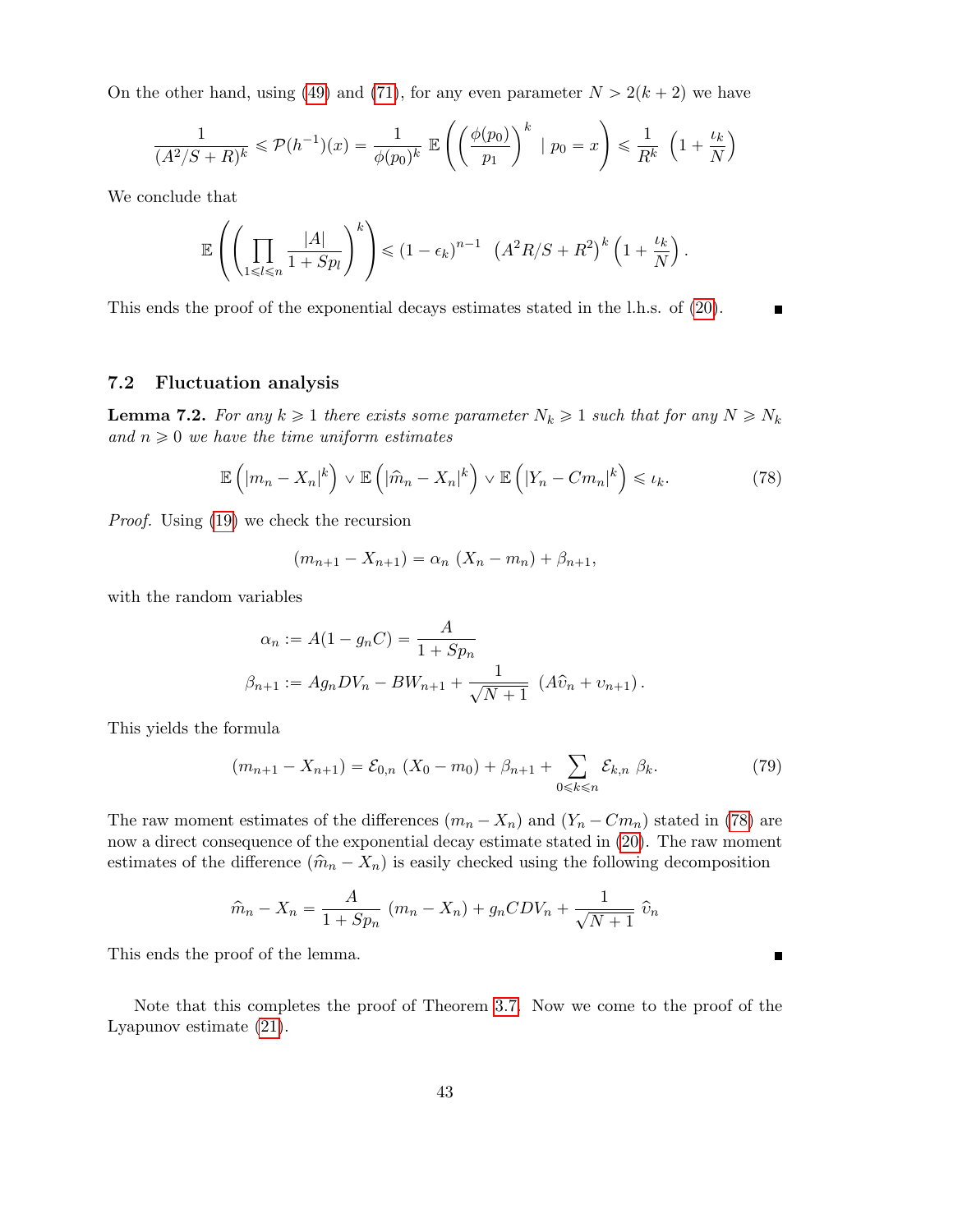On the other hand, using (49) and (71), for any even parameter  $N > 2(k + 2)$  we have

$$
\frac{1}{(A^2/S+R)^k} \leqslant \mathcal{P}(h^{-1})(x) = \frac{1}{\phi(p_0)^k} \mathbb{E}\left(\left(\frac{\phi(p_0)}{p_1}\right)^k \mid p_0 = x\right) \leqslant \frac{1}{R^k} \left(1 + \frac{\iota_k}{N}\right)
$$

We conclude that

$$
\mathbb{E}\left(\left(\prod_{1\leq l\leqslant n}\frac{|A|}{1+Sp_l}\right)^k\right)\leqslant (1-\epsilon_k)^{n-1}\left(A^2R/S+R^2\right)^k\left(1+\frac{\iota_k}{N}\right).
$$

This ends the proof of the exponential decays estimates stated in the l.h.s. of (20).

# 7.2 Fluctuation analysis

**Lemma 7.2.** For any  $k \geq 1$  there exists some parameter  $N_k \geq 1$  such that for any  $N \geq N_k$ and  $n \geq 0$  we have the time uniform estimates

$$
\mathbb{E}\left(|m_n - X_n|^k\right) \vee \mathbb{E}\left(|\hat{m}_n - X_n|^k\right) \vee \mathbb{E}\left(|Y_n - Cm_n|^k\right) \leq \iota_k. \tag{78}
$$

 $\blacksquare$ 

 $\blacksquare$ 

Proof. Using (19) we check the recursion

$$
(m_{n+1} - X_{n+1}) = \alpha_n (X_n - m_n) + \beta_{n+1},
$$

with the random variables

$$
\alpha_n := A(1 - g_n C) = \frac{A}{1 + Sp_n}
$$
  

$$
\beta_{n+1} := Ag_n DV_n - BW_{n+1} + \frac{1}{\sqrt{N+1}} (A\hat{v}_n + v_{n+1}).
$$

This yields the formula

$$
(m_{n+1} - X_{n+1}) = \mathcal{E}_{0,n} (X_0 - m_0) + \beta_{n+1} + \sum_{0 \le k \le n} \mathcal{E}_{k,n} \beta_k.
$$
 (79)

The raw moment estimates of the differences  $(m_n - X_n)$  and  $(Y_n - Cm_n)$  stated in (78) are now a direct consequence of the exponential decay estimate stated in (20). The raw moment estimates of the difference  $(\hat{m}_n - X_n)$  is easily checked using the following decomposition

$$
\hat{m}_n - X_n = \frac{A}{1 + Sp_n} (m_n - X_n) + g_n CDV_n + \frac{1}{\sqrt{N+1}} \hat{v}_n
$$

This ends the proof of the lemma.

Note that this completes the proof of Theorem 3.7. Now we come to the proof of the Lyapunov estimate (21).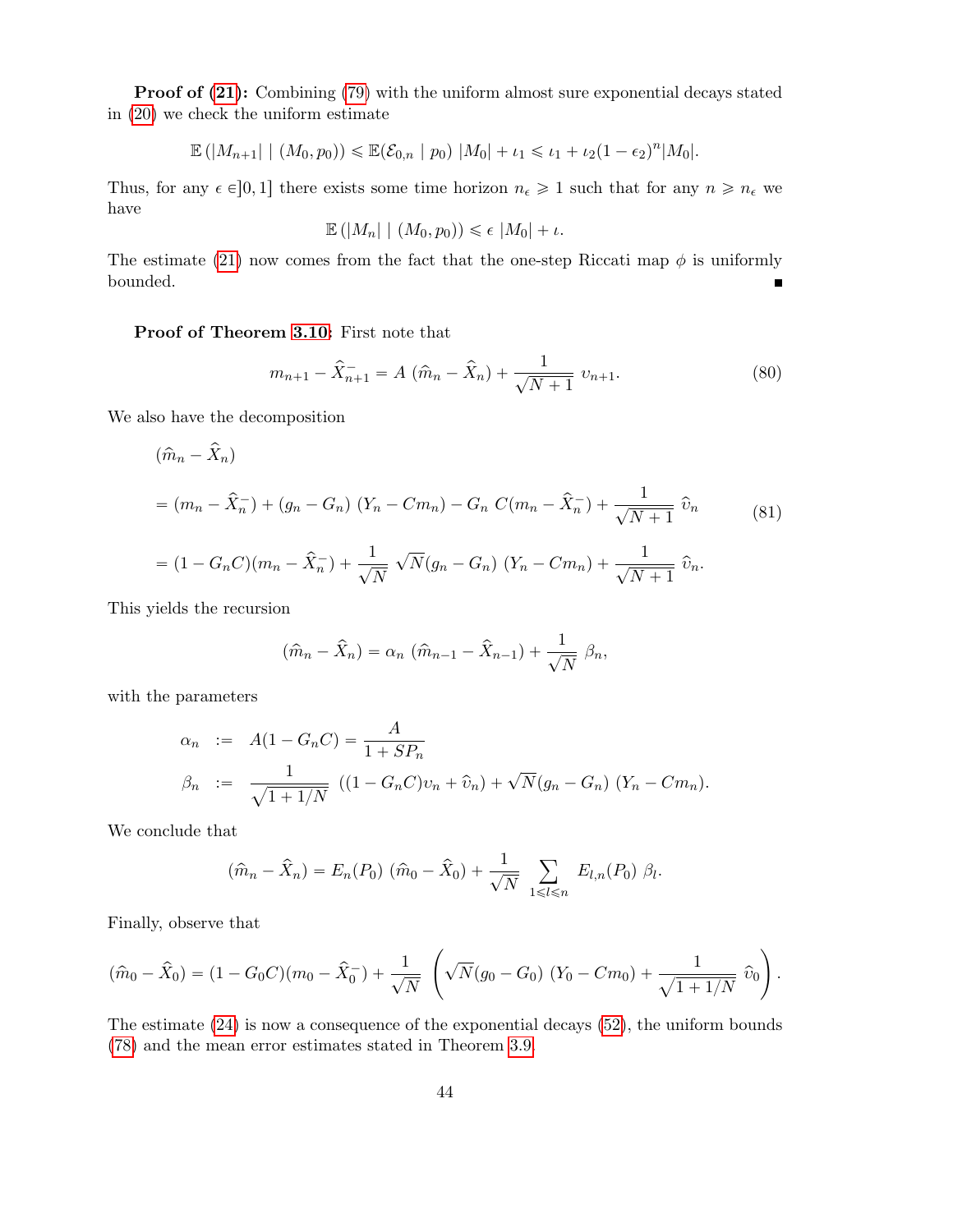Proof of  $(21)$ : Combining  $(79)$  with the uniform almost sure exponential decays stated in (20) we check the uniform estimate

$$
\mathbb{E}(|M_{n+1}| | (M_0, p_0)) \leq \mathbb{E}(\mathcal{E}_{0,n} | p_0) |M_0| + \iota_1 \leq \iota_1 + \iota_2(1-\epsilon_2)^n |M_0|.
$$

Thus, for any  $\epsilon \in ]0, 1]$  there exists some time horizon  $n_{\epsilon} \geq 1$  such that for any  $n \geq n_{\epsilon}$  we have

$$
\mathbb{E}(|M_n| | (M_0, p_0)) \leq \epsilon |M_0| + \iota.
$$

The estimate (21) now comes from the fact that the one-step Riccati map  $\phi$  is uniformly bounded.  $\blacksquare$ 

Proof of Theorem 3.10: First note that

$$
m_{n+1} - \hat{X}_{n+1}^- = A(\hat{m}_n - \hat{X}_n) + \frac{1}{\sqrt{N+1}} v_{n+1}.
$$
 (80)

We also have the decomposition

$$
(\hat{m}_n - \hat{X}_n)
$$
  
=  $(m_n - \hat{X}_n^-) + (g_n - G_n) (Y_n - Cm_n) - G_n C(m_n - \hat{X}_n^-) + \frac{1}{\sqrt{N+1}} \hat{v}_n$  (81)  
=  $(1 - G_n C)(m_n - \hat{X}_n^-) + \frac{1}{\sqrt{N}} \sqrt{N} (g_n - G_n) (Y_n - Cm_n) + \frac{1}{\sqrt{N+1}} \hat{v}_n.$ 

This yields the recursion

$$
(\widehat{m}_n - \widehat{X}_n) = \alpha_n \left( \widehat{m}_{n-1} - \widehat{X}_{n-1} \right) + \frac{1}{\sqrt{N}} \beta_n,
$$

with the parameters

$$
\alpha_n := A(1 - G_n C) = \frac{A}{1 + SP_n}
$$
  
\n
$$
\beta_n := \frac{1}{\sqrt{1 + 1/N}} ((1 - G_n C)v_n + \hat{v}_n) + \sqrt{N}(g_n - G_n) (Y_n - Cm_n).
$$

We conclude that

$$
(\hat{m}_n - \hat{X}_n) = E_n(P_0) (\hat{m}_0 - \hat{X}_0) + \frac{1}{\sqrt{N}} \sum_{1 \le l \le n} E_{l,n}(P_0) \beta_l.
$$

Finally, observe that

$$
(\hat{m}_0 - \hat{X}_0) = (1 - G_0 C)(m_0 - \hat{X}_0) + \frac{1}{\sqrt{N}} \left( \sqrt{N}(g_0 - G_0) (Y_0 - Cm_0) + \frac{1}{\sqrt{1 + 1/N}} \hat{v}_0 \right).
$$

The estimate (24) is now a consequence of the exponential decays (52), the uniform bounds (78) and the mean error estimates stated in Theorem 3.9.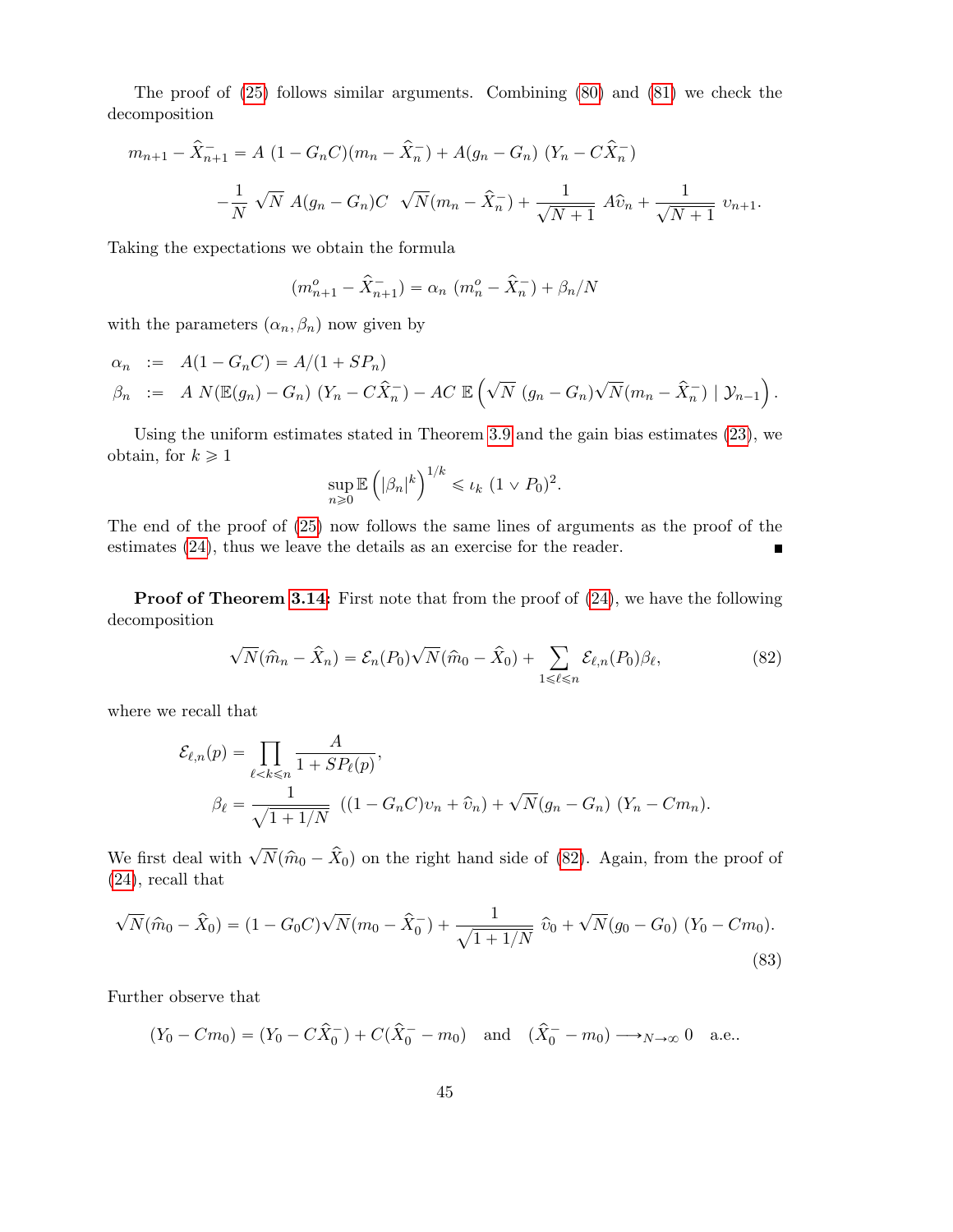The proof of (25) follows similar arguments. Combining (80) and (81) we check the decomposition

$$
m_{n+1} - \hat{X}_{n+1}^{-} = A (1 - G_n C)(m_n - \hat{X}_n^{-}) + A(g_n - G_n) (Y_n - C\hat{X}_n^{-})
$$
  

$$
-\frac{1}{N} \sqrt{N} A(g_n - G_n)C \sqrt{N}(m_n - \hat{X}_n^{-}) + \frac{1}{\sqrt{N+1}} A\hat{v}_n + \frac{1}{\sqrt{N+1}} v_{n+1}.
$$

Taking the expectations we obtain the formula

$$
(m_{n+1}^{o} - \hat{X}_{n+1}^{-}) = \alpha_n (m_n^{o} - \hat{X}_n^{-}) + \beta_n/N
$$

with the parameters  $(\alpha_n, \beta_n)$  now given by

$$
\alpha_n := A(1 - G_n C) = A/(1 + SP_n)
$$
  
\n
$$
\beta_n := A N(\mathbb{E}(g_n) - G_n) (Y_n - C\hat{X}_n) - AC \mathbb{E} \left( \sqrt{N} (g_n - G_n) \sqrt{N} (m_n - \hat{X}_n) | \mathcal{Y}_{n-1} \right).
$$

Using the uniform estimates stated in Theorem 3.9 and the gain bias estimates (23), we obtain, for  $k \geq 1$ 

$$
\sup_{n\geq 0} \mathbb{E}\left(|\beta_n|^k\right)^{1/k} \leq \iota_k \ (1 \vee P_0)^2.
$$

The end of the proof of (25) now follows the same lines of arguments as the proof of the estimates (24), thus we leave the details as an exercise for the reader. O

**Proof of Theorem 3.14:** First note that from the proof of  $(24)$ , we have the following decomposition

$$
\sqrt{N}(\widehat{m}_n - \widehat{X}_n) = \mathcal{E}_n(P_0)\sqrt{N}(\widehat{m}_0 - \widehat{X}_0) + \sum_{1 \leq \ell \leq n} \mathcal{E}_{\ell,n}(P_0)\beta_{\ell},\tag{82}
$$

where we recall that

$$
\mathcal{E}_{\ell,n}(p) = \prod_{\ell < k \le n} \frac{A}{1 + SP_{\ell}(p)},
$$
\n
$$
\beta_{\ell} = \frac{1}{\sqrt{1 + 1/N}} \left( (1 - G_n C)v_n + \hat{v}_n \right) + \sqrt{N}(g_n - G_n) \left( Y_n - Cm_n \right).
$$

We first deal with  $\sqrt{N}(\hat{m}_0 - \hat{X}_0)$  on the right hand side of (82). Again, from the proof of (24), recall that

$$
\sqrt{N}(\hat{m}_0 - \hat{X}_0) = (1 - G_0 C)\sqrt{N}(m_0 - \hat{X}_0^-) + \frac{1}{\sqrt{1 + 1/N}} \hat{v}_0 + \sqrt{N}(g_0 - G_0) (Y_0 - Cm_0).
$$
\n(83)

Further observe that

 $(Y_0 - Cm_0) = (Y_0 - C\hat{X}_0^{-}) + C(\hat{X}_0^{-} - m_0)$  and  $(\hat{X}_0^{-} - m_0) \longrightarrow_{N \to \infty} 0$  a.e..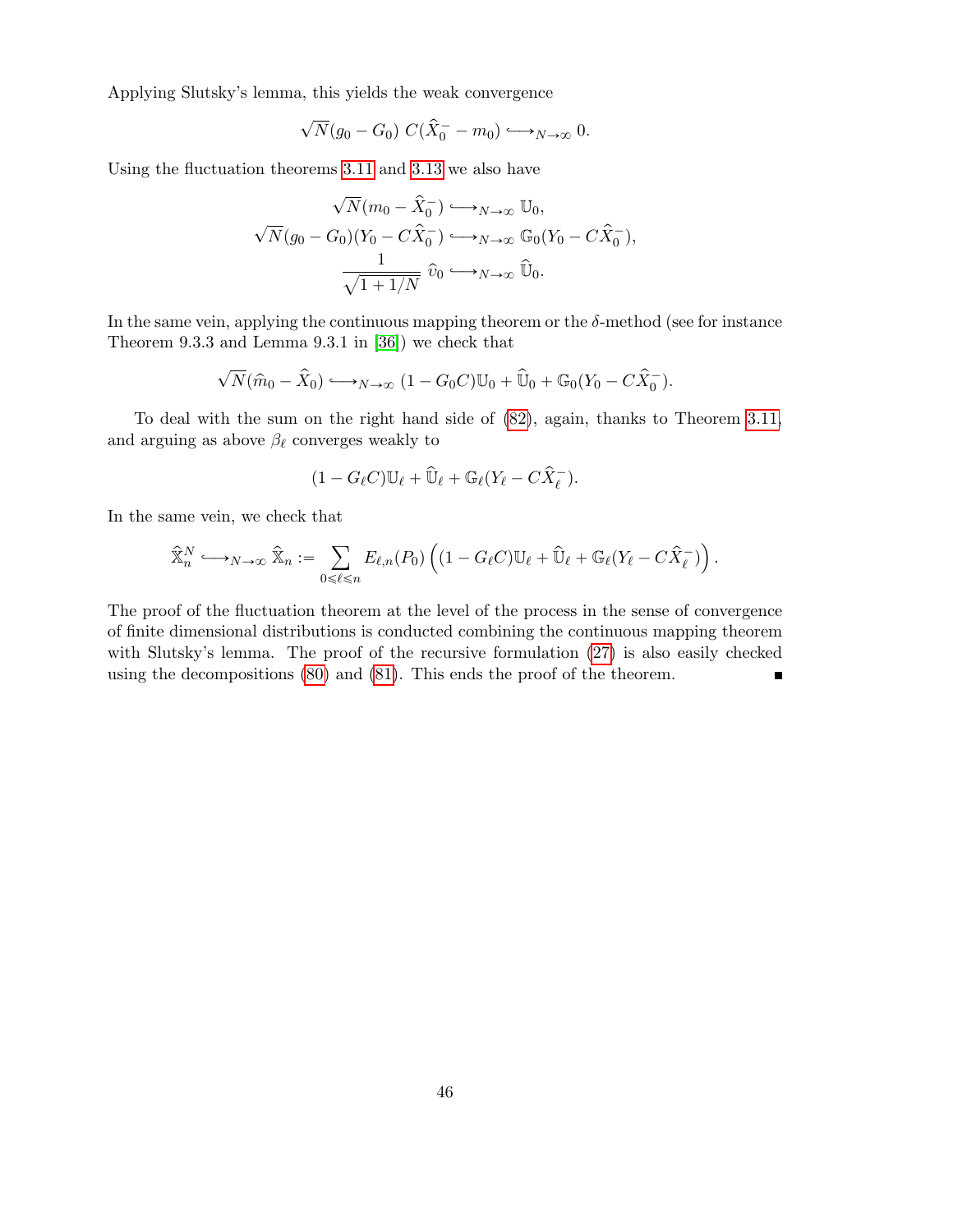Applying Slutsky's lemma, this yields the weak convergence

$$
\sqrt{N}(g_0 - G_0) C(\hat{X}_0^- - m_0) \longrightarrow_{N \to \infty} 0.
$$

Using the fluctuation theorems 3.11 and 3.13 we also have

$$
\sqrt{N}(m_0 - \hat{X}_0^-) \longrightarrow_{N \to \infty} \mathbb{U}_0,
$$
  

$$
\sqrt{N}(g_0 - G_0)(Y_0 - C\hat{X}_0^-) \longrightarrow_{N \to \infty} \mathbb{G}_0(Y_0 - C\hat{X}_0^-),
$$
  

$$
\frac{1}{\sqrt{1 + 1/N}} \hat{v}_0 \longrightarrow_{N \to \infty} \hat{\mathbb{U}}_0.
$$

In the same vein, applying the continuous mapping theorem or the  $\delta$ -method (see for instance Theorem 9.3.3 and Lemma 9.3.1 in [36]) we check that

$$
\sqrt{N}(\hat{m}_0 - \hat{X}_0) \longleftrightarrow_{N \to \infty} (1 - G_0 C) \mathbb{U}_0 + \hat{\mathbb{U}}_0 + \mathbb{G}_0 (Y_0 - C \hat{X}_0^-).
$$

To deal with the sum on the right hand side of (82), again, thanks to Theorem 3.11, and arguing as above  $\beta_{\ell}$  converges weakly to

$$
(1-G_{\ell}C)\mathbb{U}_{\ell}+\widehat{\mathbb{U}}_{\ell}+\mathbb{G}_{\ell}(Y_{\ell}-C\widehat{X}_{\ell}^{-}).
$$

In the same vein, we check that

$$
\widehat{\mathbb{X}}_n^N \longrightarrow_{N \to \infty} \widehat{\mathbb{X}}_n := \sum_{0 \leqslant \ell \leqslant n} E_{\ell,n}(P_0) \left( (1-G_{\ell}C) \mathbb{U}_{\ell} + \widehat{\mathbb{U}}_{\ell} + \mathbb{G}_{\ell}(Y_{\ell} - C \widehat{X}_{\ell}^-) \right).
$$

The proof of the fluctuation theorem at the level of the process in the sense of convergence of finite dimensional distributions is conducted combining the continuous mapping theorem with Slutsky's lemma. The proof of the recursive formulation (27) is also easily checked using the decompositions (80) and (81). This ends the proof of the theorem.  $\blacksquare$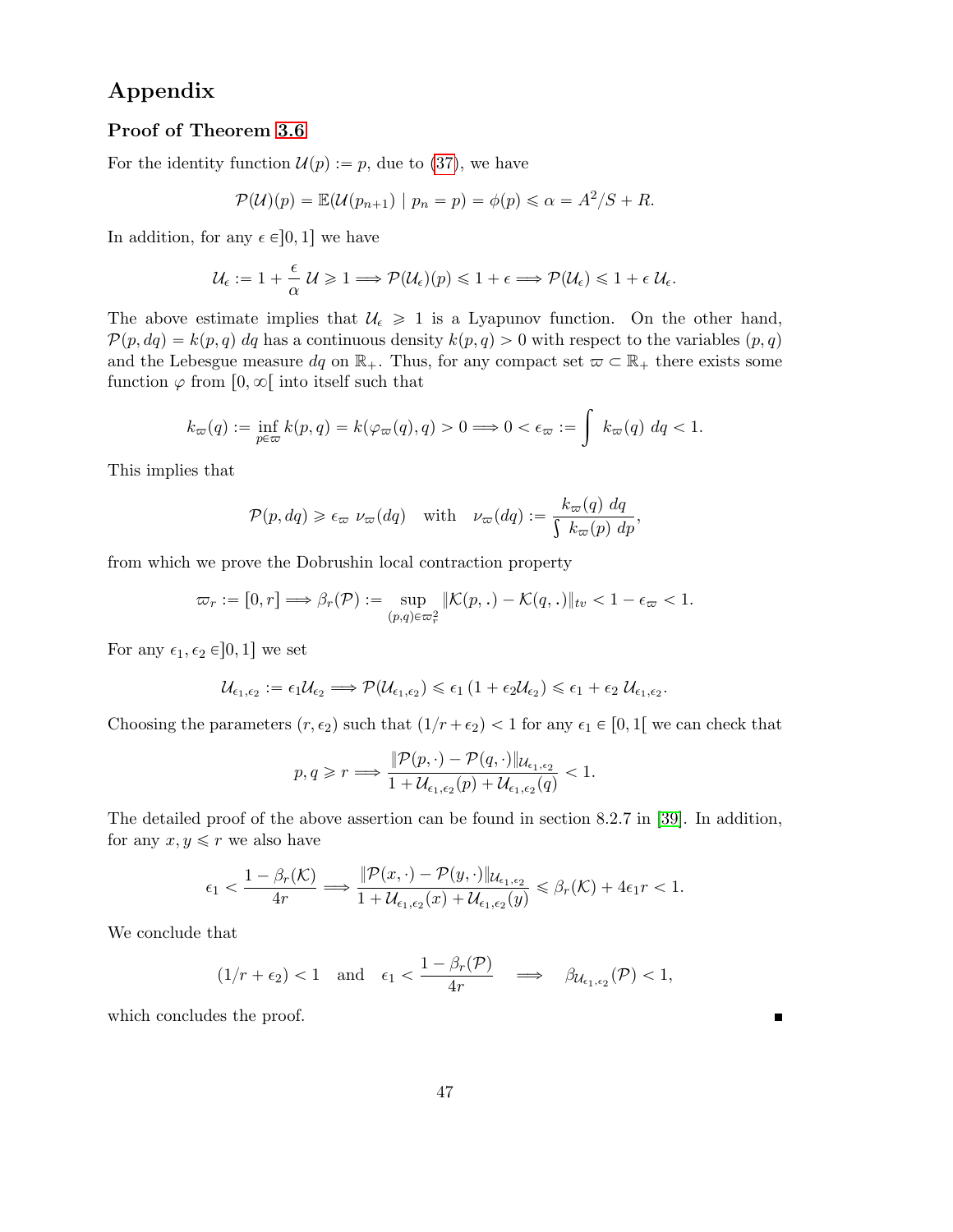# Appendix

# Proof of Theorem 3.6

For the identity function  $\mathcal{U}(p) := p$ , due to (37), we have

$$
\mathcal{P}(\mathcal{U})(p) = \mathbb{E}(\mathcal{U}(p_{n+1}) \mid p_n = p) = \phi(p) \leq \alpha = A^2/S + R.
$$

In addition, for any  $\epsilon \in ]0, 1]$  we have

$$
\mathcal{U}_\epsilon:=1+\frac{\epsilon}{\alpha}\;\mathcal{U}\geqslant 1\Longrightarrow \mathcal{P}(\mathcal{U}_\epsilon)(p)\leqslant 1+\epsilon\Longrightarrow \mathcal{P}(\mathcal{U}_\epsilon)\leqslant 1+\epsilon\;\mathcal{U}_\epsilon.
$$

The above estimate implies that  $\mathcal{U}_{\epsilon} \geq 1$  is a Lyapunov function. On the other hand,  $P(p, dq) = k(p, q) dq$  has a continuous density  $k(p, q) > 0$  with respect to the variables  $(p, q)$ and the Lebesgue measure  $dq$  on  $\mathbb{R}_+$ . Thus, for any compact set  $\varpi \subset \mathbb{R}_+$  there exists some function  $\varphi$  from  $[0, \infty)$  into itself such that

$$
k_{\varpi}(q) := \inf_{p \in \varpi} k(p, q) = k(\varphi_{\varpi}(q), q) > 0 \Longrightarrow 0 < \epsilon_{\varpi} := \int k_{\varpi}(q) dq < 1.
$$

This implies that

$$
\mathcal{P}(p, dq) \ge \epsilon_{\varpi} \nu_{\varpi}(dq) \quad \text{with} \quad \nu_{\varpi}(dq) := \frac{k_{\varpi}(q) dq}{\int k_{\varpi}(p) dp},
$$

from which we prove the Dobrushin local contraction property

$$
\varpi_r := [0, r] \Longrightarrow \beta_r(\mathcal{P}) := \sup_{(p,q)\in\varpi_r^2} \|\mathcal{K}(p,.) - \mathcal{K}(q,.)\|_{\text{tv}} < 1 - \epsilon_\varpi < 1.
$$

For any  $\epsilon_1, \epsilon_2 \in ]0, 1]$  we set

$$
\mathcal{U}_{\epsilon_1,\epsilon_2}:=\epsilon_1\mathcal{U}_{\epsilon_2}\Longrightarrow \mathcal{P}(\mathcal{U}_{\epsilon_1,\epsilon_2})\leq \epsilon_1\left(1+\epsilon_2\mathcal{U}_{\epsilon_2}\right)\leq \epsilon_1+\epsilon_2\,\mathcal{U}_{\epsilon_1,\epsilon_2}.
$$

Choosing the parameters  $(r, \epsilon_2)$  such that  $(1/r + \epsilon_2) < 1$  for any  $\epsilon_1 \in [0, 1]$  we can check that

$$
p, q \geqslant r \Longrightarrow \frac{\|\mathcal{P}(p, \cdot) - \mathcal{P}(q, \cdot)\|_{\mathcal{U}_{\epsilon_1, \epsilon_2}}}{1 + \mathcal{U}_{\epsilon_1, \epsilon_2}(p) + \mathcal{U}_{\epsilon_1, \epsilon_2}(q)} < 1.
$$

The detailed proof of the above assertion can be found in section 8.2.7 in [39]. In addition, for any  $x, y \leq r$  we also have

$$
\epsilon_1 < \frac{1 - \beta_r(\mathcal{K})}{4r} \Longrightarrow \frac{\|\mathcal{P}(x, \cdot) - \mathcal{P}(y, \cdot)\|_{\mathcal{U}_{\epsilon_1, \epsilon_2}}}{1 + \mathcal{U}_{\epsilon_1, \epsilon_2}(x) + \mathcal{U}_{\epsilon_1, \epsilon_2}(y)} \leq \beta_r(\mathcal{K}) + 4\epsilon_1 r < 1.
$$

We conclude that

$$
(1/r + \epsilon_2) < 1
$$
 and  $\epsilon_1 < \frac{1 - \beta_r(\mathcal{P})}{4r} \implies \beta_{\mathcal{U}_{\epsilon_1, \epsilon_2}}(\mathcal{P}) < 1$ ,

 $\blacksquare$ 

which concludes the proof.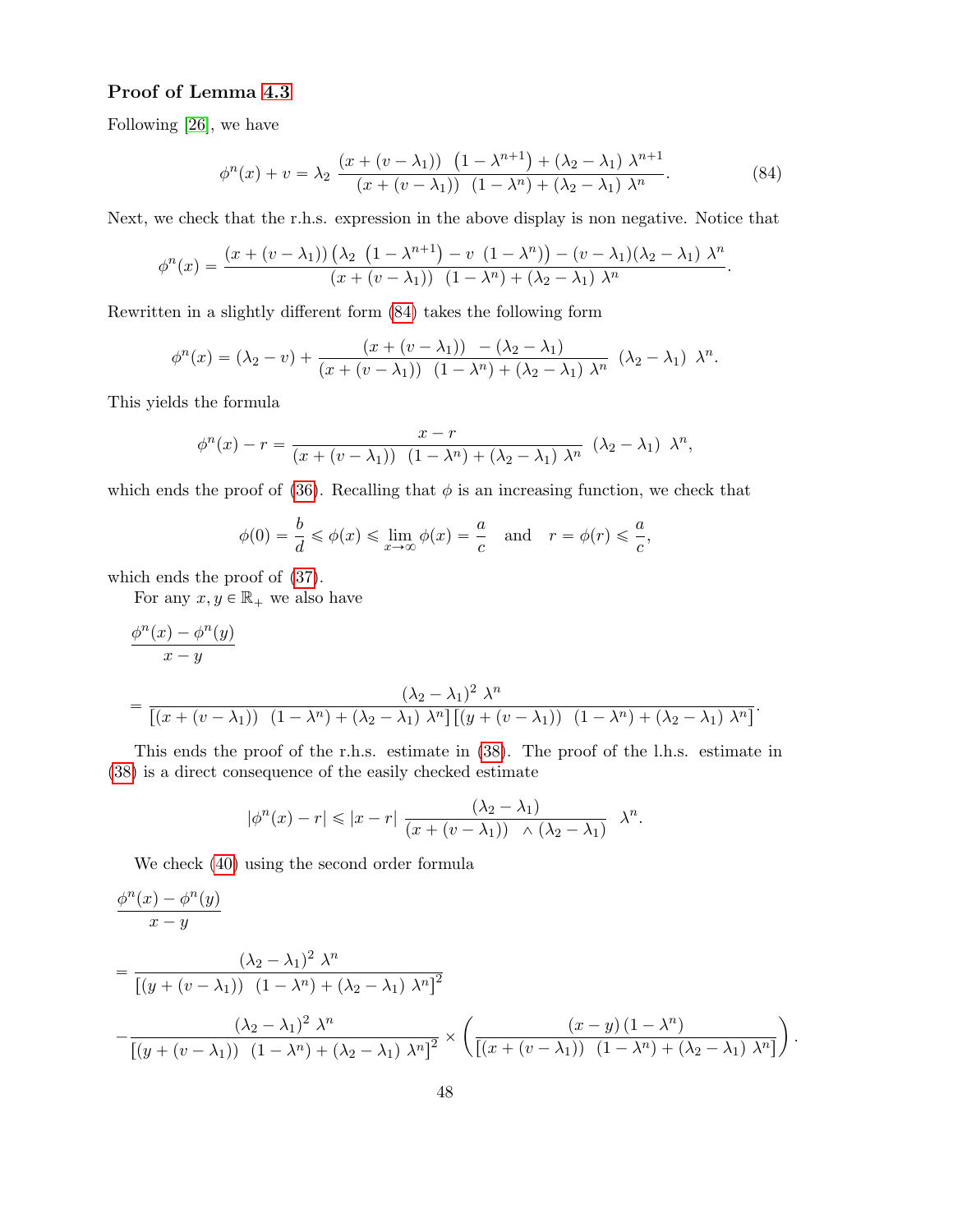## Proof of Lemma 4.3

Following [26], we have

$$
\phi^{n}(x) + v = \lambda_2 \frac{\left(x + (v - \lambda_1)\right) \left(1 - \lambda^{n+1}\right) + \left(\lambda_2 - \lambda_1\right) \lambda^{n+1}}{\left(x + (v - \lambda_1)\right) \left(1 - \lambda^n\right) + \left(\lambda_2 - \lambda_1\right) \lambda^n}.
$$
\n(84)

Next, we check that the r.h.s. expression in the above display is non negative. Notice that

$$
\phi^{n}(x) = \frac{(x + (v - \lambda_{1})) \left(\lambda_{2} \left(1 - \lambda^{n+1}\right) - v \left(1 - \lambda^{n}\right)\right) - (v - \lambda_{1})(\lambda_{2} - \lambda_{1}) \lambda^{n}}{(x + (v - \lambda_{1})) \left(1 - \lambda^{n}\right) + (\lambda_{2} - \lambda_{1}) \lambda^{n}}.
$$

Rewritten in a slightly different form (84) takes the following form

$$
\phi^{n}(x) = (\lambda_{2} - v) + \frac{(x + (v - \lambda_{1})) - (\lambda_{2} - \lambda_{1})}{(x + (v - \lambda_{1})) (1 - \lambda^{n}) + (\lambda_{2} - \lambda_{1}) \lambda^{n}} (\lambda_{2} - \lambda_{1}) \lambda^{n}.
$$

This yields the formula

$$
\phi^{n}(x) - r = \frac{x - r}{(x + (v - \lambda_{1})) (1 - \lambda^{n}) + (\lambda_{2} - \lambda_{1}) \lambda^{n}} (\lambda_{2} - \lambda_{1}) \lambda^{n},
$$

which ends the proof of (36). Recalling that  $\phi$  is an increasing function, we check that

$$
\phi(0) = \frac{b}{d} \le \phi(x) \le \lim_{x \to \infty} \phi(x) = \frac{a}{c} \quad \text{and} \quad r = \phi(r) \le \frac{a}{c},
$$

which ends the proof of (37).

For any  $x, y \in \mathbb{R}_+$  we also have

$$
\frac{\phi^n(x) - \phi^n(y)}{x - y}
$$
\n
$$
= \frac{(\lambda_2 - \lambda_1)^2 \lambda^n}{[(x + (v - \lambda_1)) (1 - \lambda^n) + (\lambda_2 - \lambda_1) \lambda^n] [(y + (v - \lambda_1)) (1 - \lambda^n) + (\lambda_2 - \lambda_1) \lambda^n]}.
$$

This ends the proof of the r.h.s. estimate in (38). The proof of the l.h.s. estimate in (38) is a direct consequence of the easily checked estimate

$$
|\phi^n(x) - r| \le |x - r| \frac{(\lambda_2 - \lambda_1)}{(x + (v - \lambda_1)) \land (\lambda_2 - \lambda_1)} \lambda^n.
$$

We check (40) using the second order formula

$$
\frac{\phi^n(x) - \phi^n(y)}{x - y}
$$
\n
$$
= \frac{(\lambda_2 - \lambda_1)^2 \lambda^n}{\left[ (y + (v - \lambda_1)) (1 - \lambda^n) + (\lambda_2 - \lambda_1) \lambda^n \right]^2}
$$
\n
$$
- \frac{(\lambda_2 - \lambda_1)^2 \lambda^n}{\left[ (y + (v - \lambda_1)) (1 - \lambda^n) + (\lambda_2 - \lambda_1) \lambda^n \right]^2} \times \left( \frac{(x - y)(1 - \lambda^n)}{\left[ (x + (v - \lambda_1)) (1 - \lambda^n) + (\lambda_2 - \lambda_1) \lambda^n \right]} \right).
$$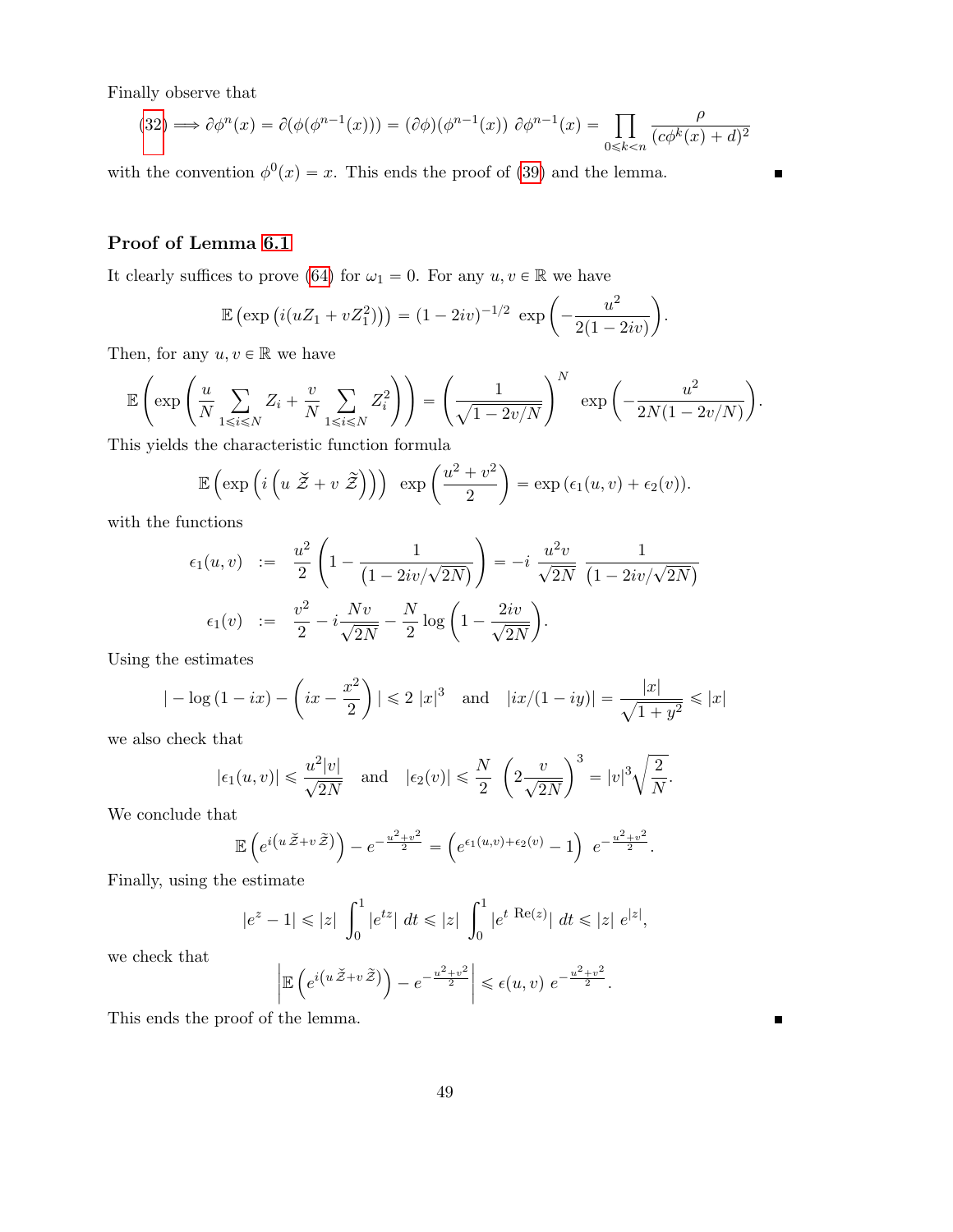Finally observe that

(32) 
$$
\implies \partial \phi^n(x) = \partial (\phi(\phi^{n-1}(x))) = (\partial \phi)(\phi^{n-1}(x)) \partial \phi^{n-1}(x) = \prod_{0 \le k < n} \frac{\rho}{(c\phi^k(x) + d)^2}
$$

 $\blacksquare$ 

 $\blacksquare$ 

with the convention  $\phi^0(x) = x$ . This ends the proof of (39) and the lemma.

# Proof of Lemma 6.1

It clearly suffices to prove (64) for  $\omega_1 = 0$ . For any  $u, v \in \mathbb{R}$  we have

$$
\mathbb{E}\left(\exp\left(i(uZ_1+vZ_1^2)\right)\right)=(1-2iv)^{-1/2}\exp\left(-\frac{u^2}{2(1-2iv)}\right).
$$

Then, for any  $u, v \in \mathbb{R}$  we have

$$
\mathbb{E}\left(\exp\left(\frac{u}{N}\sum_{1\leqslant i\leqslant N}Z_i+\frac{v}{N}\sum_{1\leqslant i\leqslant N}Z_i^2\right)\right)=\left(\frac{1}{\sqrt{1-2v/N}}\right)^N\exp\left(-\frac{u^2}{2N(1-2v/N)}\right).
$$

This yields the characteristic function formula

$$
\mathbb{E}\left(\exp\left(i\left(u\ \widetilde{\mathcal{Z}}+v\ \widetilde{\mathcal{Z}}\right)\right)\right)\ \exp\left(\frac{u^2+v^2}{2}\right)=\exp\left(\epsilon_1(u,v)+\epsilon_2(v)\right).
$$

with the functions

nctions  
\n
$$
\epsilon_1(u,v) := \frac{u^2}{2} \left( 1 - \frac{1}{(1 - 2iv/\sqrt{2N})} \right) = -i \frac{u^2 v}{\sqrt{2N}} \frac{1}{(1 - 2iv/\sqrt{2N})}
$$
\n
$$
\epsilon_1(v) := \frac{v^2}{2} - i \frac{Nv}{\sqrt{2N}} - \frac{N}{2} \log \left( 1 - \frac{2iv}{\sqrt{2N}} \right).
$$

Using the estimates

$$
|- \log (1 - ix) - (ix - \frac{x^2}{2})| \le 2 |x|^3
$$
 and  $|ix/(1 - iy)| = \frac{|x|}{\sqrt{1 + y^2}} \le |x|$ 

we also check that

$$
|\epsilon_1(u,v)| \le \frac{u^2|v|}{\sqrt{2N}}
$$
 and  $|\epsilon_2(v)| \le \frac{N}{2} \left(2\frac{v}{\sqrt{2N}}\right)^3 = |v|^3 \sqrt{\frac{2}{N}}.$ 

We conclude that

$$
\mathbb{E}\left(e^{i\left(u\check{Z}+v\tilde{Z}\right)}\right)-e^{-\frac{u^2+v^2}{2}}=\left(e^{\epsilon_1(u,v)+\epsilon_2(v)}-1\right)e^{-\frac{u^2+v^2}{2}}.
$$

Finally, using the estimate

$$
|e^{z} - 1| \le |z| \int_0^1 |e^{tz}| dt \le |z| \int_0^1 |e^{t} \operatorname{Re}(z)| dt \le |z| e^{|z|},
$$

we check that

$$
\left| \mathbb{E} \left( e^{i \left( u \check{Z} + v \tilde{Z} \right)} \right) - e^{-\frac{u^2 + v^2}{2}} \right| \leqslant \epsilon(u, v) \ e^{-\frac{u^2 + v^2}{2}}.
$$

This ends the proof of the lemma.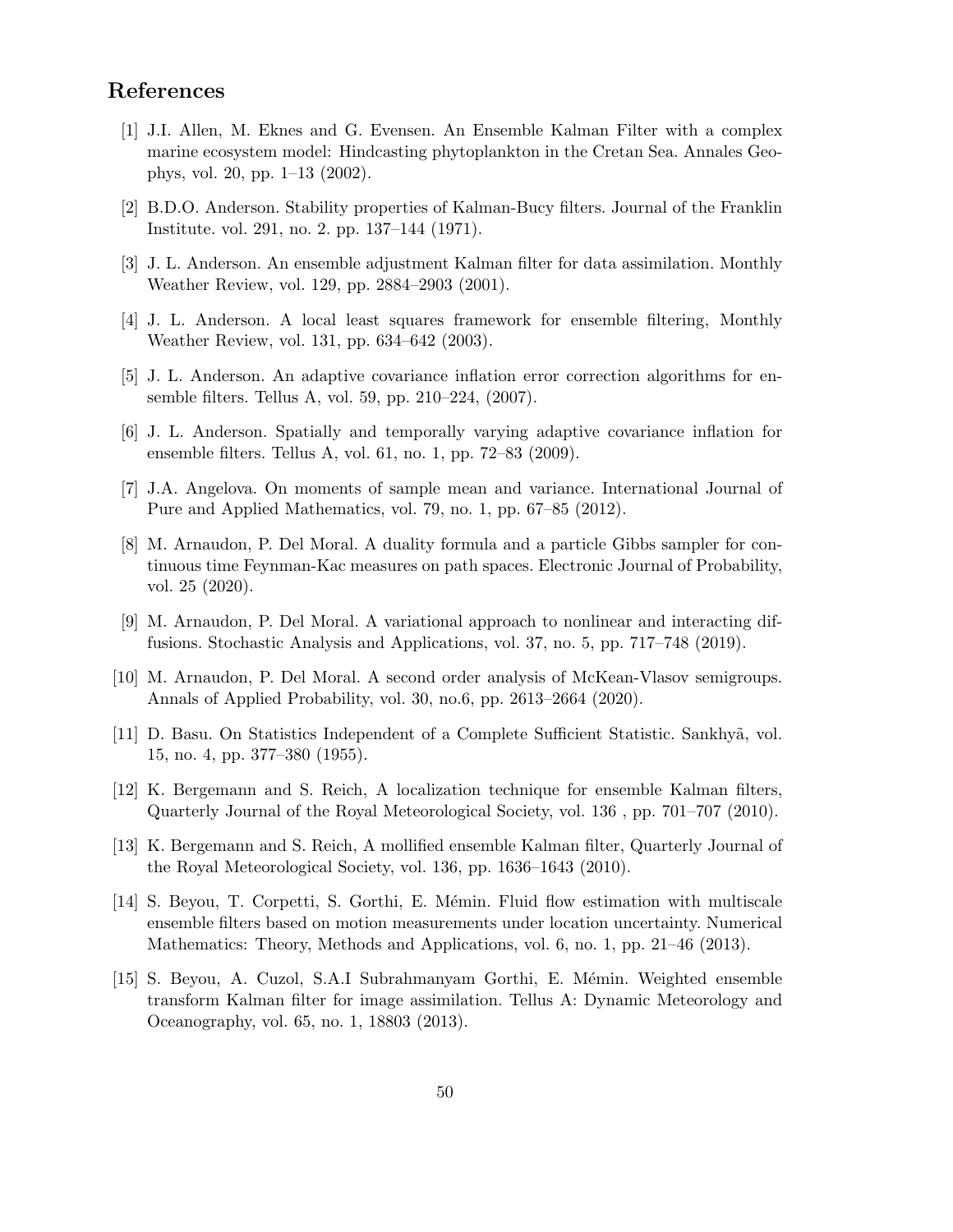# References

- [1] J.I. Allen, M. Eknes and G. Evensen. An Ensemble Kalman Filter with a complex marine ecosystem model: Hindcasting phytoplankton in the Cretan Sea. Annales Geophys, vol. 20, pp. 1–13 (2002).
- [2] B.D.O. Anderson. Stability properties of Kalman-Bucy filters. Journal of the Franklin Institute. vol. 291, no. 2. pp. 137–144 (1971).
- [3] J. L. Anderson. An ensemble adjustment Kalman filter for data assimilation. Monthly Weather Review, vol. 129, pp. 2884–2903 (2001).
- [4] J. L. Anderson. A local least squares framework for ensemble filtering, Monthly Weather Review, vol. 131, pp. 634–642 (2003).
- [5] J. L. Anderson. An adaptive covariance inflation error correction algorithms for ensemble filters. Tellus A, vol. 59, pp. 210–224, (2007).
- [6] J. L. Anderson. Spatially and temporally varying adaptive covariance inflation for ensemble filters. Tellus A, vol. 61, no. 1, pp. 72–83 (2009).
- [7] J.A. Angelova. On moments of sample mean and variance. International Journal of Pure and Applied Mathematics, vol. 79, no. 1, pp. 67–85 (2012).
- [8] M. Arnaudon, P. Del Moral. A duality formula and a particle Gibbs sampler for continuous time Feynman-Kac measures on path spaces. Electronic Journal of Probability, vol. 25 (2020).
- [9] M. Arnaudon, P. Del Moral. A variational approach to nonlinear and interacting diffusions. Stochastic Analysis and Applications, vol. 37, no. 5, pp. 717–748 (2019).
- [10] M. Arnaudon, P. Del Moral. A second order analysis of McKean-Vlasov semigroups. Annals of Applied Probability, vol. 30, no.6, pp. 2613–2664 (2020).
- [11] D. Basu. On Statistics Independent of a Complete Sufficient Statistic. Sankhy˜a, vol. 15, no. 4, pp. 377–380 (1955).
- [12] K. Bergemann and S. Reich, A localization technique for ensemble Kalman filters, Quarterly Journal of the Royal Meteorological Society, vol. 136 , pp. 701–707 (2010).
- [13] K. Bergemann and S. Reich, A mollified ensemble Kalman filter, Quarterly Journal of the Royal Meteorological Society, vol. 136, pp. 1636–1643 (2010).
- [14] S. Beyou, T. Corpetti, S. Gorthi, E. Mémin. Fluid flow estimation with multiscale ensemble filters based on motion measurements under location uncertainty. Numerical Mathematics: Theory, Methods and Applications, vol. 6, no. 1, pp. 21–46 (2013).
- [15] S. Beyou, A. Cuzol, S.A.I Subrahmanyam Gorthi, E. Mémin. Weighted ensemble transform Kalman filter for image assimilation. Tellus A: Dynamic Meteorology and Oceanography, vol. 65, no. 1, 18803 (2013).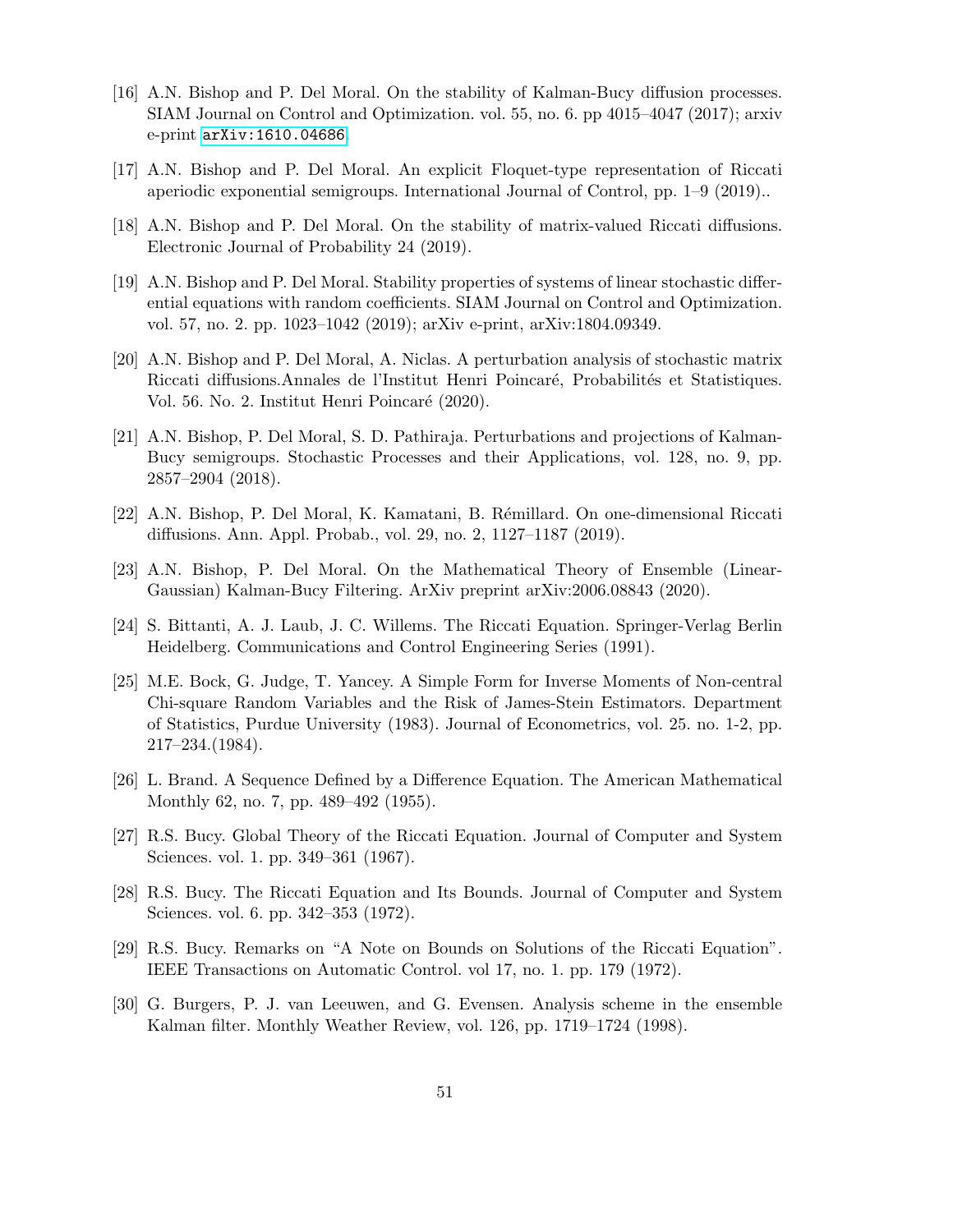- [16] A.N. Bishop and P. Del Moral. On the stability of Kalman-Bucy diffusion processes. SIAM Journal on Control and Optimization. vol. 55, no. 6. pp 4015–4047 (2017); arxiv e-print [arXiv:1610.04686](https://arxiv.org/abs/1610.04686).
- [17] A.N. Bishop and P. Del Moral. An explicit Floquet-type representation of Riccati aperiodic exponential semigroups. International Journal of Control, pp. 1–9 (2019)..
- [18] A.N. Bishop and P. Del Moral. On the stability of matrix-valued Riccati diffusions. Electronic Journal of Probability 24 (2019).
- [19] A.N. Bishop and P. Del Moral. Stability properties of systems of linear stochastic differential equations with random coefficients. SIAM Journal on Control and Optimization. vol. 57, no. 2. pp. 1023–1042 (2019); arXiv e-print, arXiv:1804.09349.
- [20] A.N. Bishop and P. Del Moral, A. Niclas. A perturbation analysis of stochastic matrix Riccati diffusions.Annales de l'Institut Henri Poincaré, Probabilités et Statistiques. Vol. 56. No. 2. Institut Henri Poincaré (2020).
- [21] A.N. Bishop, P. Del Moral, S. D. Pathiraja. Perturbations and projections of Kalman-Bucy semigroups. Stochastic Processes and their Applications, vol. 128, no. 9, pp. 2857–2904 (2018).
- [22] A.N. Bishop, P. Del Moral, K. Kamatani, B. R´emillard. On one-dimensional Riccati diffusions. Ann. Appl. Probab., vol. 29, no. 2, 1127–1187 (2019).
- [23] A.N. Bishop, P. Del Moral. On the Mathematical Theory of Ensemble (Linear-Gaussian) Kalman-Bucy Filtering. ArXiv preprint arXiv:2006.08843 (2020).
- [24] S. Bittanti, A. J. Laub, J. C. Willems. The Riccati Equation. Springer-Verlag Berlin Heidelberg. Communications and Control Engineering Series (1991).
- [25] M.E. Bock, G. Judge, T. Yancey. A Simple Form for Inverse Moments of Non-central Chi-square Random Variables and the Risk of James-Stein Estimators. Department of Statistics, Purdue University (1983). Journal of Econometrics, vol. 25. no. 1-2, pp. 217–234.(1984).
- [26] L. Brand. A Sequence Defined by a Difference Equation. The American Mathematical Monthly 62, no. 7, pp. 489–492 (1955).
- [27] R.S. Bucy. Global Theory of the Riccati Equation. Journal of Computer and System Sciences. vol. 1. pp. 349–361 (1967).
- [28] R.S. Bucy. The Riccati Equation and Its Bounds. Journal of Computer and System Sciences. vol. 6. pp. 342–353 (1972).
- [29] R.S. Bucy. Remarks on "A Note on Bounds on Solutions of the Riccati Equation". IEEE Transactions on Automatic Control. vol 17, no. 1. pp. 179 (1972).
- [30] G. Burgers, P. J. van Leeuwen, and G. Evensen. Analysis scheme in the ensemble Kalman filter. Monthly Weather Review, vol. 126, pp. 1719–1724 (1998).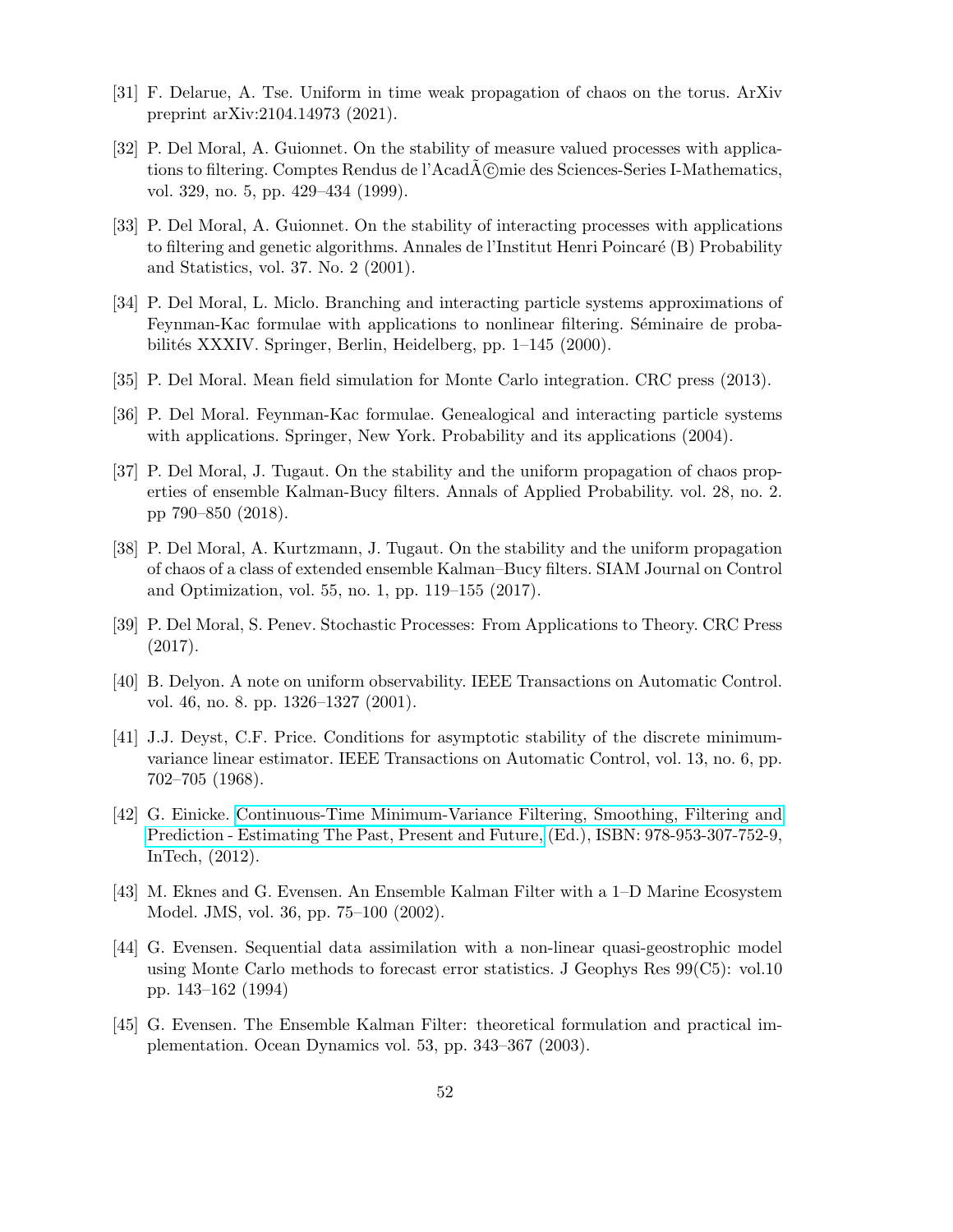- [31] F. Delarue, A. Tse. Uniform in time weak propagation of chaos on the torus. ArXiv preprint arXiv:2104.14973 (2021).
- [32] P. Del Moral, A. Guionnet. On the stability of measure valued processes with applications to filtering. Comptes Rendus de l'AcadA©mie des Sciences-Series I-Mathematics, vol. 329, no. 5, pp. 429–434 (1999).
- [33] P. Del Moral, A. Guionnet. On the stability of interacting processes with applications to filtering and genetic algorithms. Annales de l'Institut Henri Poincaré (B) Probability and Statistics, vol. 37. No. 2 (2001).
- [34] P. Del Moral, L. Miclo. Branching and interacting particle systems approximations of Feynman-Kac formulae with applications to nonlinear filtering. Séminaire de probabilités XXXIV. Springer, Berlin, Heidelberg, pp. 1–145 (2000).
- [35] P. Del Moral. Mean field simulation for Monte Carlo integration. CRC press (2013).
- [36] P. Del Moral. Feynman-Kac formulae. Genealogical and interacting particle systems with applications. Springer, New York. Probability and its applications (2004).
- [37] P. Del Moral, J. Tugaut. On the stability and the uniform propagation of chaos properties of ensemble Kalman-Bucy filters. Annals of Applied Probability. vol. 28, no. 2. pp 790–850 (2018).
- [38] P. Del Moral, A. Kurtzmann, J. Tugaut. On the stability and the uniform propagation of chaos of a class of extended ensemble Kalman–Bucy filters. SIAM Journal on Control and Optimization, vol. 55, no. 1, pp. 119–155 (2017).
- [39] P. Del Moral, S. Penev. Stochastic Processes: From Applications to Theory. CRC Press (2017).
- [40] B. Delyon. A note on uniform observability. IEEE Transactions on Automatic Control. vol. 46, no. 8. pp. 1326–1327 (2001).
- [41] J.J. Deyst, C.F. Price. Conditions for asymptotic stability of the discrete minimumvariance linear estimator. IEEE Transactions on Automatic Control, vol. 13, no. 6, pp. 702–705 (1968).
- [42] G. Einicke. [Continuous-Time Minimum-Variance Filtering, Smoothing, Filtering and](http://www.intechopen.com/books/smoothing-filtering-and-prediction-estimating-the-past-present-andfuture/ continuous-time-minimum-variance-filtering) [Prediction - Estimating The Past, Present and Future,](http://www.intechopen.com/books/smoothing-filtering-and-prediction-estimating-the-past-present-andfuture/ continuous-time-minimum-variance-filtering) (Ed.), ISBN: 978-953-307-752-9, InTech, (2012).
- [43] M. Eknes and G. Evensen. An Ensemble Kalman Filter with a 1–D Marine Ecosystem Model. JMS, vol. 36, pp. 75–100 (2002).
- [44] G. Evensen. Sequential data assimilation with a non-linear quasi-geostrophic model using Monte Carlo methods to forecast error statistics. J Geophys Res 99(C5): vol.10 pp. 143–162 (1994)
- [45] G. Evensen. The Ensemble Kalman Filter: theoretical formulation and practical implementation. Ocean Dynamics vol. 53, pp. 343–367 (2003).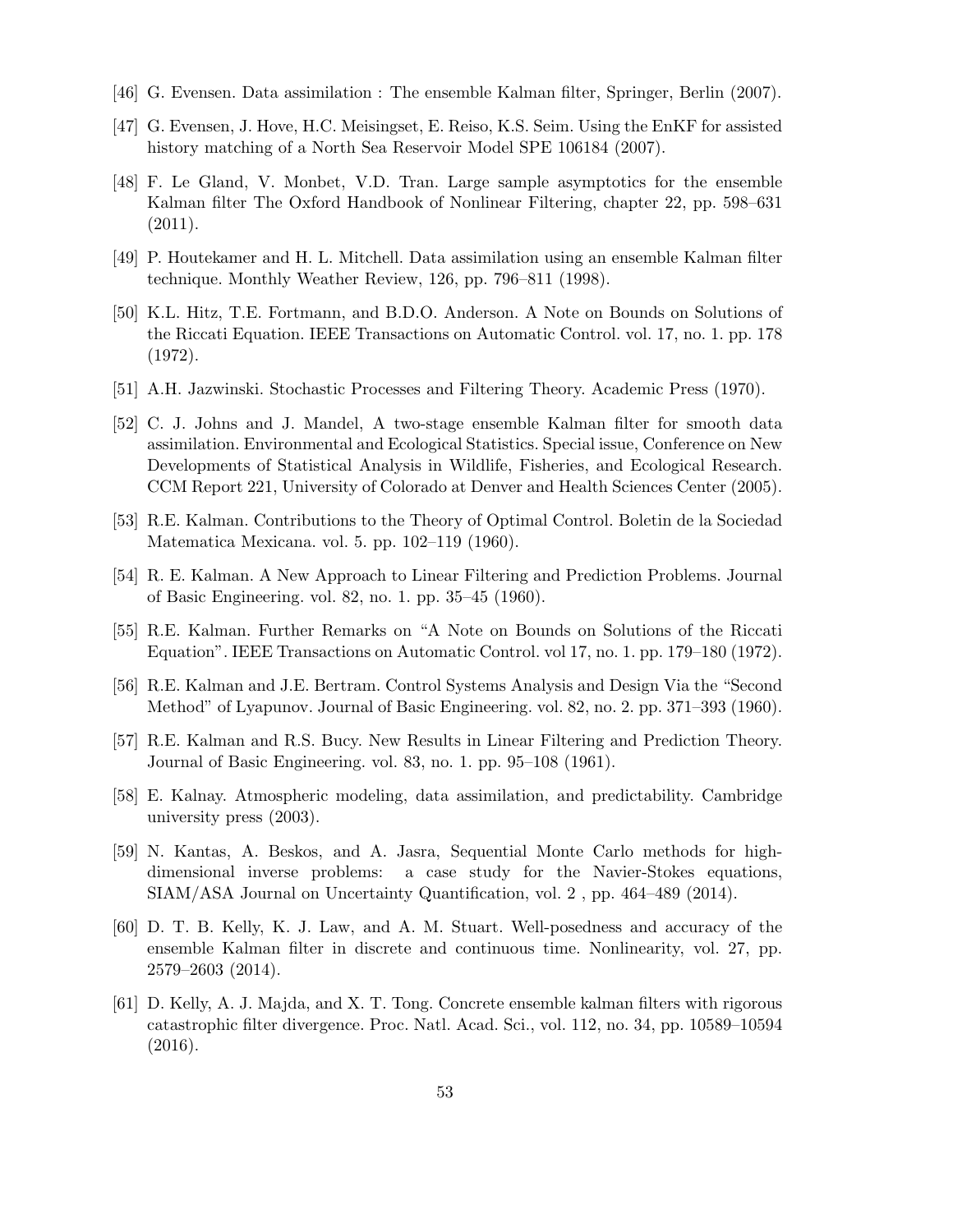- [46] G. Evensen. Data assimilation : The ensemble Kalman filter, Springer, Berlin (2007).
- [47] G. Evensen, J. Hove, H.C. Meisingset, E. Reiso, K.S. Seim. Using the EnKF for assisted history matching of a North Sea Reservoir Model SPE 106184 (2007).
- [48] F. Le Gland, V. Monbet, V.D. Tran. Large sample asymptotics for the ensemble Kalman filter The Oxford Handbook of Nonlinear Filtering, chapter 22, pp. 598–631 (2011).
- [49] P. Houtekamer and H. L. Mitchell. Data assimilation using an ensemble Kalman filter technique. Monthly Weather Review, 126, pp. 796–811 (1998).
- [50] K.L. Hitz, T.E. Fortmann, and B.D.O. Anderson. A Note on Bounds on Solutions of the Riccati Equation. IEEE Transactions on Automatic Control. vol. 17, no. 1. pp. 178 (1972).
- [51] A.H. Jazwinski. Stochastic Processes and Filtering Theory. Academic Press (1970).
- [52] C. J. Johns and J. Mandel, A two-stage ensemble Kalman filter for smooth data assimilation. Environmental and Ecological Statistics. Special issue, Conference on New Developments of Statistical Analysis in Wildlife, Fisheries, and Ecological Research. CCM Report 221, University of Colorado at Denver and Health Sciences Center (2005).
- [53] R.E. Kalman. Contributions to the Theory of Optimal Control. Boletin de la Sociedad Matematica Mexicana. vol. 5. pp. 102–119 (1960).
- [54] R. E. Kalman. A New Approach to Linear Filtering and Prediction Problems. Journal of Basic Engineering. vol. 82, no. 1. pp. 35–45 (1960).
- [55] R.E. Kalman. Further Remarks on "A Note on Bounds on Solutions of the Riccati Equation". IEEE Transactions on Automatic Control. vol 17, no. 1. pp. 179–180 (1972).
- [56] R.E. Kalman and J.E. Bertram. Control Systems Analysis and Design Via the "Second Method" of Lyapunov. Journal of Basic Engineering. vol. 82, no. 2. pp. 371–393 (1960).
- [57] R.E. Kalman and R.S. Bucy. New Results in Linear Filtering and Prediction Theory. Journal of Basic Engineering. vol. 83, no. 1. pp. 95–108 (1961).
- [58] E. Kalnay. Atmospheric modeling, data assimilation, and predictability. Cambridge university press (2003).
- [59] N. Kantas, A. Beskos, and A. Jasra, Sequential Monte Carlo methods for highdimensional inverse problems: a case study for the Navier-Stokes equations, SIAM/ASA Journal on Uncertainty Quantification, vol. 2 , pp. 464–489 (2014).
- [60] D. T. B. Kelly, K. J. Law, and A. M. Stuart. Well-posedness and accuracy of the ensemble Kalman filter in discrete and continuous time. Nonlinearity, vol. 27, pp. 2579–2603 (2014).
- [61] D. Kelly, A. J. Majda, and X. T. Tong. Concrete ensemble kalman filters with rigorous catastrophic filter divergence. Proc. Natl. Acad. Sci., vol. 112, no. 34, pp. 10589–10594 (2016).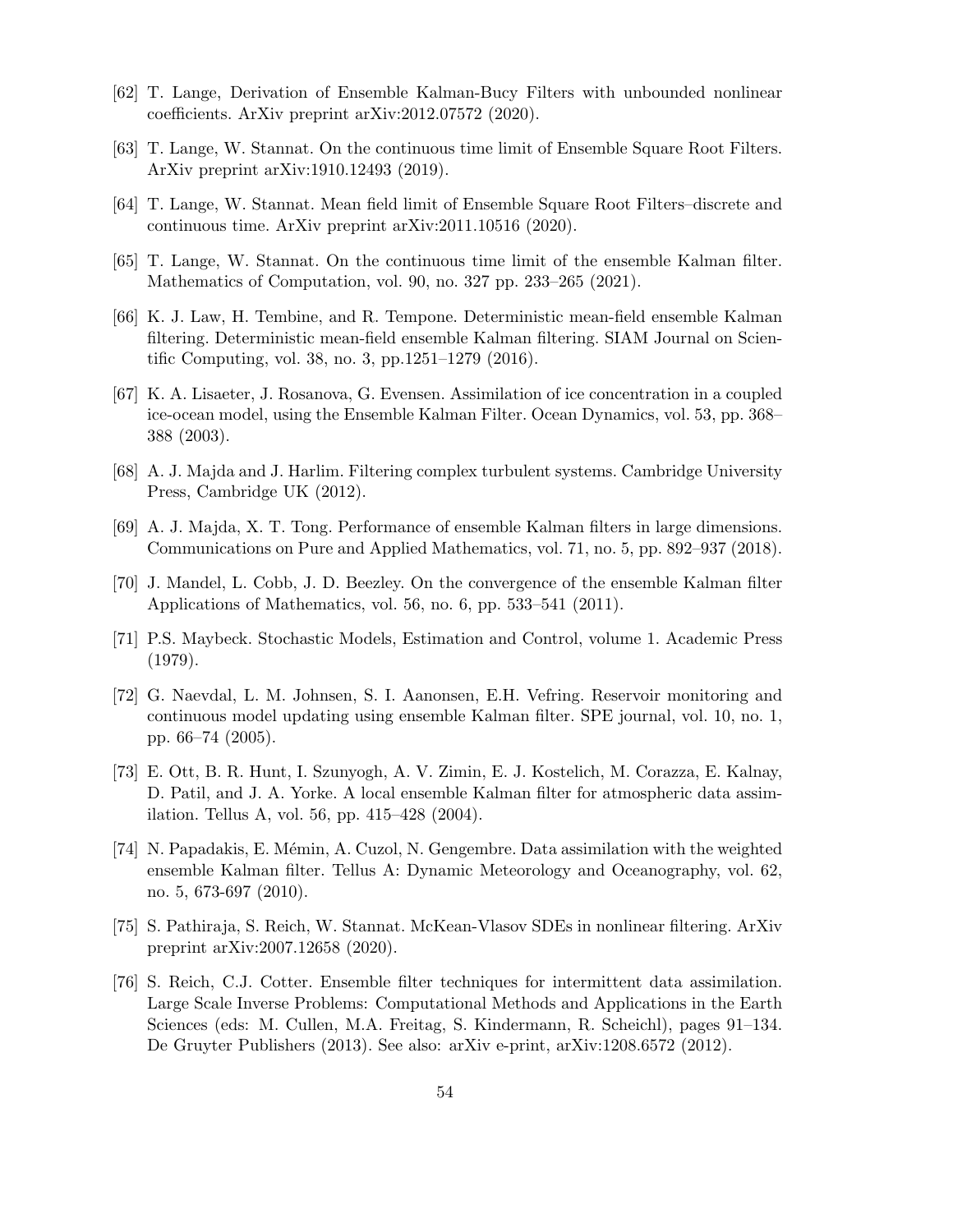- [62] T. Lange, Derivation of Ensemble Kalman-Bucy Filters with unbounded nonlinear coefficients. ArXiv preprint arXiv:2012.07572 (2020).
- [63] T. Lange, W. Stannat. On the continuous time limit of Ensemble Square Root Filters. ArXiv preprint arXiv:1910.12493 (2019).
- [64] T. Lange, W. Stannat. Mean field limit of Ensemble Square Root Filters–discrete and continuous time. ArXiv preprint arXiv:2011.10516 (2020).
- [65] T. Lange, W. Stannat. On the continuous time limit of the ensemble Kalman filter. Mathematics of Computation, vol. 90, no. 327 pp. 233–265 (2021).
- [66] K. J. Law, H. Tembine, and R. Tempone. Deterministic mean-field ensemble Kalman filtering. Deterministic mean-field ensemble Kalman filtering. SIAM Journal on Scientific Computing, vol. 38, no. 3, pp.1251–1279 (2016).
- [67] K. A. Lisaeter, J. Rosanova, G. Evensen. Assimilation of ice concentration in a coupled ice-ocean model, using the Ensemble Kalman Filter. Ocean Dynamics, vol. 53, pp. 368– 388 (2003).
- [68] A. J. Majda and J. Harlim. Filtering complex turbulent systems. Cambridge University Press, Cambridge UK (2012).
- [69] A. J. Majda, X. T. Tong. Performance of ensemble Kalman filters in large dimensions. Communications on Pure and Applied Mathematics, vol. 71, no. 5, pp. 892–937 (2018).
- [70] J. Mandel, L. Cobb, J. D. Beezley. On the convergence of the ensemble Kalman filter Applications of Mathematics, vol. 56, no. 6, pp. 533–541 (2011).
- [71] P.S. Maybeck. Stochastic Models, Estimation and Control, volume 1. Academic Press (1979).
- [72] G. Naevdal, L. M. Johnsen, S. I. Aanonsen, E.H. Vefring. Reservoir monitoring and continuous model updating using ensemble Kalman filter. SPE journal, vol. 10, no. 1, pp. 66–74 (2005).
- [73] E. Ott, B. R. Hunt, I. Szunyogh, A. V. Zimin, E. J. Kostelich, M. Corazza, E. Kalnay, D. Patil, and J. A. Yorke. A local ensemble Kalman filter for atmospheric data assimilation. Tellus A, vol. 56, pp. 415–428 (2004).
- [74] N. Papadakis, E. Mémin, A. Cuzol, N. Gengembre. Data assimilation with the weighted ensemble Kalman filter. Tellus A: Dynamic Meteorology and Oceanography, vol. 62, no. 5, 673-697 (2010).
- [75] S. Pathiraja, S. Reich, W. Stannat. McKean-Vlasov SDEs in nonlinear filtering. ArXiv preprint arXiv:2007.12658 (2020).
- [76] S. Reich, C.J. Cotter. Ensemble filter techniques for intermittent data assimilation. Large Scale Inverse Problems: Computational Methods and Applications in the Earth Sciences (eds: M. Cullen, M.A. Freitag, S. Kindermann, R. Scheichl), pages 91–134. De Gruyter Publishers (2013). See also: arXiv e-print, arXiv:1208.6572 (2012).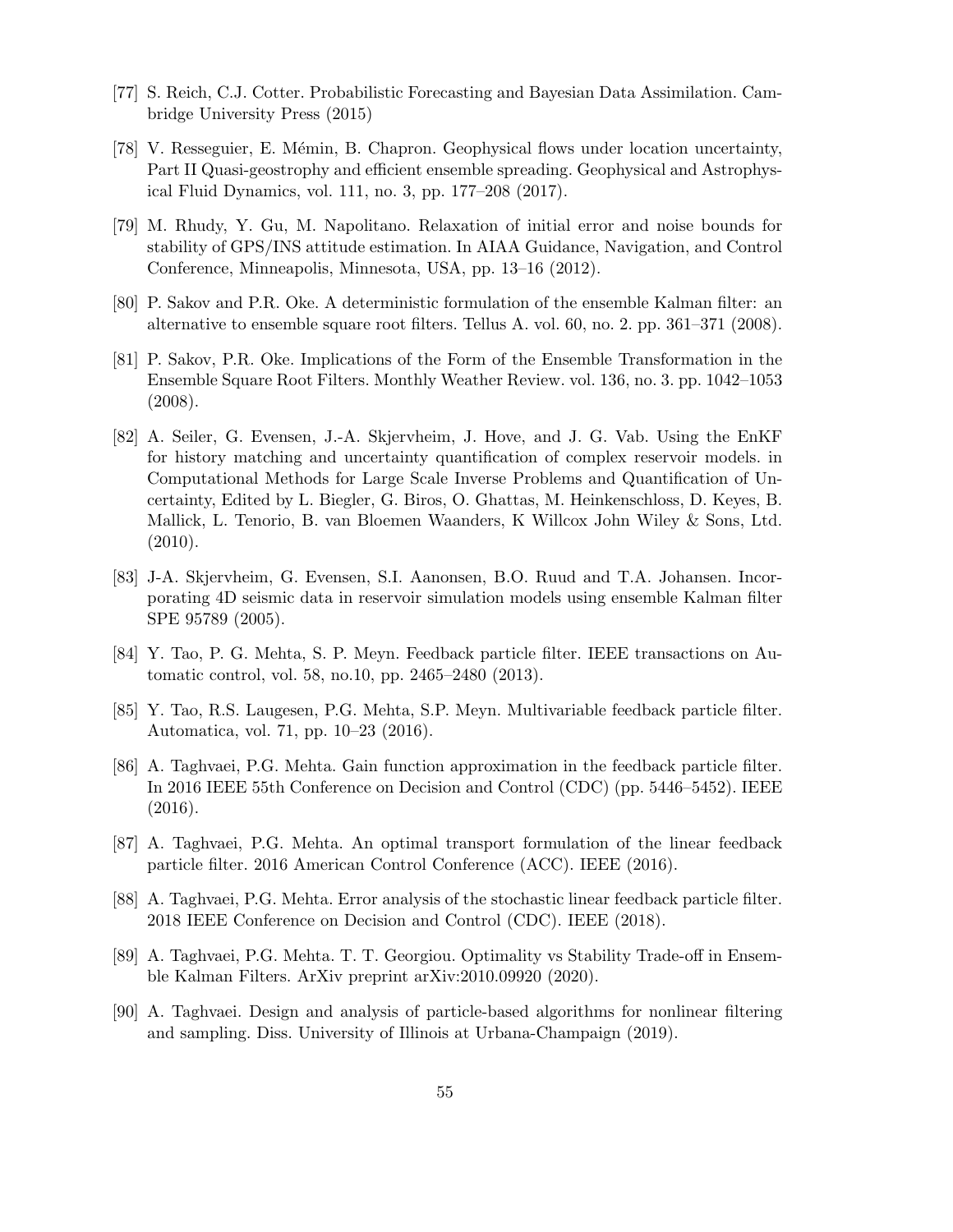- [77] S. Reich, C.J. Cotter. Probabilistic Forecasting and Bayesian Data Assimilation. Cambridge University Press (2015)
- [78] V. Resseguier, E. Mémin, B. Chapron. Geophysical flows under location uncertainty, Part II Quasi-geostrophy and efficient ensemble spreading. Geophysical and Astrophysical Fluid Dynamics, vol. 111, no. 3, pp. 177–208 (2017).
- [79] M. Rhudy, Y. Gu, M. Napolitano. Relaxation of initial error and noise bounds for stability of GPS/INS attitude estimation. In AIAA Guidance, Navigation, and Control Conference, Minneapolis, Minnesota, USA, pp. 13–16 (2012).
- [80] P. Sakov and P.R. Oke. A deterministic formulation of the ensemble Kalman filter: an alternative to ensemble square root filters. Tellus A. vol. 60, no. 2. pp. 361–371 (2008).
- [81] P. Sakov, P.R. Oke. Implications of the Form of the Ensemble Transformation in the Ensemble Square Root Filters. Monthly Weather Review. vol. 136, no. 3. pp. 1042–1053 (2008).
- [82] A. Seiler, G. Evensen, J.-A. Skjervheim, J. Hove, and J. G. Vab. Using the EnKF for history matching and uncertainty quantification of complex reservoir models. in Computational Methods for Large Scale Inverse Problems and Quantification of Uncertainty, Edited by L. Biegler, G. Biros, O. Ghattas, M. Heinkenschloss, D. Keyes, B. Mallick, L. Tenorio, B. van Bloemen Waanders, K Willcox John Wiley & Sons, Ltd.  $(2010).$
- [83] J-A. Skjervheim, G. Evensen, S.I. Aanonsen, B.O. Ruud and T.A. Johansen. Incorporating 4D seismic data in reservoir simulation models using ensemble Kalman filter SPE 95789 (2005).
- [84] Y. Tao, P. G. Mehta, S. P. Meyn. Feedback particle filter. IEEE transactions on Automatic control, vol. 58, no.10, pp. 2465–2480 (2013).
- [85] Y. Tao, R.S. Laugesen, P.G. Mehta, S.P. Meyn. Multivariable feedback particle filter. Automatica, vol. 71, pp. 10–23 (2016).
- [86] A. Taghvaei, P.G. Mehta. Gain function approximation in the feedback particle filter. In 2016 IEEE 55th Conference on Decision and Control (CDC) (pp. 5446–5452). IEEE (2016).
- [87] A. Taghvaei, P.G. Mehta. An optimal transport formulation of the linear feedback particle filter. 2016 American Control Conference (ACC). IEEE (2016).
- [88] A. Taghvaei, P.G. Mehta. Error analysis of the stochastic linear feedback particle filter. 2018 IEEE Conference on Decision and Control (CDC). IEEE (2018).
- [89] A. Taghvaei, P.G. Mehta. T. T. Georgiou. Optimality vs Stability Trade-off in Ensemble Kalman Filters. ArXiv preprint arXiv:2010.09920 (2020).
- [90] A. Taghvaei. Design and analysis of particle-based algorithms for nonlinear filtering and sampling. Diss. University of Illinois at Urbana-Champaign (2019).